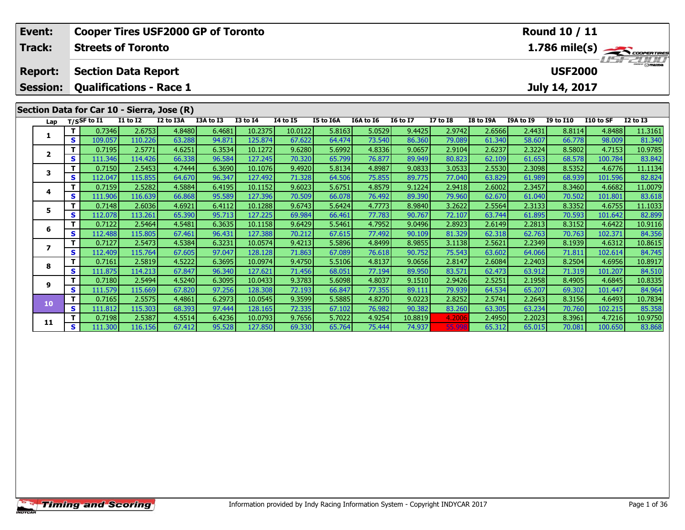| Event:                            |              | <b>Cooper Tires USF2000 GP of Toronto</b>                    |                 |           |           |                 |          |           |           |                 |                 |                  | <b>Round 10 / 11</b> |                                                                                  |           |                 |  |  |
|-----------------------------------|--------------|--------------------------------------------------------------|-----------------|-----------|-----------|-----------------|----------|-----------|-----------|-----------------|-----------------|------------------|----------------------|----------------------------------------------------------------------------------|-----------|-----------------|--|--|
| Track:                            |              | <b>Streets of Toronto</b>                                    |                 |           |           |                 |          |           |           |                 |                 |                  |                      |                                                                                  |           |                 |  |  |
| <b>Report:</b><br><b>Session:</b> |              | <b>Section Data Report</b><br><b>Qualifications - Race 1</b> |                 |           |           |                 |          |           |           |                 |                 |                  |                      | $\frac{1.786 \text{ mile(s)}}{1157 - 211111}$<br><b>USF2000</b><br>July 14, 2017 |           |                 |  |  |
|                                   |              | Section Data for Car 10 - Sierra, Jose (R)                   |                 |           |           |                 |          |           |           |                 |                 |                  |                      |                                                                                  |           |                 |  |  |
| Lap                               |              | $T/S$ SF to $I1$                                             | <b>I1 to I2</b> | I2 to I3A | I3A to I3 | <b>I3 to I4</b> | 14 to 15 | I5 to I6A | I6A to I6 | <b>I6 to I7</b> | <b>I7 to I8</b> | <b>I8 to I9A</b> | I9A to I9            | <b>I9 to I10</b>                                                                 | I10 to SF | <b>I2 to I3</b> |  |  |
| 1                                 | $\mathbf T$  | 0.7346                                                       | 2.6753          | 4.8480    | 6.4681    | 10.2375         | 10.0122  | 5.8163    | 5.0529    | 9.4425          | 2.9742          | 2.6566           | 2.4431               | 8.8114                                                                           | 4.8488    | 11.3161         |  |  |
|                                   | $\mathbf{s}$ | 109.057                                                      | 110.226         | 63.288    | 94.871    | 125.874         | 67.622   | 64.474    | 73.540    | 86.360          | 79.089          | 61.340           | 58.607               | 66.778                                                                           | 98.009    | 81.340          |  |  |
| $\overline{2}$                    | т            | 0.7195                                                       | 2.5771          | 4.6251    | 6.3534    | 10.1272         | 9.6280   | 5.6992    | 4.8336    | 9.0657          | 2.9104          | 2.6237           | 2.3224               | 8.5802                                                                           | 4.7153    | 10.9785         |  |  |
|                                   | $\mathbf{s}$ | 111.346                                                      | 114.426         | 66.338    | 96.584    | 127.245         | 70.320   | 65.799    | 76.877    | 89.949          | 80.823          | 62.109           | 61.653               | 68.578                                                                           | 100.784   | 83.842          |  |  |
| 3                                 | т            | 0.7150                                                       | 2.5453          | 4.7444    | 6.3690    | 10.1076         | 9.4920   | 5.8134    | 4.8987    | 9.0833          | 3.0533          | 2.5530           | 2.3098               | 8.5352                                                                           | 4.6776    | 11.1134         |  |  |
|                                   | S            | 112.047                                                      | 115.855         | 64.670    | 96.347    | 127.492         | 71.328   | 64.506    | 75.855    | 89.775          | 77.040          | 63.829           | 61.989               | 68.939                                                                           | 101.596   | 82.824          |  |  |
| 4                                 | т            | 0.7159                                                       | 2.5282          | 4.5884    | 6.4195    | 10.1152         | 9.6023   | 5.6751    | 4.8579    | 9.1224          | 2.9418          | 2.6002           | 2.3457               | 8.3460                                                                           | 4.6682    | 11.0079         |  |  |
|                                   | $\mathbf{s}$ | 111.906                                                      | 116.639         | 66.868    | 95.589    | 127.396         | 70.509   | 66.078    | 76.492    | 89.390          | 79.960          | 62.670           | 61.040               | 70.502                                                                           | 101.801   | 83.618          |  |  |
| 5                                 | т            | 0.7148                                                       | 2.6036          | 4.6921    | 6.4112    | 10.1288         | 9.6743   | 5.6424    | 4.7773    | 8.9840          | 3.2622          | 2.5564           | 2.3133               | 8.3352                                                                           | 4.6755    | 11.1033         |  |  |
|                                   | S            | 112.078                                                      | 113.261         | 65.390    | 95.713    | 127.225         | 69.984   | 66.461    | 77.783    | 90.767          | 72.107          | 63.744           | 61.895               | 70.593                                                                           | 101.642   | 82.899          |  |  |
| 6                                 | т            | 0.7122                                                       | 2.5464          | 4.5481    | 6.3635    | 10.1158         | 9.6429   | 5.5461    | 4.7952    | 9.0496          | 2.8923          | 2.6149           | 2.2813               | 8.3152                                                                           | 4.6422    | 10.9116         |  |  |
|                                   | $\mathbf{s}$ | 112.488                                                      | 115.805         | 67.461    | 96.431    | 127.388         | 70.212   | 67.615    | 77.492    | 90.109          | 81.329          | 62.318           | 62.763               | 70.763                                                                           | 102.371   | 84.356          |  |  |
| 7                                 | т            | 0.7127                                                       | 2.5473          | 4.5384    | 6.3231    | 10.0574         | 9.4213   | 5.5896    | 4.8499    | 8.9855          | 3.1138          | 2.5621           | 2.2349               | 8.1939                                                                           | 4.6312    | 10.8615         |  |  |
|                                   | S            | 112.409                                                      | 115.764         | 67.605    | 97.047    | 128.128         | 71.863   | 67.089    | 76.618    | 90.752          | 75.543          | 63.602           | 64.066               | 71.811                                                                           | 102.614   | 84.745          |  |  |
| 8                                 | т            | 0.7161                                                       | 2.5819          | 4.5222    | 6.3695    | 10.0974         | 9.4750   | 5.5106    | 4.8137    | 9.0656          | 2.8147          | 2.6084           | 2.2403               | 8.2504                                                                           | 4.6956    | 10.8917         |  |  |
|                                   | S            | 111.875                                                      | 114.213         | 67.847    | 96.340    | 127.621         | 71.456   | 68.051    | 77.194    | 89.950          | 83.571          | 62.473           | 63.912               | 71.319                                                                           | 101.207   | 84.510          |  |  |
| 9                                 | т            | 0.7180                                                       | 2.5494          | 4.5240    | 6.3095    | 10.0433         | 9.3783   | 5.6098    | 4.8037    | 9.1510          | 2.9426          | 2.5251           | 2.1958               | 8.4905                                                                           | 4.6845    | 10.8335         |  |  |
|                                   | S            | 111.579                                                      | 115.669         | 67.820    | 97.256    | 128.308         | 72.193   | 66.847    | 77.355    | 89.111          | 79.939          | 64.534           | 65.207               | 69.302                                                                           | 101.447   | 84.964          |  |  |
| 10                                | $\mathbf{T}$ | 0.7165                                                       | 2.5575          | 4.4861    | 6.2973    | 10.0545         | 9.3599   | 5.5885    | 4.8270    | 9.0223          | 2.8252          | 2.5741           | 2.2643               | 8.3156                                                                           | 4.6493    | 10.7834         |  |  |
|                                   | S            | 111.812                                                      | 115.303         | 68.393    | 97.444    | 128.165         | 72.335   | 67.102    | 76.982    | 90.382          | 83.260          | 63.305           | 63.234               | 70.760                                                                           | 102.215   | 85.358          |  |  |
| 11                                | т            | 0.7198                                                       | 2.5387          | 4.5514    | 6.4236    | 10.0793         | 9.7656   | 5.7022    | 4.9254    | 10.8819         | 4.2006          | 2.4950           | 2.2023               | 8.3961                                                                           | 4.7216    | 10.9750         |  |  |
|                                   | $\mathbf{s}$ | 111.300                                                      | 116.156         | 67.412    | 95.528    | 127.850         | 69.330   | 65.764    | 75.444    | 74.937          | 55.998          | 65.312           | 65.015               | 70.081                                                                           | 100.650   | 83.868          |  |  |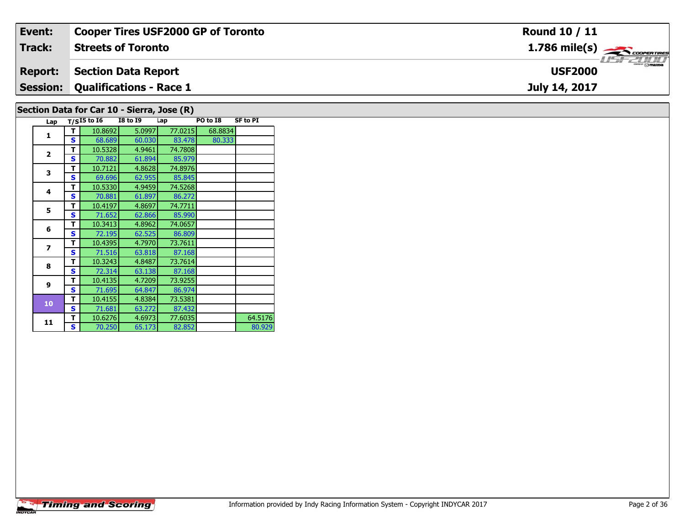| Event:                                             | <b>Cooper Tires USF2000 GP of Toronto</b> | <b>Round 10 / 11</b>                                      |  |  |  |  |  |  |
|----------------------------------------------------|-------------------------------------------|-----------------------------------------------------------|--|--|--|--|--|--|
| Track:                                             | <b>Streets of Toronto</b>                 | $1.786$ mile(s) $\overbrace{\hspace{2.5cm}}$ coorer TIRES |  |  |  |  |  |  |
| <b>Report:</b>                                     | Section Data Report                       | <b>USF2000</b>                                            |  |  |  |  |  |  |
|                                                    | <b>Session: Qualifications - Race 1</b>   | July 14, 2017                                             |  |  |  |  |  |  |
| $\text{Section}$ Data for Car 10 - Sierra Jose (D) |                                           |                                                           |  |  |  |  |  |  |

## **Section Data for Car 10 - Sierra, Jose (R)**

| Lap            |   | $T/SI5$ to $I6$ | <b>I8 to I9</b> | Lap     | PO to I8 | <b>SF to PI</b> |
|----------------|---|-----------------|-----------------|---------|----------|-----------------|
| 1              | т | 10.8692         | 5.0997          | 77.0215 | 68.8834  |                 |
|                | S | 68.689          | 60.030          | 83.478  | 80.333   |                 |
| $\overline{2}$ | т | 10.5328         | 4.9461          | 74.7808 |          |                 |
|                | S | 70.882          | 61.894          | 85.979  |          |                 |
| 3              | т | 10.7121         | 4.8628          | 74.8976 |          |                 |
|                | S | 69.696          | 62.955          | 85.845  |          |                 |
| 4              | т | 10.5330         | 4.9459          | 74.5268 |          |                 |
|                | S | 70.881          | 61.897          | 86.272  |          |                 |
| 5              | т | 10.4197         | 4.8697          | 74.7711 |          |                 |
|                | S | 71.652          | 62.866          | 85.990  |          |                 |
| 6              | т | 10.3413         | 4.8962          | 74.0657 |          |                 |
|                | S | 72.195          | 62.525          | 86.809  |          |                 |
| 7              | т | 10.4395         | 4.7970          | 73.7611 |          |                 |
|                | S | 71.516          | 63.818          | 87.168  |          |                 |
| 8              | т | 10.3243         | 4.8487          | 73.7614 |          |                 |
|                | S | 72.314          | 63.138          | 87.168  |          |                 |
| 9              | т | 10.4135         | 4.7209          | 73.9255 |          |                 |
|                | S | 71.695          | 64.847          | 86.974  |          |                 |
| 10             | т | 10.4155         | 4.8384          | 73.5381 |          |                 |
|                | S | 71.681          | 63.272          | 87.432  |          |                 |
| 11             | т | 10.6276         | 4.6973          | 77.6035 |          | 64.5176         |
|                | S | 70.250          | 65.173          | 82.852  |          | 80.929          |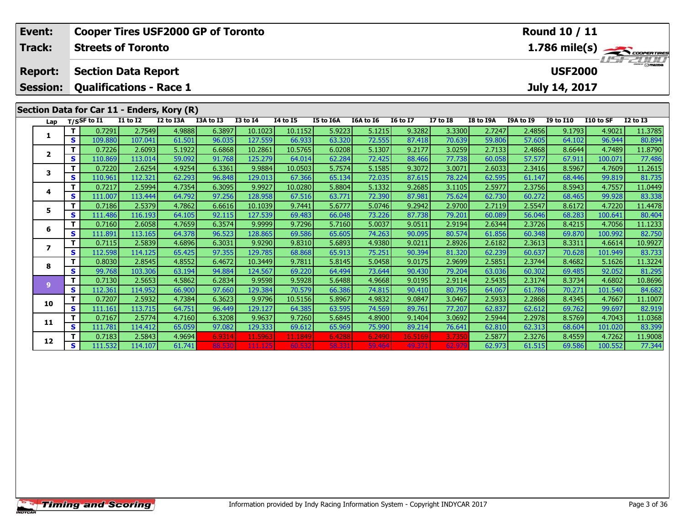|                                            | Event:                            |                   | <b>Cooper Tires USF2000 GP of Toronto</b>                    |                   |                  |                  |                   |                  |                  |                  |                  |                  |                  |                  | Round 10 / 11    |                                                                                                         |                   |  |  |
|--------------------------------------------|-----------------------------------|-------------------|--------------------------------------------------------------|-------------------|------------------|------------------|-------------------|------------------|------------------|------------------|------------------|------------------|------------------|------------------|------------------|---------------------------------------------------------------------------------------------------------|-------------------|--|--|
|                                            | Track:                            |                   | <b>Streets of Toronto</b>                                    |                   |                  |                  |                   |                  |                  |                  |                  |                  |                  |                  |                  |                                                                                                         | 1.786 mile(s)     |  |  |
|                                            | <b>Report:</b><br><b>Session:</b> |                   | <b>Section Data Report</b><br><b>Qualifications - Race 1</b> |                   |                  |                  |                   |                  |                  |                  |                  |                  |                  |                  |                  | $\frac{2\prod_{\text{of }n\text{ times}}}{\text{of }n\text{ times}}$<br><b>USF2000</b><br>July 14, 2017 |                   |  |  |
| Section Data for Car 11 - Enders, Kory (R) |                                   |                   |                                                              |                   |                  |                  |                   |                  |                  |                  |                  |                  |                  |                  |                  |                                                                                                         |                   |  |  |
|                                            | Lap                               |                   | $T/S$ SF to I1                                               | $I1$ to $I2$      | I2 to I3A        | I3A to I3        | <b>I3 to 14</b>   | <b>I4 to I5</b>  | I5 to I6A        | I6A to I6        | <b>I6 to I7</b>  | <b>I7 to I8</b>  | I8 to I9A        | I9A to I9        | <b>I9 to I10</b> | I10 to SF                                                                                               | <b>I2 to I3</b>   |  |  |
|                                            | 1                                 | т                 | 0.7291                                                       | 2.7549            | 4.9888           | 6.3897           | 10.1023           | 10.1152          | 5.9223           | 5.1215           | 9.3282           | 3.3300           | 2.7247           | 2.4856           | 9.1793           | 4.9021                                                                                                  | 11.3785           |  |  |
|                                            |                                   | $\mathbf{s}$      | 109.880                                                      | 107.041           | 61.501           | 96.035           | 127.559           | 66.933           | 63.320           | 72.555           | 87.418           | 70.639           | 59.806           | 57.605           | 64.102           | 96.944                                                                                                  | 80.894            |  |  |
|                                            | $\mathbf{2}$                      | т                 | 0.7226                                                       | 2.6093            | 5.1922           | 6.6868           | 10.2861           | 10.5765          | 6.0208           | 5.1307           | 9.2177           | 3.0259           | 2.7133           | 2.4868           | 8.6644           | 4.7489                                                                                                  | 11.8790           |  |  |
|                                            |                                   | $\mathbf{s}$      | 110.869                                                      | 113.014           | 59.092           | 91.768           | 125.279           | 64.014           | 62.284           | 72.425           | 88.466           | 77.738           | 60.058           | 57.577           | 67.911           | 100.071                                                                                                 | 77.486            |  |  |
|                                            | 3                                 | T                 | 0.7220                                                       | 2.6254            | 4.9254           | 6.3361           | 9.9884            | 10.0503          | 5.7574           | 5.1585           | 9.3072           | 3.0071           | 2.6033           | 2.3416           | 8.5967           | 4.7609                                                                                                  | 11.2615           |  |  |
|                                            |                                   | $\mathbf{s}$      | 110.961                                                      | 112.321           | 62.293           | 96.848           | 129.013           | 67.366           | 65.134           | 72.035           | 87.615           | 78.224           | 62.595           | 61.147           | 68.446           | 99.819                                                                                                  | 81.735            |  |  |
|                                            | 4                                 | T                 | 0.7217                                                       | 2.5994            | 4.7354           | 6.3095           | 9.9927            | 10.0280          | 5.8804           | 5.1332           | 9.2685           | 3.1105           | 2.5977           | 2.3756           | 8.5943           | 4.7557                                                                                                  | 11.0449           |  |  |
|                                            |                                   | S                 | 111.007                                                      | 113.444           | 64.792           | 97.256           | 128.958           | 67.516           | 63.771           | 72.390           | 87.981           | 75.624           | 62.730           | 60.272           | 68.465           | 99.928                                                                                                  | 83.338            |  |  |
|                                            | 5                                 | т<br>$\mathbf{s}$ | 0.7186                                                       | 2.5379            | 4.7862           | 6.6616<br>92.115 | 10.1039           | 9.7441           | 5.6777           | 5.0746<br>73.226 | 9.2942           | 2.9700           | 2.7119           | 2.5547           | 8.6172           | 4.7220                                                                                                  | 11.4478           |  |  |
|                                            |                                   | т                 | 111.486<br>0.7160                                            | 116.193           | 64.105<br>4.7659 | 6.3574           | 127.539<br>9.9999 | 69.483           | 66.048           | 5.0037           | 87.738<br>9.0511 | 79.201           | 60.089<br>2.6344 | 56.046<br>2.3726 | 68.283<br>8.4215 | 100.641<br>4.7056                                                                                       | 80.404<br>11.1233 |  |  |
|                                            | 6                                 | $\mathbf{s}$      | 111.891                                                      | 2.6058<br>113.165 | 64.378           | 96.523           | 128.865           | 9.7296<br>69.586 | 5.7160<br>65.605 | 74.263           | 90.095           | 2.9194<br>80.574 | 61.856           | 60.348           | 69.870           | 100.992                                                                                                 | 82.750            |  |  |
|                                            |                                   | т                 | 0.7115                                                       | 2.5839            | 4.6896           | 6.3031           | 9.9290            | 9.8310           | 5.6893           | 4.9380           | 9.0211           | 2.8926           | 2.6182           | 2.3613           | 8.3311           | 4.6614                                                                                                  | 10.9927           |  |  |
|                                            | $\overline{\mathbf{z}}$           | S                 | 112.598                                                      | 114.125           | 65.425           | 97.355           | 129.785           | 68.868           | 65.913           | 75.251           | 90.394           | 81.320           | 62.239           | 60.637           | 70.628           | 101.949                                                                                                 | 83.733            |  |  |
|                                            |                                   | т                 | 0.8030                                                       | 2.8545            | 4.8552           | 6.4672           | 10.3449           | 9.7811           | 5.8145           | 5.0458           | 9.0175           | 2.9699           | 2.5851           | 2.3744           | 8.4682           | 5.1626                                                                                                  | 11.3224           |  |  |
|                                            | 8                                 | $\mathbf{s}$      | 99.768                                                       | 103.306           | 63.194           | 94.884           | 124.567           | 69.220           | 64.494           | 73.644           | 90.430           | 79.204           | 63.036           | 60.302           | 69.485           | 92.052                                                                                                  | 81.295            |  |  |
|                                            |                                   | $\mathbf T$       | 0.7130                                                       | 2.5653            | 4.5862           | 6.2834           | 9.9598            | 9.5928           | 5.6488           | 4.9668           | 9.0195           | 2.9114           | 2.5435           | 2.3174           | 8.3734           | 4.6802                                                                                                  | 10.8696           |  |  |
|                                            | $\overline{9}$                    | $\mathbf{s}$      | 112.361                                                      | 114.952           | 66.900           | 97.660           | 129.384           | 70.579           | 66.386           | 74.815           | 90.410           | 80.795           | 64.067           | 61.786           | 70.271           | 101.540                                                                                                 | 84.682            |  |  |
|                                            |                                   | T.                | 0.7207                                                       | 2.5932            | 4.7384           | 6.3623           | 9.9796            | 10.5156          | 5.8967           | 4.9832           | 9.0847           | 3.0467           | 2.5933           | 2.2868           | 8.4345           | 4.7667                                                                                                  | 11.1007           |  |  |
|                                            | 10                                | $\mathbf{s}$      | 111.161                                                      | 113.715           | 64.751           | 96.449           | 129.127           | 64.385           | 63.595           | 74.569           | 89.761           | 77.207           | 62.837           | 62.612           | 69.762           | 99.697                                                                                                  | 82.919            |  |  |
|                                            | 11                                | т                 | 0.7167                                                       | 2.5774            | 4.7160           | 6.3208           | 9.9637            | 9.7260           | 5.6845           | 4.8900           | 9.1404           | 3.0692           | 2.5944           | 2.2978           | 8.5769           | 4.7043                                                                                                  | 11.0368           |  |  |
|                                            |                                   | $\mathbf{s}$      | 111.781                                                      | 114.412           | 65.059           | 97.082           | 129.333           | 69.612           | 65.969           | 75.990           | 89.214           | 76.641           | 62.810           | 62.313           | 68.604           | 101.020                                                                                                 | 83.399            |  |  |
|                                            | 12                                | т                 | 0.7183                                                       | 2.5843            | 4.9694           | 6.9314           | 11.5963           | 11.1849          | 6.4288           | 6.2490           | 16.5169          | 3.735            | 2.5877           | 2.3276           | 8.4559           | 4.7262                                                                                                  | 11.9008           |  |  |
|                                            |                                   | S                 | 111.532                                                      | 114.107           | 61.741           | 88.530           | 111.125           | 60.532           | 58.33            | 59.464           | 49.371           | 62.97            | 62.973           | 61.515           | 69.586           | 100.552                                                                                                 | 77.344            |  |  |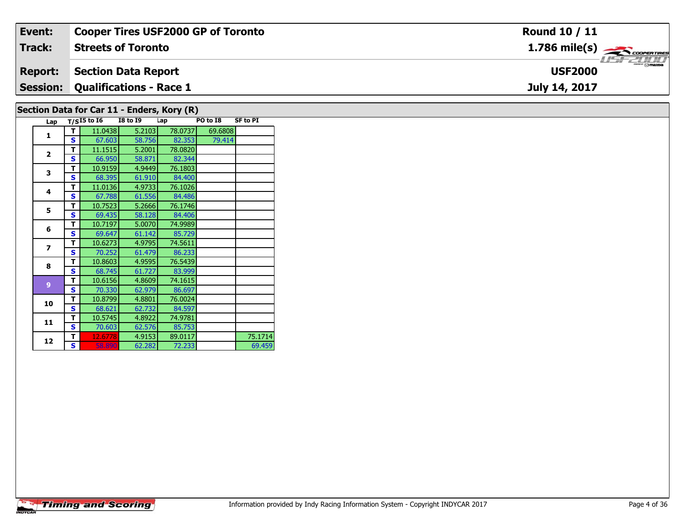| Event:                                     | <b>Cooper Tires USF2000 GP of Toronto</b> | <b>Round 10 / 11</b>                                   |  |  |  |  |  |  |
|--------------------------------------------|-------------------------------------------|--------------------------------------------------------|--|--|--|--|--|--|
| Track:                                     | <b>Streets of Toronto</b>                 | $1.786$ mile(s) $\overbrace{\hspace{2cm}}$ coorentines |  |  |  |  |  |  |
| <b>Report:</b>                             | Section Data Report                       | <b>USF2000</b>                                         |  |  |  |  |  |  |
|                                            | <b>Session: Qualifications - Race 1</b>   | July 14, 2017                                          |  |  |  |  |  |  |
| Section Data for Car 11 - Enders, Kory (R) |                                           |                                                        |  |  |  |  |  |  |

| 191 <b>901 44</b><br>$\sim$ |                         |              |                 |                 |         |          |                 |  |  |
|-----------------------------|-------------------------|--------------|-----------------|-----------------|---------|----------|-----------------|--|--|
|                             | Lap                     |              | $T/SI5$ to $I6$ | <b>I8 to 19</b> | Lap     | PO to I8 | <b>SF to PI</b> |  |  |
|                             | $\mathbf{1}$            | т            | 11.0438         | 5.2103          | 78.0737 | 69.6808  |                 |  |  |
|                             |                         | $\mathbf{s}$ | 67.603          | 58.756          | 82.353  | 79.414   |                 |  |  |
|                             |                         | T            | 11.1515         | 5.2001          | 78.0820 |          |                 |  |  |
|                             | $\mathbf{2}$            | S            | 66.950          | 58.871          | 82.344  |          |                 |  |  |
|                             | 3                       | T            | 10.9159         | 4.9449          | 76.1803 |          |                 |  |  |
|                             |                         | S            | 68.395          | 61.910          | 84.400  |          |                 |  |  |
|                             | $\overline{\mathbf{4}}$ | т            | 11.0136         | 4.9733          | 76.1026 |          |                 |  |  |
|                             |                         | S            | 67.788          | 61.556          | 84.486  |          |                 |  |  |
|                             | 5                       | т            | 10.7523         | 5.2666          | 76.1746 |          |                 |  |  |
|                             |                         | S            | 69.435          | 58.128          | 84.406  |          |                 |  |  |
|                             | 6                       | т            | 10.7197         | 5.0070          | 74.9989 |          |                 |  |  |
|                             |                         | S            | 69.647          | 61.142          | 85.729  |          |                 |  |  |
|                             | $\overline{z}$          | т            | 10.6273         | 4.9795          | 74.5611 |          |                 |  |  |
|                             |                         | $\mathbf{s}$ | 70.252          | 61.479          | 86.233  |          |                 |  |  |
|                             | 8                       | T            | 10.8603         | 4.9595          | 76.5439 |          |                 |  |  |
|                             |                         | S            | 68.745          | 61.727          | 83.999  |          |                 |  |  |
|                             | 9                       | т            | 10.6156         | 4.8609          | 74.1615 |          |                 |  |  |
|                             |                         | S            | 70.330          | 62.979          | 86.697  |          |                 |  |  |
|                             |                         | т            | 10.8799         | 4.8801          | 76.0024 |          |                 |  |  |
|                             | 10                      | S            | 68.621          | 62.732          | 84.597  |          |                 |  |  |
|                             | 11                      | т            | 10.5745         | 4.8922          | 74.9781 |          |                 |  |  |
|                             |                         | $\mathbf{s}$ | 70.603          | 62.576          | 85.753  |          |                 |  |  |
|                             |                         | T            | 12.6778         | 4.9153          | 89.0117 |          | 75.1714         |  |  |
|                             | 12                      | S            | 58.890          | 62.282          | 72.233  |          | 69.459          |  |  |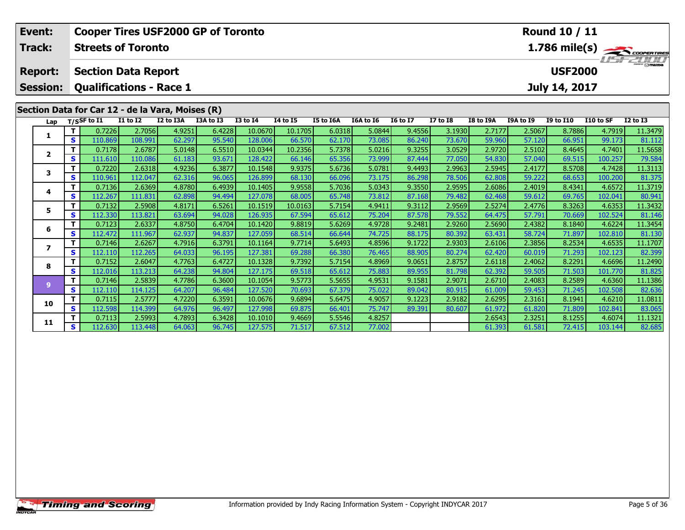|                 | Event:         |              | <b>Cooper Tires USF2000 GP of Toronto</b>                    |                   |                  |                  |                    |                  | <b>Round 10 / 11</b> |                  |                  |                  |                  |                  |                                                           |                   |                   |  |  |
|-----------------|----------------|--------------|--------------------------------------------------------------|-------------------|------------------|------------------|--------------------|------------------|----------------------|------------------|------------------|------------------|------------------|------------------|-----------------------------------------------------------|-------------------|-------------------|--|--|
|                 | Track:         |              | <b>Streets of Toronto</b>                                    |                   |                  |                  |                    |                  |                      |                  |                  |                  |                  |                  |                                                           |                   | 1.786 mile(s)     |  |  |
|                 | <b>Report:</b> |              | <b>Section Data Report</b><br><b>Qualifications - Race 1</b> |                   |                  |                  |                    |                  |                      |                  |                  |                  |                  |                  | <b>ISTELLIT</b><br><b>USF2000</b><br><b>July 14, 2017</b> |                   |                   |  |  |
| <b>Session:</b> |                |              |                                                              |                   |                  |                  |                    |                  |                      |                  |                  |                  |                  |                  |                                                           |                   |                   |  |  |
|                 |                |              | Section Data for Car 12 - de la Vara, Moises (R)             |                   |                  |                  |                    |                  |                      |                  |                  |                  |                  |                  |                                                           |                   |                   |  |  |
|                 | Lap            |              | $T/S$ SF to I1                                               | <b>I1 to I2</b>   | I2 to I3A        | I3A to I3        | <b>I3 to 14</b>    | <b>I4 to I5</b>  | I5 to I6A            | I6A to I6        | <b>I6 to I7</b>  | <b>I7 to 18</b>  | <b>I8 to I9A</b> | I9A to I9        | <b>I9 to I10</b>                                          | I10 to SF         | <b>I2 to I3</b>   |  |  |
|                 |                | $\mathbf T$  | 0.7226                                                       | 2.7056            | 4.9251           | 6.4228           | 10.0670            | 10.1705          | 6.0318               | 5.0844           | 9.4556           | 3.1930           | 2.7177           | 2.5067           | 8.7886                                                    | 4.7919            | 11.3479           |  |  |
|                 | 1              | S            | 110.869                                                      | 108.991           | 62.297           | 95.540           | 128.006            | 66.570           | 62.170               | 73.085           | 86.240           | 73.670           | 59.960           | 57.120           | 66.951                                                    | 99.173            | 81.112            |  |  |
|                 |                | т            | 0.7178                                                       | 2.6787            | 5.0148           | 6.5510           | 10.0344            | 10.2356          | 5.7378               | 5.0216           | 9.3255           | 3.0529           | 2.9720           | 2.5102           | 8.4645                                                    | 4.7401            | 11.5658           |  |  |
|                 | $\mathbf{2}$   | $\mathbf{s}$ | 111.610                                                      | 110.086           | 61.183           | 93.671           | 128.422            | 66.146           | 65.356               | 73.999           | 87.444           | 77.050           | 54.830           | 57.040           | 69.515                                                    | 100.257           | 79.584            |  |  |
|                 | 3              | т            | 0.7220                                                       | 2.6318            | 4.9236           | 6.3877           | 10.1548            | 9.9375           | 5.6736               | 5.0781           | 9.4493           | 2.9963           | 2.5945           | 2.4177           | 8.5708                                                    | 4.7428            | 11.3113           |  |  |
|                 |                | $\mathbf{s}$ | 110.961                                                      | 112.047           | 62.316           | 96.065           | 126.899            | 68.130           | 66.096               | 73.175           | 86.298           | 78.506           | 62.808           | 59.222           | 68.653                                                    | 100.200           | 81.375            |  |  |
|                 | 4              | т            | 0.7136                                                       | 2.6369            | 4.8780           | 6.4939           | 10.1405            | 9.9558           | 5.7036               | 5.0343           | 9.3550           | 2.9595           | 2.6086           | 2.4019           | 8.4341                                                    | 4.6572            | 11.3719           |  |  |
|                 |                | S            | 112.267                                                      | 111.831           | 62.898           | 94.494           | 127.078            | 68.005           | 65.748               | 73.812           | 87.168           | 79.482           | 62.468           | 59.612           | 69.765                                                    | 102.041           | 80.941            |  |  |
|                 | 5              | т            | 0.7132                                                       | 2.5908            | 4.8171           | 6.5261           | 10.1519            | 10.0163          | 5.7154               | 4.9411           | 9.3112           | 2.9569           | 2.5274           | 2.4776           | 8.3263                                                    | 4.6353            | 11.3432           |  |  |
|                 |                | S<br>т       | 112.330<br>0.7123                                            | 113.821           | 63.694<br>4.8750 | 94.028<br>6.4704 | 126.935<br>10.1420 | 67.594           | 65.612<br>5.6269     | 75.204<br>4.9728 | 87.578<br>9.2481 | 79.552           | 64.475           | 57.791<br>2.4382 | 70.669<br>8.1840                                          | 102.524<br>4.6224 | 81.146            |  |  |
|                 | 6              | $\mathbf{s}$ | 112.472                                                      | 2.6337<br>111.967 | 62.937           | 94.837           | 127.059            | 9.8819<br>68.514 | 66.644               | 74.725           | 88.175           | 2.9260<br>80.392 | 2.5690<br>63.431 | 58.724           | 71.897                                                    | 102.810           | 11.3454<br>81.130 |  |  |
|                 |                | т            | 0.7146                                                       | 2.6267            | 4.7916           | 6.3791           | 10.1164            | 9.7714           | 5.6493               | 4.8596           | 9.1722           | 2.9303           | 2.6106           | 2.3856           | 8.2534                                                    | 4.6535            | 11.1707           |  |  |
|                 | $\overline{ }$ | S            | 112.110                                                      | 112.265           | 64.033           | 96.195           | 127.381            | 69.288           | 66.380               | 76.465           | 88.905           | 80.274           | 62.420           | 60.019           | 71.293                                                    | 102.123           | 82.399            |  |  |
|                 |                | T            | 0.7152                                                       | 2.6047            | 4.7763           | 6.4727           | 10.1328            | 9.7392           | 5.7154               | 4.8969           | 9.0651           | 2.8757           | 2.6118           | 2.4062           | 8.2291                                                    | 4.6696            | 11.2490           |  |  |
|                 | 8              | $\mathbf{s}$ | 112.016                                                      | 113.213           | 64.238           | 94.804           | 127.175            | 69.518           | 65.612               | 75.883           | 89.955           | 81.798           | 62.392           | 59.505           | 71.503                                                    | 101.770           | 81.825            |  |  |
|                 |                | $\mathbf T$  | 0.7146                                                       | 2.5839            | 4.7786           | 6.3600           | 10.1054            | 9.5773           | 5.5655               | 4.9531           | 9.1581           | 2.9071           | 2.6710           | 2.4083           | 8.2589                                                    | 4.6360            | 11.1386           |  |  |
|                 | 9              | S            | 112.110                                                      | 114.125           | 64.207           | 96.484           | 127.520            | 70.693           | 67.379               | 75.022           | 89.042           | 80.915           | 61.009           | 59.453           | 71.245                                                    | 102.508           | 82.636            |  |  |
|                 | 10             | T            | 0.7115                                                       | 2.5777            | 4.7220           | 6.3591           | 10.0676            | 9.6894           | 5.6475               | 4.9057           | 9.1223           | 2.9182           | 2.6295           | 2.3161           | 8.1941                                                    | 4.6210            | 11.0811           |  |  |
|                 |                | S            | 112.598                                                      | 114.399           | 64.976           | 96.497           | 127.998            | 69.875           | 66.401               | 75.747           | 89.391           | 80.607           | 61.972           | 61.820           | 71.809                                                    | 102.841           | 83.065            |  |  |
|                 | 11             | т            | 0.7113                                                       | 2.5993            | 4.7893           | 6.3428           | 10.1010            | 9.4669           | 5.5546               | 4.8257           |                  |                  | 2.6543           | 2.3251           | 8.1255                                                    | 4.6074            | 11.1321           |  |  |
|                 |                | $\mathbf{s}$ | 112.630                                                      | 113.448           | 64.063           | 96.745           | 127.575            | 71.517           | 67.512               | 77.002           |                  |                  | 61.393           | 61.581           | 72.415                                                    | 103.144           | 82.685            |  |  |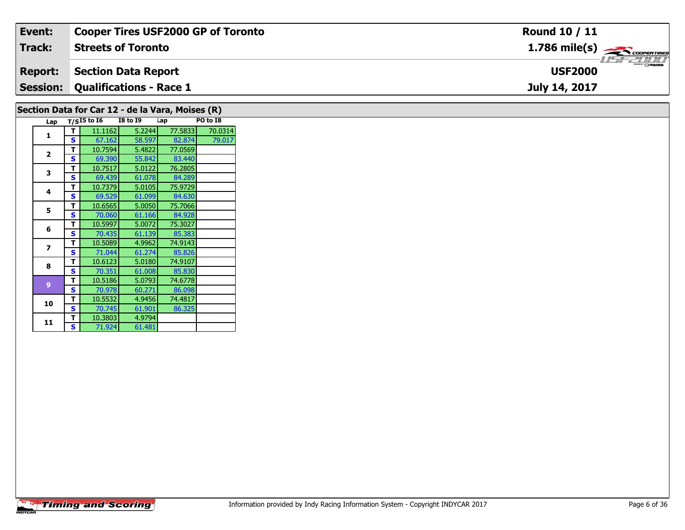| Event:                                           | <b>Cooper Tires USF2000 GP of Toronto</b> | Round 10 / 11                                           |  |  |  |  |  |  |
|--------------------------------------------------|-------------------------------------------|---------------------------------------------------------|--|--|--|--|--|--|
| <b>Track:</b>                                    | <b>Streets of Toronto</b>                 | $1.786$ mile(s) $\overbrace{\hspace{2cm}}$ coorer TIRES |  |  |  |  |  |  |
| <b>Report:</b>                                   | <b>Section Data Report</b>                | <b>ISFZDDD</b><br><b>USF2000</b>                        |  |  |  |  |  |  |
| <b>Session:</b>                                  | <b>Qualifications - Race 1</b>            | July 14, 2017                                           |  |  |  |  |  |  |
| Section Data for Car 12 - de la Vara, Moises (R) |                                           |                                                         |  |  |  |  |  |  |

|  | Lap            |   | $T/SI5$ to $I6$ | <b>I8 to 19</b> | Lap     | $\cdots$<br>PO to I8 |
|--|----------------|---|-----------------|-----------------|---------|----------------------|
|  |                | т | 11.1162         | 5.2244          | 77.5833 | 70.0314              |
|  | 1              | S | 67.162          | 58.597          | 82.874  | 79.017               |
|  |                | т | 10.7594         | 5.4822          | 77.0569 |                      |
|  | $\overline{2}$ | S | 69.390          | 55.842          | 83.440  |                      |
|  |                | т | 10.7517         | 5.0122          | 76.2805 |                      |
|  | 3              | S | 69.439          | 61.078          | 84.289  |                      |
|  |                | т | 10.7379         | 5.0105          | 75.9729 |                      |
|  | 4              | S | 69.529          | 61.099          | 84.630  |                      |
|  | 5              | т | 10.6565         | 5.0050          | 75.7066 |                      |
|  |                | S | 70.060          | 61.166          | 84.928  |                      |
|  | 6              | т | 10.5997         | 5.0072          | 75.3027 |                      |
|  |                | S | 70.435          | 61.139          | 85.383  |                      |
|  | $\overline{ }$ | т | 10.5089         | 4.9962          | 74.9143 |                      |
|  |                | S | 71.044          | 61.274          | 85.826  |                      |
|  | 8              | т | 10.6123         | 5.0180          | 74.9107 |                      |
|  |                | S | 70.351          | 61.008          | 85.830  |                      |
|  | 9              | т | 10.5186         | 5.0793          | 74.6778 |                      |
|  |                | S | 70.978          | 60.271          | 86.098  |                      |
|  | 10             | т | 10.5532         | 4.9456          | 74.4817 |                      |
|  |                | S | 70.745          | 61.901          | 86.325  |                      |
|  |                | T | 10.3803         | 4.9794          |         |                      |
|  | 11             | S | 71.924          | 61.481          |         |                      |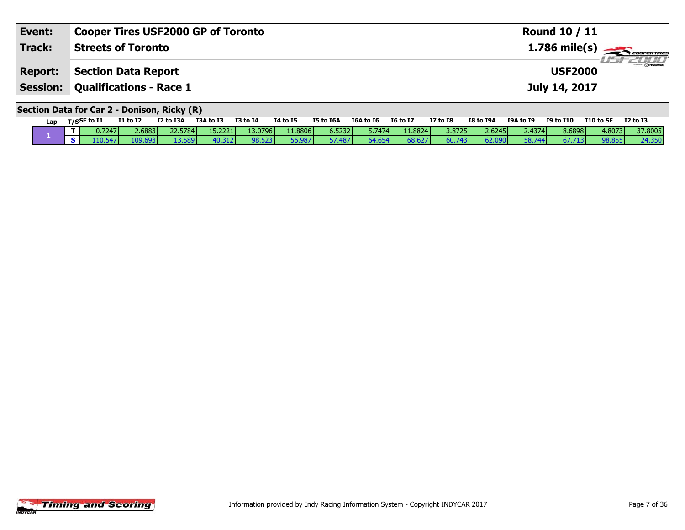| Event:                                      | <b>Cooper Tires USF2000 GP of Toronto</b> | Round 10 / 11                             |  |  |  |  |  |  |
|---------------------------------------------|-------------------------------------------|-------------------------------------------|--|--|--|--|--|--|
| Track:                                      | <b>Streets of Toronto</b>                 | $1.786$ mile(s) $\leftarrow$ COOPER TIRES |  |  |  |  |  |  |
| <b>Report:</b>                              | Section Data Report                       | <i><b>LISF 2000</b></i><br><b>USF2000</b> |  |  |  |  |  |  |
|                                             | <b>Session: Qualifications - Race 1</b>   | July 14, 2017                             |  |  |  |  |  |  |
| Section Data for Car 2 - Donison, Ricky (R) |                                           |                                           |  |  |  |  |  |  |

| Lap |        | $T/S$ SF to $I1$ | <b>I1 to I2</b> | I2 to I3A | I3A to I3 | <b>I3 to I4</b> | <b>I4 to I5</b> | <b>I5 to 16/</b> | <b>I6A to I6</b> | <b>16 to 17</b>  | <b>I7 to I8</b> | <b>I8 to I9A</b> | <b>I9A to I9</b> | <b>I9 to I10</b> | I10 to SF | $I2$ to $I3$ |
|-----|--------|------------------|-----------------|-----------|-----------|-----------------|-----------------|------------------|------------------|------------------|-----------------|------------------|------------------|------------------|-----------|--------------|
|     | $\sim$ | 0.7247           | 2.6883          | 22.5784   | 15.2221   | 3.0796          | 11.8806         | 6.5232           | 5.7474 <b>1</b>  | l <b>1.88241</b> | 3.8725 <b>l</b> | 2.6245           | 2.4374 <b>1</b>  | 8.6898 <b>l</b>  | 4.8073    | 37,8005      |
|     |        | 110.54           | <b>COP</b>      |           |           | 98.523          | 6.987           |                  |                  | 68.627           |                 | 62.090           | ro -             | 7.713            | 98.855    | 24.3         |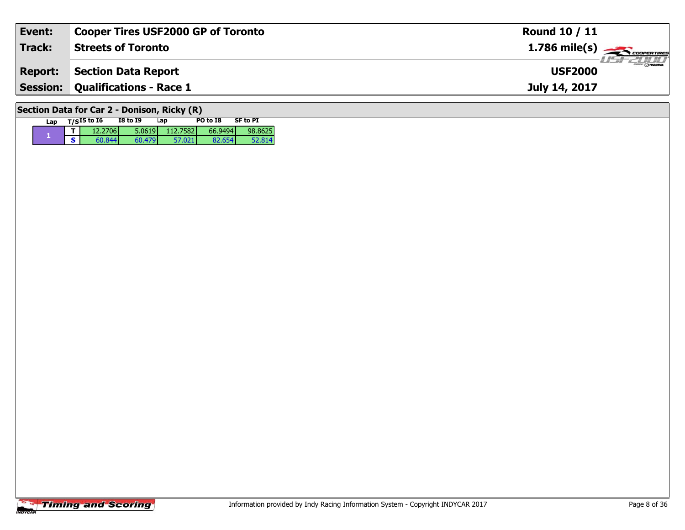| Event:                                      | <b>Cooper Tires USF2000 GP of Toronto</b> | Round 10 / 11                              |  |  |  |  |  |  |
|---------------------------------------------|-------------------------------------------|--------------------------------------------|--|--|--|--|--|--|
| <b>Track:</b>                               | <b>Streets of Toronto</b>                 | $1.786$ mile(s) $\rightarrow$ Cooper Tires |  |  |  |  |  |  |
| <b>Report:</b>                              | <b>Section Data Report</b>                | <b>LISE 2000</b><br><b>USF2000</b>         |  |  |  |  |  |  |
| <b>Session:</b>                             | <b>Qualifications - Race 1</b>            | July 14, 2017                              |  |  |  |  |  |  |
| Section Data for Car 2 - Donison, Ricky (R) |                                           |                                            |  |  |  |  |  |  |

| Lap | $T/SI5$ to $I6$ | <b>I8 to I9</b> | Lap      | PO to I8 | <b>SF to PI</b> |
|-----|-----------------|-----------------|----------|----------|-----------------|
|     | 12.2706         | 5.0619          | 112.7582 | 66.9494  | 98.8625         |
|     | 60.844          | 60 479 L        |          | 82.654   |                 |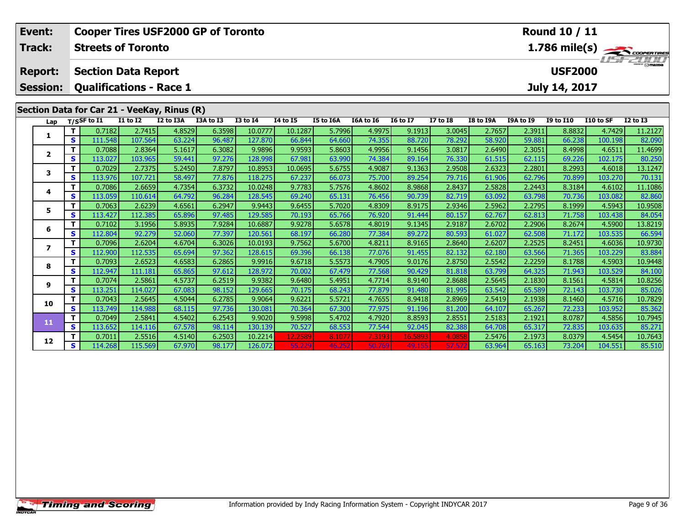|                                                                                                                                                                                                                                                                             | Event:                            |                   | <b>Cooper Tires USF2000 GP of Toronto</b>                    |                   |                  |                  |                    |                   |                  |                  |                  |                  | <b>Round 10 / 11</b> |                  |                                        |                   |                                               |
|-----------------------------------------------------------------------------------------------------------------------------------------------------------------------------------------------------------------------------------------------------------------------------|-----------------------------------|-------------------|--------------------------------------------------------------|-------------------|------------------|------------------|--------------------|-------------------|------------------|------------------|------------------|------------------|----------------------|------------------|----------------------------------------|-------------------|-----------------------------------------------|
|                                                                                                                                                                                                                                                                             | Track:                            |                   | <b>Streets of Toronto</b>                                    |                   |                  |                  |                    |                   |                  |                  |                  |                  |                      |                  |                                        |                   | $\frac{1.786 \text{ mile(s)}}{1.157 - 21111}$ |
|                                                                                                                                                                                                                                                                             | <b>Report:</b><br><b>Session:</b> |                   | <b>Section Data Report</b><br><b>Qualifications - Race 1</b> |                   |                  |                  |                    |                   |                  |                  |                  |                  |                      |                  | <b>USF2000</b><br><b>July 14, 2017</b> |                   |                                               |
| Section Data for Car 21 - VeeKay, Rinus (R)<br>$T/S$ SF to I1<br><b>I1 to I2</b><br>I2 to I3A<br>I3A to I3<br><b>I3 to 14</b><br><b>I4 to I5</b><br>I8 to I9A<br>I9A to I9<br><b>I9 to I10</b><br>I5 to I6A<br>I6A to I6<br><b>16 to 17</b><br><b>I7 to I8</b><br>I10 to SF |                                   |                   |                                                              |                   |                  |                  |                    |                   |                  |                  |                  |                  |                      |                  |                                        |                   |                                               |
|                                                                                                                                                                                                                                                                             | Lap                               |                   |                                                              |                   |                  |                  |                    |                   |                  |                  |                  |                  |                      |                  |                                        |                   | <b>I2 to I3</b>                               |
|                                                                                                                                                                                                                                                                             | 1                                 | т<br>$\mathbf{s}$ | 0.7182<br>111.548                                            | 2.7415<br>107.564 | 4.8529<br>63.224 | 6.3598<br>96.487 | 10.0777<br>127.870 | 10.1287<br>66.844 | 5.7996<br>64.660 | 4.9975<br>74.355 | 9.1913<br>88.720 | 3.0045<br>78.292 | 2.7657<br>58.920     | 2.3911<br>59.881 | 8.8832<br>66.238                       | 4.7429<br>100.198 | 11.2127<br>82.090                             |
|                                                                                                                                                                                                                                                                             |                                   | т                 | 0.7088                                                       | 2.8364            | 5.1617           | 6.3082           | 9.9896             | 9.9593            | 5.8603           | 4.9956           | 9.1456           | 3.0817           | 2.6490               | 2.3051           | 8.4998                                 | 4.6511            | 11.4699                                       |
|                                                                                                                                                                                                                                                                             | 2                                 | $\mathbf{s}$      | 113.027                                                      | 103.965           | 59.441           | 97.276           | 128.998            | 67.981            | 63.990           | 74.384           | 89.164           | 76.330           | 61.515               | 62.115           | 69.226                                 | 102.175           | 80.250                                        |
|                                                                                                                                                                                                                                                                             |                                   | T                 | 0.7029                                                       | 2.7375            | 5.2450           | 7.8797           | 10.8953            | 10.0695           | 5.6755           | 4.9087           | 9.1363           | 2.9508           | 2.6323               | 2.2801           | 8.2993                                 | 4.6018            | 13.1247                                       |
|                                                                                                                                                                                                                                                                             | 3                                 | $\mathbf{s}$      | 113.976                                                      | 107.721           | 58.497           | 77.876           | 118.275            | 67.237            | 66.073           | 75.700           | 89.254           | 79.716           | 61.906               | 62.796           | 70.899                                 | 103.270           | 70.131                                        |
|                                                                                                                                                                                                                                                                             | 4                                 | т                 | 0.7086                                                       | 2.6659            | 4.7354           | 6.3732           | 10.0248            | 9.7783            | 5.7576           | 4.8602           | 8.9868           | 2.8437           | 2.5828               | 2.2443           | 8.3184                                 | 4.6102            | 11.1086                                       |
|                                                                                                                                                                                                                                                                             |                                   | S                 | 113.059                                                      | 110.614           | 64.792           | 96.284           | 128.545            | 69.240            | 65.131           | 76.456           | 90.739           | 82.719           | 63.092               | 63.798           | 70.736                                 | 103.082           | 82.860                                        |
|                                                                                                                                                                                                                                                                             | 5.                                | т                 | 0.7063                                                       | 2.6239            | 4.6561           | 6.2947           | 9.9443             | 9.6455            | 5.7020           | 4.8309           | 8.9175           | 2.9346           | 2.5962               | 2.2795           | 8.1999                                 | 4.5943            | 10.9508                                       |
|                                                                                                                                                                                                                                                                             |                                   | $\mathbf{s}$      | 113.427                                                      | 112.385           | 65.896           | 97.485           | 129.585            | 70.193            | 65.766           | 76.920           | 91.444           | 80.157           | 62.767               | 62.813           | 71.758                                 | 103.438           | 84.054                                        |
|                                                                                                                                                                                                                                                                             | 6                                 | т                 | 0.7102                                                       | 3.1956            | 5.8935           | 7.9284           | 10.6887            | 9.9278            | 5.6578           | 4.8019           | 9.1345           | 2.9187           | 2.6702               | 2.2906           | 8.2674                                 | 4.5900            | 13.8219                                       |
|                                                                                                                                                                                                                                                                             |                                   | $\mathbf{s}$      | 112.804                                                      | 92.279            | 52.060           | 77.397           | 120.561            | 68.197            | 66.280           | 77.384           | 89.272           | 80.593           | 61.027               | 62.508           | 71.172                                 | 103.535           | 66.594                                        |
|                                                                                                                                                                                                                                                                             | $\overline{\mathbf{z}}$           | т                 | 0.7096                                                       | 2.6204            | 4.6704           | 6.3026           | 10.0193            | 9.7562            | 5.6700           | 4.8211           | 8.9165           | 2.8640           | 2.6207               | 2.2525           | 8.2451                                 | 4.6036            | 10.9730                                       |
|                                                                                                                                                                                                                                                                             |                                   | $\mathbf{s}$<br>т | 112.900<br>0.7093                                            | 112.535<br>2.6523 | 65.694<br>4.6583 | 97.362<br>6.2865 | 128.615<br>9.9916  | 69.396<br>9.6718  | 66.138<br>5.5573 | 77.076<br>4.7905 | 91.455<br>9.0176 | 82.132<br>2.8750 | 62.180<br>2.5542     | 63.566<br>2.2259 | 71.365<br>8.1788                       | 103.229<br>4.5903 | 83.884<br>10.9448                             |
|                                                                                                                                                                                                                                                                             | 8                                 | S                 | 112.947                                                      | 111.181           | 65.865           | 97.612           | 128.972            | 70.002            | 67.479           | 77.568           | 90.429           | 81.818           | 63.799               | 64.325           | 71.943                                 | 103.529           | 84.100                                        |
|                                                                                                                                                                                                                                                                             |                                   | т                 | 0.7074                                                       | 2.5861            | 4.5737           | 6.2519           | 9.9382             | 9.6480            | 5.4951           | 4.7714           | 8.9140           | 2.8688           | 2.5645               | 2.1830           | 8.1561                                 | 4.5814            | 10.8256                                       |
|                                                                                                                                                                                                                                                                             | 9                                 | $\mathbf{s}$      | 113.251                                                      | 114.027           | 67.083           | 98.152           | 129.665            | 70.175            | 68.243           | 77.879           | 91.480           | 81.995           | 63.542               | 65.589           | 72.143                                 | 103.730           | 85.026                                        |
|                                                                                                                                                                                                                                                                             |                                   | т                 | 0.7043                                                       | 2.5645            | 4.5044           | 6.2785           | 9.9064             | 9.6221            | 5.5721           | 4.7655           | 8.9418           | 2.8969           | 2.5419               | 2.1938           | 8.1460                                 | 4.5716            | 10.7829                                       |
|                                                                                                                                                                                                                                                                             | 10                                | $\mathbf{s}$      | 113.749                                                      | 114.988           | 68.115           | 97.736           | 130.081            | 70.364            | 67.300           | 77.975           | 91.196           | 81.200           | 64.107               | 65.267           | 72.233                                 | 103.952           | 85.362                                        |
|                                                                                                                                                                                                                                                                             |                                   | $\mathbf{T}$      | 0.7049                                                       | 2.5841            | 4.5402           | 6.2543           | 9.9020             | 9.5998            | 5.4702           | 4.7920           | 8.8593           | 2.8551           | 2.5183               | 2.1921           | 8.0787                                 | 4.5856            | 10.7945                                       |
|                                                                                                                                                                                                                                                                             | 11                                | $\mathbf{s}$      | 113.652                                                      | 114.116           | 67.578           | 98.114           | 130.139            | 70.527            | 68.553           | 77.544           | 92.045           | 82.388           | 64.708               | 65.317           | 72.835                                 | 103.635           | 85.271                                        |
|                                                                                                                                                                                                                                                                             | 12                                | т                 | 0.7011                                                       | 2.5516            | 4.5140           | 6.2503           | 10.2214            | 12.2589           | 8.107            | 7.3193           | 16.5893          | 4.085            | 2.5476               | 2.1973           | 8.0379                                 | 4.5454            | 10.7643                                       |
|                                                                                                                                                                                                                                                                             |                                   | S                 | 114.268                                                      | 115.569           | 67.970           | 98.177           | 126.072            | 55.229            | 46.25            | 50.769           | 49.155           | 57.57            | 63.964               | 65.163           | 73.204                                 | 104.551           | 85.510                                        |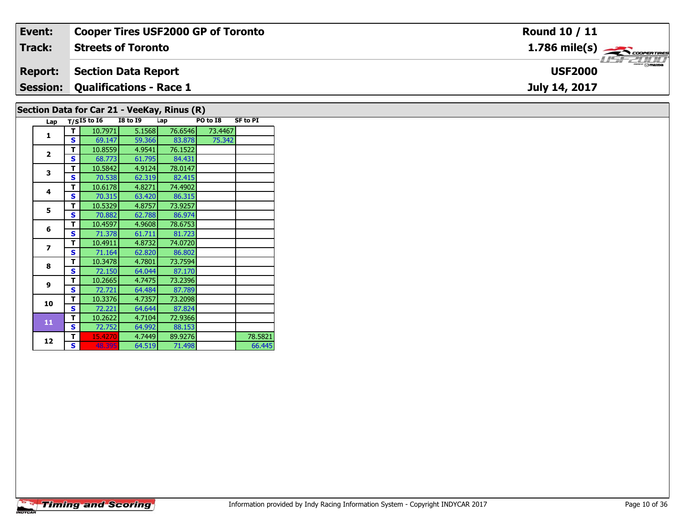| Event:                                    | <b>Cooper Tires USF2000 GP of Toronto</b> | <b>Round 10 / 11</b>                                      |  |  |  |  |  |  |  |  |
|-------------------------------------------|-------------------------------------------|-----------------------------------------------------------|--|--|--|--|--|--|--|--|
| Track:                                    | <b>Streets of Toronto</b>                 | $1.786$ mile(s) $\overbrace{\hspace{2.5cm}}$ coorer TIRES |  |  |  |  |  |  |  |  |
| <b>Report:</b>                            | Section Data Report                       | <b>USF2000</b>                                            |  |  |  |  |  |  |  |  |
|                                           | <b>Session: Qualifications - Race 1</b>   | July 14, 2017                                             |  |  |  |  |  |  |  |  |
| $Socion Data for Car21 - Vaakay Dinus(D)$ |                                           |                                                           |  |  |  |  |  |  |  |  |

## **Section Data for Car 21 - VeeKay, Rinus (R)**

| Lap            |   | $T/SI5$ to $I6$ | <b>I8 to 19</b> | Lap     | PO to I8 | <b>SF to PI</b> |
|----------------|---|-----------------|-----------------|---------|----------|-----------------|
| 1              | т | 10.7971         | 5.1568          | 76.6546 | 73.4467  |                 |
|                | S | 69.147          | 59.366          | 83.878  | 75.342   |                 |
| $\overline{2}$ | т | 10.8559         | 4.9541          | 76.1522 |          |                 |
|                | S | 68.773          | 61.795          | 84.431  |          |                 |
| 3              | т | 10.5842         | 4.9124          | 78.0147 |          |                 |
|                | S | 70.538          | 62.319          | 82.415  |          |                 |
| 4              | т | 10.6178         | 4.8271          | 74.4902 |          |                 |
|                | S | 70.315          | 63.420          | 86.315  |          |                 |
| 5              | т | 10.5329         | 4.8757          | 73.9257 |          |                 |
|                | S | 70.882          | 62.788          | 86.974  |          |                 |
| 6              | т | 10.4597         | 4.9608          | 78.6753 |          |                 |
|                | S | 71.378          | 61.711          | 81.723  |          |                 |
| 7              | т | 10.4911         | 4.8732          | 74.0720 |          |                 |
|                | S | 71.164          | 62.820          | 86.802  |          |                 |
| 8              | т | 10.3478         | 4.7801          | 73.7594 |          |                 |
|                | S | 72.150          | 64.044          | 87.170  |          |                 |
| $\mathbf{9}$   | т | 10.2665         | 4.7475          | 73.2396 |          |                 |
|                | S | 72.721          | 64.484          | 87.789  |          |                 |
| 10             | т | 10.3376         | 4.7357          | 73.2098 |          |                 |
|                | S | 72.221          | 64.644          | 87.824  |          |                 |
| 11             | т | 10.2622         | 4.7104          | 72.9366 |          |                 |
|                | S | 72.752          | 64.992          | 88.153  |          |                 |
| 12             | т | 15.4270         | 4.7449          | 89.9276 |          | 78.5821         |
|                | S | 48.395          | 64.519          | 71.498  |          | 66.445          |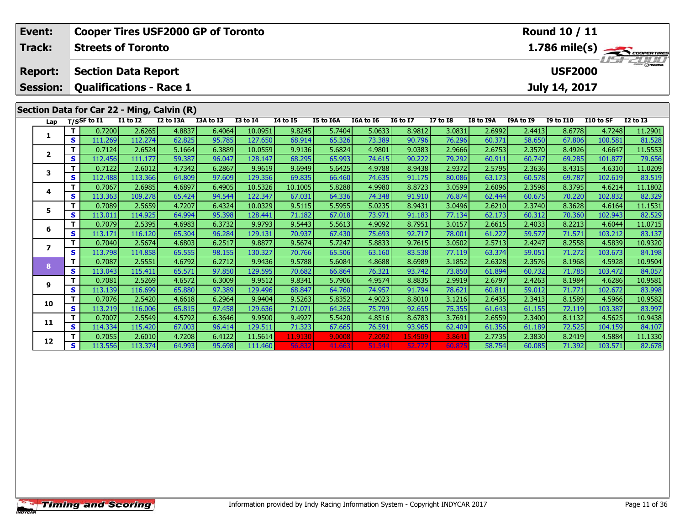| Event:                                                                                                                                          |                   | <b>Cooper Tires USF2000 GP of Toronto</b> |                   |                  |                  |                   |                  |                  |                  |                  |                  |                  | Round 10 / 11    |                                 |                   |                                 |  |
|-------------------------------------------------------------------------------------------------------------------------------------------------|-------------------|-------------------------------------------|-------------------|------------------|------------------|-------------------|------------------|------------------|------------------|------------------|------------------|------------------|------------------|---------------------------------|-------------------|---------------------------------|--|
| Track:                                                                                                                                          |                   | <b>Streets of Toronto</b>                 |                   |                  |                  |                   |                  |                  |                  |                  |                  |                  |                  |                                 |                   | $1.786 \text{ mile(s)}$         |  |
| <b>Section Data Report</b><br><b>Report:</b><br><b>Qualifications - Race 1</b><br><b>Session:</b><br>Section Data for Car 22 - Ming, Calvin (R) |                   |                                           |                   |                  |                  |                   |                  |                  |                  |                  |                  |                  |                  | <b>USF2000</b><br>July 14, 2017 |                   | $\frac{2}{\sqrt{2}}$ or mazzo a |  |
| Lap                                                                                                                                             |                   | $T/S$ SF to I1                            | <b>I1 to I2</b>   | I2 to I3A        | I3A to I3        | <b>I3 to I4</b>   | <b>I4 to I5</b>  | I5 to I6A        | I6A to I6        | <b>I6 to I7</b>  | <b>I7 to I8</b>  | <b>I8 to I9A</b> | I9A to I9        | <b>I9 to I10</b>                | I10 to SF         | <b>I2 to I3</b>                 |  |
|                                                                                                                                                 | т                 | 0.7200                                    | 2.6265            | 4.8837           | 6.4064           | 10.0951           | 9.8245           | 5.7404           | 5.0633           | 8.9812           | 3.0831           | 2.6992           | 2.4413           | 8.6778                          | 4.7248            | 11.2901                         |  |
| 1                                                                                                                                               | $\mathbf{s}$      | 111.269                                   | 112.274           | 62.825           | 95.785           | 127.650           | 68.914           | 65.326           | 73.389           | 90.796           | 76.296           | 60.371           | 58.650           | 67.806                          | 100.581           | 81.528                          |  |
| $\overline{2}$                                                                                                                                  | т                 | 0.7124                                    | 2.6524            | 5.1664           | 6.3889           | 10.0559           | 9.9136           | 5.6824           | 4.9801           | 9.0383           | 2.9666           | 2.6753           | 2.3570           | 8.4926                          | 4.6647            | 11.5553                         |  |
|                                                                                                                                                 | $\mathbf{s}$      | 112.456                                   | 111.177           | 59.387           | 96.047           | 128.147           | 68.295           | 65.993           | 74.615           | 90.222           | 79.292           | 60.911           | 60.747           | 69.285                          | 101.877           | 79.656                          |  |
| 3                                                                                                                                               | T                 | 0.7122                                    | 2.6012            | 4.7342           | 6.2867           | 9.9619            | 9.6949           | 5.6425           | 4.9788           | 8.9438           | 2.9372           | 2.5795           | 2.3636           | 8.4315                          | 4.6310            | 11.0209                         |  |
|                                                                                                                                                 | $\mathbf{s}$      | 112.488                                   | 113.366           | 64.809           | 97.609           | 129.356           | 69.835           | 66.460           | 74.635           | 91.175           | 80.086           | 63.173           | 60.578           | 69.787                          | 102.619           | 83.519                          |  |
| 4                                                                                                                                               | T                 | 0.7067                                    | 2.6985            | 4.6897           | 6.4905           | 10.5326           | 10.1005          | 5.8288           | 4.9980           | 8.8723           | 3.0599           | 2.6096           | 2.3598           | 8.3795                          | 4.6214            | 11.1802                         |  |
|                                                                                                                                                 | S                 | 113.363                                   | 109.278           | 65.424           | 94.544           | 122.347           | 67.031           | 64.336           | 74.348           | 91.910           | 76.874           | 62.444           | 60.675           | 70.220                          | 102.832           | 82.329                          |  |
| 5                                                                                                                                               | т                 | 0.7089                                    | 2.5659            | 4.7207           | 6.4324           | 10.0329           | 9.5115           | 5.5955           | 5.0235           | 8.9431           | 3.0496           | 2.6210           | 2.3740           | 8.3628                          | 4.6164            | 11.1531                         |  |
|                                                                                                                                                 | $\mathbf{s}$<br>т | 113.011<br>0.7079                         | 114.925           | 64.994<br>4.6983 | 95.398<br>6.3732 | 128.441<br>9.9793 | 71.182           | 67.018<br>5.5613 | 73.971<br>4.9092 | 91.183<br>8.7951 | 77.134           | 62.173<br>2.6615 | 60.312<br>2.4033 | 70.360<br>8.2213                | 102.943<br>4.6044 | 82.529                          |  |
| 6                                                                                                                                               | $\mathbf{s}$      | 113.171                                   | 2.5395<br>116.120 | 65.304           | 96.284           | 129.131           | 9.5443<br>70.937 | 67.430           | 75.693           | 92.717           | 3.0157<br>78.001 | 61.227           | 59.577           | 71.571                          | 103.212           | 11.0715<br>83.137               |  |
|                                                                                                                                                 | т                 | 0.7040                                    | 2.5674            | 4.6803           | 6.2517           | 9.8877            | 9.5674           | 5.7247           | 5.8833           | 9.7615           | 3.0502           | 2.5713           | 2.4247           | 8.2558                          | 4.5839            | 10.9320                         |  |
| $\overline{\mathbf{z}}$                                                                                                                         | S                 | 113.798                                   | 114.858           | 65.555           | 98.155           | 130.327           | 70.766           | 65.506           | 63.160           | 83.538           | 77.119           | 63.374           | 59.051           | 71.272                          | 103.673           | 84.198                          |  |
|                                                                                                                                                 | $\mathbf{T}$      | 0.7087                                    | 2.5551            | 4.6792           | 6.2712           | 9.9436            | 9.5788           | 5.6084           | 4.8688           | 8.6989           | 3.1852           | 2.6328           | 2.3576           | 8.1968                          | 4.5928            | 10.9504                         |  |
| 8                                                                                                                                               | $\mathbf{s}$      | 113.043                                   | 115.411           | 65.571           | 97.850           | 129.595           | 70.682           | 66.864           | 76.321           | 93.742           | 73.850           | 61.894           | 60.732           | 71.785                          | 103.472           | 84.057                          |  |
| 9                                                                                                                                               | T                 | 0.7081                                    | 2.5269            | 4.6572           | 6.3009           | 9.9512            | 9.8341           | 5.7906           | 4.9574           | 8.8835           | 2.9919           | 2.6797           | 2.4263           | 8.1984                          | 4.6286            | 10.9581                         |  |
|                                                                                                                                                 | $\mathbf{s}$      | 113.139                                   | 116.699           | 65.880           | 97.389           | 129.496           | 68.847           | 64.760           | 74.957           | 91.794           | 78.621           | 60.811           | 59.012           | 71.771                          | 102.672           | 83.998                          |  |
| 10                                                                                                                                              | T.                | 0.7076                                    | 2.5420            | 4.6618           | 6.2964           | 9.9404            | 9.5263           | 5.8352           | 4.9023           | 8.8010           | 3.1216           | 2.6435           | 2.3413           | 8.1589                          | 4.5966            | 10.9582                         |  |
|                                                                                                                                                 | S                 | 113.219                                   | 116.006           | 65.815           | 97.458           | 129.636           | 71.071           | 64.265           | 75.799           | 92.655           | 75.355           | 61.643           | 61.155           | 72.119                          | 103.387           | 83.997                          |  |
| 11                                                                                                                                              | т                 | 0.7007                                    | 2.5549            | 4.5792           | 6.3646           | 9.9500            | 9.4927           | 5.5420           | 4.8516           | 8.6783           | 3.7691           | 2.6559           | 2.3400           | 8.1132                          | 4.5625            | 10.9438                         |  |
|                                                                                                                                                 | $\mathbf{s}$      | 114.334                                   | 115.420           | 67.003           | 96.414           | 129.511           | 71.323           | 67.665           | 76.591           | 93.965           | 62.409           | 61.356           | 61.189           | 72.525                          | 104.159           | 84.107                          |  |
| 12                                                                                                                                              | T                 | 0.7055                                    | 2.6010            | 4.7208           | 6.4122           | 11.5614           | 11.9130          | 9.0008           | 7.2092           | 15.4509          | 3.864            | 2.7735           | 2.3830           | 8.2419                          | 4.5884            | 11.1330                         |  |
|                                                                                                                                                 | S                 | 113.556                                   | 113.374           | 64.993           | 95.698           | 111.460           | 56.832           | 41.663           | 51.544           | 52.777           | 60.87            | 58.754           | 60.085           | 71.392                          | 103.571           | 82.678                          |  |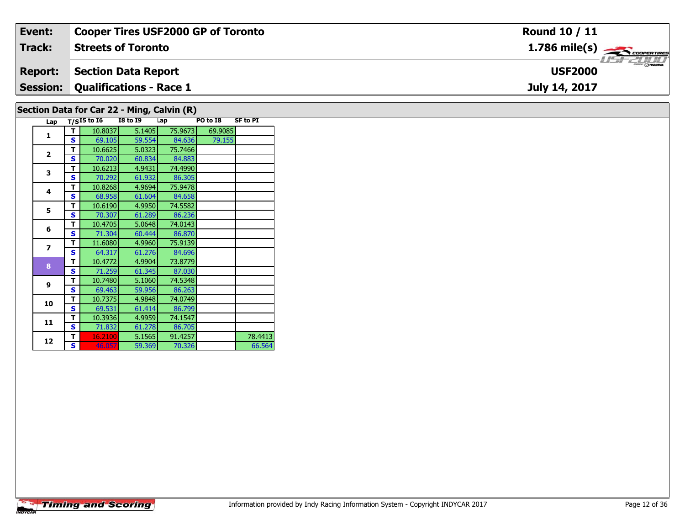| Event:                                     | <b>Cooper Tires USF2000 GP of Toronto</b> | <b>Round 10 / 11</b>                                      |  |  |  |  |  |  |  |  |
|--------------------------------------------|-------------------------------------------|-----------------------------------------------------------|--|--|--|--|--|--|--|--|
| Track:                                     | <b>Streets of Toronto</b>                 | $1.786$ mile(s) $\overbrace{\hspace{2.5cm}}$ coorer TIRES |  |  |  |  |  |  |  |  |
| <b>Report:</b>                             | Section Data Report                       | <b>USF2000</b>                                            |  |  |  |  |  |  |  |  |
|                                            | <b>Session: Qualifications - Race 1</b>   | July 14, 2017                                             |  |  |  |  |  |  |  |  |
| Section Data for Car 22 - Ming, Calvin (R) |                                           |                                                           |  |  |  |  |  |  |  |  |

| CCCIVII DUCU IVI CUI ZZ<br>ring, varm (K) |   |                 |                 |         |          |                 |  |  |  |  |  |  |  |
|-------------------------------------------|---|-----------------|-----------------|---------|----------|-----------------|--|--|--|--|--|--|--|
| Lap                                       |   | $T/SI5$ to $I6$ | <b>I8 to 19</b> | Lap     | PO to I8 | <b>SF to PI</b> |  |  |  |  |  |  |  |
| $\mathbf{1}$                              | т | 10.8037         | 5.1405          | 75.9673 | 69.9085  |                 |  |  |  |  |  |  |  |
|                                           | S | 69.105          | 59.554          | 84.636  | 79.155   |                 |  |  |  |  |  |  |  |
| $\overline{2}$                            | T | 10.6625         | 5.0323          | 75.7466 |          |                 |  |  |  |  |  |  |  |
|                                           | S | 70.020          | 60.834          | 84.883  |          |                 |  |  |  |  |  |  |  |
| 3                                         | T | 10.6213         | 4.9431          | 74.4990 |          |                 |  |  |  |  |  |  |  |
|                                           | S | 70.292          | 61.932          | 86.305  |          |                 |  |  |  |  |  |  |  |
| $\overline{\mathbf{4}}$                   | T | 10.8268         | 4.9694          | 75.9478 |          |                 |  |  |  |  |  |  |  |
|                                           | S | 68.958          | 61.604          | 84.658  |          |                 |  |  |  |  |  |  |  |
| 5                                         | т | 10.6190         | 4.9950          | 74.5582 |          |                 |  |  |  |  |  |  |  |
|                                           | S | 70.307          | 61.289          | 86.236  |          |                 |  |  |  |  |  |  |  |
| 6                                         | т | 10.4705         | 5.0648          | 74.0143 |          |                 |  |  |  |  |  |  |  |
|                                           | S | 71.304          | 60.444          | 86.870  |          |                 |  |  |  |  |  |  |  |
| 7                                         | т | 11.6080         | 4.9960          | 75.9139 |          |                 |  |  |  |  |  |  |  |
|                                           | S | 64.317          | 61.276          | 84.696  |          |                 |  |  |  |  |  |  |  |
| 8                                         | T | 10.4772         | 4.9904          | 73.8779 |          |                 |  |  |  |  |  |  |  |
|                                           | S | 71.259          | 61.345          | 87.030  |          |                 |  |  |  |  |  |  |  |
| 9                                         | т | 10.7480         | 5.1060          | 74.5348 |          |                 |  |  |  |  |  |  |  |
|                                           | S | 69.463          | 59.956          | 86.263  |          |                 |  |  |  |  |  |  |  |
| 10                                        | T | 10.7375         | 4.9848          | 74.0749 |          |                 |  |  |  |  |  |  |  |
|                                           | S | 69.531          | 61.414          | 86.799  |          |                 |  |  |  |  |  |  |  |
| 11                                        | T | 10.3936         | 4.9959          | 74.1547 |          |                 |  |  |  |  |  |  |  |
|                                           | S | 71.832          | 61.278          | 86.705  |          |                 |  |  |  |  |  |  |  |
| 12                                        | T | 16.2100         | 5.1565          | 91.4257 |          | 78.4413         |  |  |  |  |  |  |  |
|                                           | S | 46.057          | 59.369          | 70.326  |          | 66.564          |  |  |  |  |  |  |  |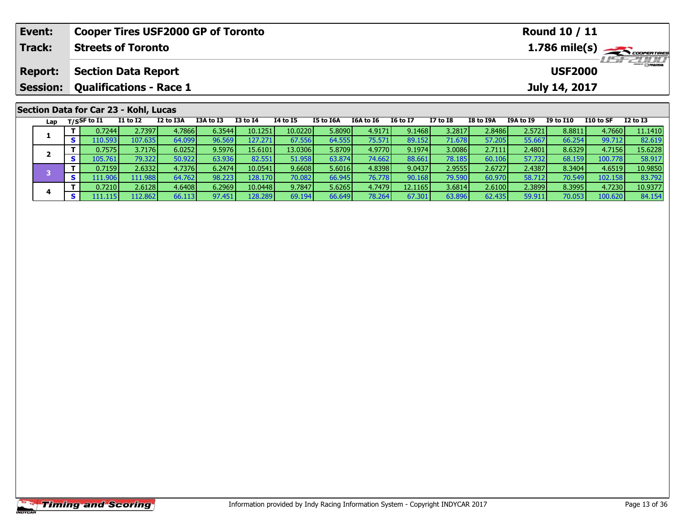| Event:          | <b>Cooper Tires USF2000 GP of Toronto</b>                                                                                                             | <b>Round 10 / 11</b>                                                                                 |  |  |  |  |  |  |  |  |  |  |  |
|-----------------|-------------------------------------------------------------------------------------------------------------------------------------------------------|------------------------------------------------------------------------------------------------------|--|--|--|--|--|--|--|--|--|--|--|
| Track:          | <b>Streets of Toronto</b>                                                                                                                             | $1.786$ mile(s) $\rightarrow$ COOPER TIRES<br><b>USF 2000</b>                                        |  |  |  |  |  |  |  |  |  |  |  |
| <b>Report:</b>  | <b>Section Data Report</b><br><b>USF2000</b>                                                                                                          |                                                                                                      |  |  |  |  |  |  |  |  |  |  |  |
| <b>Session:</b> | <b>Qualifications - Race 1</b>                                                                                                                        | July 14, 2017                                                                                        |  |  |  |  |  |  |  |  |  |  |  |
|                 | Section Data for Car 23 - Kohl, Lucas                                                                                                                 |                                                                                                      |  |  |  |  |  |  |  |  |  |  |  |
| Lap             | I3A to I3<br><b>I3 to I4</b><br><b>I6A to I6</b><br>14 to 15<br>I5 to I6A<br><b>I6 to I7</b><br>$_{\rm T/SS}$ F to I1<br><b>I1 to I2</b><br>I2 to I3A | <b>I7 to I8</b><br><b>I9A to I9</b><br><b>I9 to I10</b><br>I10 to SF<br>I8 to I9A<br><b>I2 to I3</b> |  |  |  |  |  |  |  |  |  |  |  |
|                 | 63544<br>101251<br>10.0220 <b>1</b><br>5.80901<br>4 7866 L<br>91468<br>0.7244<br>49171<br>2 73971                                                     | 111410<br>3.28171<br>28486L<br>25721<br>8 8 8 1 1<br>4 7660                                          |  |  |  |  |  |  |  |  |  |  |  |

|  |   | 0.7244    | 2.7397               | 4.7866 | 6.3544 | 10.1251 | 10.0220 | 5.8090 | 4.9171 | 9.1468  | 3.2817 | 2.8486  | 2.5721 | 8.8811 | 4.7660   | 11.1410 |
|--|---|-----------|----------------------|--------|--------|---------|---------|--------|--------|---------|--------|---------|--------|--------|----------|---------|
|  |   | 110.593   | 107.635              | 64.099 | 96.569 | 127.271 | 67.556  | 64.555 | 75.571 | 89.152  | 71.678 | 57.205  | 55.667 | 66.254 | 99.712   | 82.619  |
|  |   | 0.7575    | 3.7176               | 6.0252 | 9.5976 | 15.6101 | 13.0306 | 5.8709 | 4.9770 | 9.1974  | 3.0086 | 2.7111  | 2.4801 | 8.6329 | 4.7156 l | 15.6228 |
|  | э | 105.761   | 79.322               | 50.922 | 63.936 | 82.551  | 51.958  | 63.874 | 74.662 | 88.661  | 78.185 | 60.106  | 57.732 | 68.159 | 100.778  | 58.917  |
|  |   | 0.7159    | 2.6332               | 4.7376 | 6.2474 | 10.0541 | 9.6608  | 5.6016 | 4.8398 | 9.0437  | 2.9555 | 2.6727  | 2.4387 | 8.3404 | 4.6519   | 10.9850 |
|  | Э | 111.906 l | 111.988 <sup>P</sup> | 64.762 | 98.223 | 128.170 | 70.082  | 66.945 | 76.778 | 90.168  | 79.590 | 60.970  | 58.712 | 70.549 | 102.158  | 83.792  |
|  |   | 0.7210    | 2.6128               | 4.6408 | 6.2969 | 10.0448 | 9.7847  | 5.6265 | 4.7479 | 12.1165 | 3.6814 | 2.6100  | 2.3899 | 8.3995 | 4.7230   | 10.9377 |
|  |   | 111.1151  | 12.862               | 66.113 | 97.451 | 128.289 | 69.194  | 66.649 | 78.264 | 67.301  | 63.896 | 62.4351 | 59.911 | 70.053 | 100.620  | 84.154  |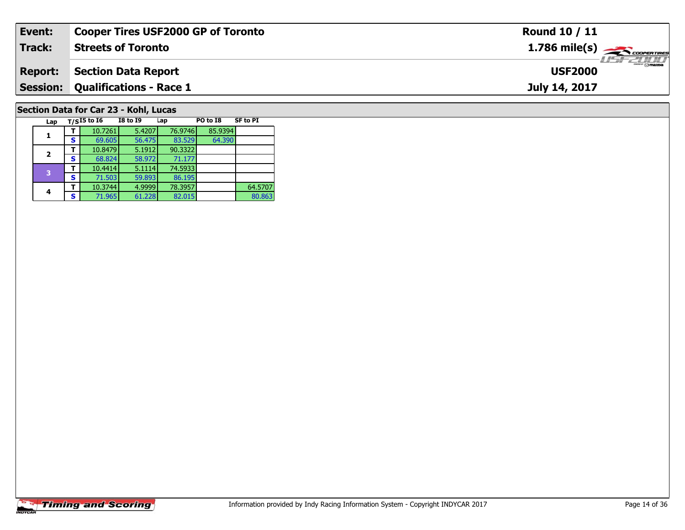| Event:                                | <b>Cooper Tires USF2000 GP of Toronto</b> | Round 10 / 11                                          |  |  |  |  |  |  |  |  |
|---------------------------------------|-------------------------------------------|--------------------------------------------------------|--|--|--|--|--|--|--|--|
| Track:                                | <b>Streets of Toronto</b>                 | $1.786$ mile(s) $\overbrace{\hspace{2cm}}$ COOPERTIRES |  |  |  |  |  |  |  |  |
| <b>Report:</b>                        | <b>Section Data Report</b>                | <b>USF2000</b>                                         |  |  |  |  |  |  |  |  |
|                                       | <b>Session: Qualifications - Race 1</b>   | July 14, 2017                                          |  |  |  |  |  |  |  |  |
| Section Data for Car 23 - Kohl, Lucas |                                           |                                                        |  |  |  |  |  |  |  |  |

| Lap                     |   | $T/SI5$ to $I6$ | <b>I8 to 19</b> | Lap     | PO to I8 | <b>SF to PI</b> |
|-------------------------|---|-----------------|-----------------|---------|----------|-----------------|
|                         |   | 10.7261         | 5.4207          | 76.9746 | 85.9394  |                 |
|                         | s | 69.605          | 56.475          | 83.529  | 64.390   |                 |
| $\overline{\mathbf{2}}$ |   | 10.8479         | 5.1912          | 90.3322 |          |                 |
|                         | S | 68.824          | 58.972          | 71.177  |          |                 |
| 3                       |   | 10.4414         | 5.1114          | 74.5933 |          |                 |
|                         | s | 71.503          | 59.893          | 86.195  |          |                 |
|                         |   | 10.3744         | 4.9999          | 78.3957 |          | 64.5707         |
| 4                       | S | 71.965          | 61.228          | 82.015  |          | 80.863          |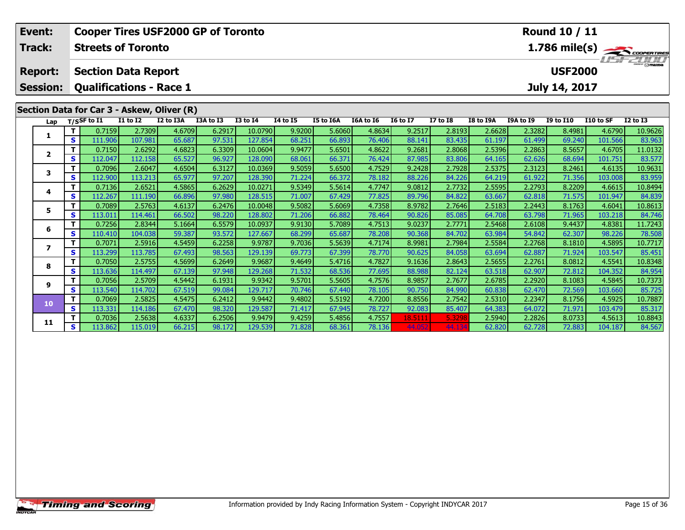| Event:                                     |              | <b>Cooper Tires USF2000 GP of Toronto</b>                    |                   |                  |                  |                   |                  |                  |                  |                  |                  |                                            |                  | <b>Round 10 / 11</b> |                   |                         |
|--------------------------------------------|--------------|--------------------------------------------------------------|-------------------|------------------|------------------|-------------------|------------------|------------------|------------------|------------------|------------------|--------------------------------------------|------------------|----------------------|-------------------|-------------------------|
| Track:                                     |              | <b>Streets of Toronto</b>                                    |                   |                  |                  |                   |                  |                  |                  |                  |                  |                                            |                  |                      |                   | $1.786 \text{ mile(s)}$ |
| <b>Report:</b><br><b>Session:</b>          |              | <b>Section Data Report</b><br><b>Qualifications - Race 1</b> |                   |                  |                  |                   |                  |                  |                  |                  |                  | 15FZUTU<br><b>USF2000</b><br>July 14, 2017 |                  |                      |                   |                         |
| Section Data for Car 3 - Askew, Oliver (R) |              |                                                              |                   |                  |                  |                   |                  |                  |                  |                  |                  |                                            |                  |                      |                   |                         |
| Lap                                        |              | T/SSF to I1                                                  | <b>I1 to I2</b>   | I2 to I3A        | I3A to I3        | <b>I3 to I4</b>   | 14 to 15         | I5 to I6A        | I6A to I6        | <b>16 to 17</b>  | <b>I7 to I8</b>  | I8 to I9A                                  | I9A to I9        | <b>I9 to I10</b>     | I10 to SF         | <b>I2 to I3</b>         |
| 1                                          | $\mathbf{T}$ | 0.7159                                                       | 2.7309            | 4.6709           | 6.2917           | 10.0790           | 9.9200           | 5.6060           | 4.8634           | 9.2517           | 2.8193           | 2.6628                                     | 2.3282           | 8.4981               | 4.6790            | 10.9626                 |
|                                            | $\mathbf{s}$ | 111.906                                                      | 107.981           | 65.687           | 97.531           | 127.854           | 68.251           | 66.893           | 76.406           | 88.141           | 83.435           | 61.197                                     | 61.499           | 69.240               | 101.566           | 83.963                  |
| $\overline{2}$                             | т            | 0.7150                                                       | 2.6292            | 4.6823           | 6.3309           | 10.0604           | 9.9477           | 5.6501           | 4.8622           | 9.2681           | 2.8068           | 2.5396                                     | 2.2863           | 8.5657               | 4.6705            | 11.0132                 |
|                                            | $\mathbf{s}$ | 112.047                                                      | 112.158           | 65.527           | 96.927           | 128.090           | 68.061           | 66.371           | 76.424           | 87.985           | 83.806           | 64.165                                     | 62.626           | 68.694               | 101.751           | 83.577                  |
| 3                                          | т            | 0.7096                                                       | 2.6047            | 4.6504           | 6.3127           | 10.0369           | 9.5059           | 5.6500           | 4.7529           | 9.2428           | 2.7928           | 2.5375                                     | 2.3123           | 8.2461               | 4.6135            | 10.9631                 |
|                                            | $\mathbf{s}$ | 112.900                                                      | 113.213           | 65.977           | 97.207           | 128.390           | 71.224           | 66.372           | 78.182           | 88.226           | 84.226           | 64.219                                     | 61.922           | 71.356               | 103.008           | 83.959                  |
| 4                                          | т            | 0.7136                                                       | 2.6521            | 4.5865           | 6.2629           | 10.0271           | 9.5349           | 5.5614           | 4.7747           | 9.0812           | 2.7732           | 2.5595                                     | 2.2793           | 8.2209               | 4.6615            | 10.8494                 |
|                                            | S            | 112.267                                                      | 111.190           | 66.896           | 97.980           | 128.515           | 71.007           | 67.429           | 77.825           | 89.796           | 84.822           | 63.667                                     | 62.818           | 71.575               | 101.947           | 84.839                  |
| 5                                          | т            | 0.7089                                                       | 2.5763            | 4.6137           | 6.2476           | 10.0048           | 9.5082           | 5.6069           | 4.7358           | 8.9782           | 2.7646           | 2.5183                                     | 2.2443           | 8.1763               | 4.6041            | 10.8613                 |
|                                            | S            | 113.011                                                      | 114.461           | 66.502           | 98.220           | 128.802           | 71.206           | 66.882           | 78.464           | 90.826           | 85.085           | 64.708                                     | 63.798           | 71.965               | 103.218           | 84.746                  |
| 6                                          | т            | 0.7256                                                       | 2.8344            | 5.1664           | 6.5579           | 10.0937           | 9.9130           | 5.7089           | 4.7513           | 9.0237           | 2.7771           | 2.5468                                     | 2.6108           | 9.4437               | 4.8381            | 11.7243                 |
|                                            | S            | 110.410                                                      | 104.038           | 59.387           | 93.572           | 127.667           | 68.299           | 65.687           | 78.208           | 90.368           | 84.702           | 63.984                                     | 54.842           | 62.307               | 98.226            | 78.508                  |
| $\overline{\mathbf{z}}$                    | T<br>S       | 0.7071<br>113.299                                            | 2.5916<br>113.785 | 4.5459<br>67.493 | 6.2258<br>98.563 | 9.9787<br>129.139 | 9.7036<br>69.773 | 5.5639<br>67.399 | 4.7174<br>78.770 | 8.9981<br>90.625 | 2.7984           | 2.5584<br>63.694                           | 2.2768<br>62.887 | 8.1810<br>71.924     | 4.5895<br>103.547 | 10.7717<br>85.451       |
|                                            | т            | 0.7050                                                       | 2.5755            | 4.5699           | 6.2649           | 9.9687            | 9.4649           | 5.4716           | 4.7827           | 9.1636           | 84.058<br>2.8643 | 2.5655                                     | 2.2761           | 8.0812               | 4.5541            | 10.8348                 |
| 8                                          | $\mathbf{s}$ | 113.636                                                      | 114.497           | 67.139           | 97.948           | 129.268           | 71.532           | 68.536           | 77.695           | 88.988           | 82.124           | 63.518                                     | 62.907           | 72.812               | 104.352           | 84.954                  |
|                                            |              | 0.7056                                                       | 2.5709            | 4.5442           | 6.1931           | 9.9342            | 9.5701           | 5.5605           | 4.7576           | 8.9857           | 2.7677           | 2.6785                                     | 2.2920           | 8.1083               | 4.5845            | 10.7373                 |
| 9                                          | S            | 113.540                                                      | 114.702           | 67.519           | 99.084           | 129.717           | 70.746           | 67.440           | 78.105           | 90.750           | 84.990           | 60.838                                     | 62.470           | 72.569               | 103.660           | 85.725                  |
|                                            | $\mathbf T$  | 0.7069                                                       | 2.5825            | 4.5475           | 6.2412           | 9.9442            | 9.4802           | 5.5192           | 4.7200           | 8.8556           | 2.7542           | 2.5310                                     | 2.2347           | 8.1756               | 4.5925            | 10.7887                 |
| 10                                         | <b>S</b>     | 113.331                                                      | 114.186           | 67.470           | 98.320           | 129.587           | 71.417           | 67.945           | 78.727           | 92.083           | 85.407           | 64.383                                     | 64.072           | 71.971               | 103.479           | 85.317                  |
|                                            | т            | 0.7036                                                       | 2.5638            | 4.6337           | 6.2506           | 9.9479            | 9.4259           | 5.4856           | 4.7557           | 18.5111          | 5.3298           | 2.5940                                     | 2.2826           | 8.0733               | 4.5613            | 10.8843                 |
| 11                                         | S            | 113.862                                                      | 115.019           | 66.215           | 98.172           | 129.539           | 71.828           | 68.361           | 78.136           | 44.052           | 44.134           | 62.820                                     | 62.728           | 72.883               | 104.187           | 84.567                  |
|                                            |              |                                                              |                   |                  |                  |                   |                  |                  |                  |                  |                  |                                            |                  |                      |                   |                         |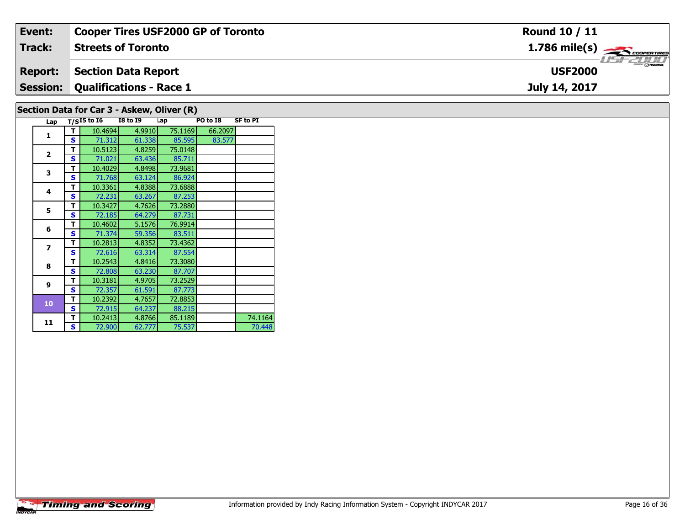| Event:                                     | <b>Cooper Tires USF2000 GP of Toronto</b> | <b>Round 10 / 11</b>                                   |  |  |  |  |  |  |  |  |
|--------------------------------------------|-------------------------------------------|--------------------------------------------------------|--|--|--|--|--|--|--|--|
| Track:                                     | <b>Streets of Toronto</b>                 | $1.786$ mile(s) $\overbrace{\hspace{2cm}}$ coorentines |  |  |  |  |  |  |  |  |
| <b>Report:</b>                             | Section Data Report                       | <b>USF2000</b>                                         |  |  |  |  |  |  |  |  |
|                                            | <b>Session: Qualifications - Race 1</b>   | July 14, 2017                                          |  |  |  |  |  |  |  |  |
| Section Data for Car 3 - Askew, Oliver (R) |                                           |                                                        |  |  |  |  |  |  |  |  |

| ,,,,,,,,,               |   |                 |                 |         |          |                 |  |  |  |  |  |  |  |
|-------------------------|---|-----------------|-----------------|---------|----------|-----------------|--|--|--|--|--|--|--|
| Lap                     |   | $T/SI5$ to $I6$ | <b>I8 to I9</b> | Lap     | PO to I8 | <b>SF to PI</b> |  |  |  |  |  |  |  |
| $\mathbf{1}$            | т | 10.4694         | 4.9910          | 75.1169 | 66.2097  |                 |  |  |  |  |  |  |  |
|                         | S | 71.312          | 61.338          | 85.595  | 83.577   |                 |  |  |  |  |  |  |  |
|                         | т | 10.5123         | 4.8259          | 75.0148 |          |                 |  |  |  |  |  |  |  |
| $\overline{2}$          | S | 71.021          | 63.436          | 85.711  |          |                 |  |  |  |  |  |  |  |
|                         | т | 10.4029         | 4.8498          | 73.9681 |          |                 |  |  |  |  |  |  |  |
| 3                       | S | 71.768          | 63.124          | 86.924  |          |                 |  |  |  |  |  |  |  |
|                         | т | 10.3361         | 4.8388          | 73.6888 |          |                 |  |  |  |  |  |  |  |
| 4                       | S | 72.231          | 63.267          | 87.253  |          |                 |  |  |  |  |  |  |  |
|                         | т | 10.3427         | 4.7626          | 73.2880 |          |                 |  |  |  |  |  |  |  |
| 5                       | S | 72.185          | 64.279          | 87.731  |          |                 |  |  |  |  |  |  |  |
|                         | т | 10.4602         | 5.1576          | 76.9914 |          |                 |  |  |  |  |  |  |  |
| 6                       | S | 71.374          | 59.356          | 83.511  |          |                 |  |  |  |  |  |  |  |
|                         | т | 10.2813         | 4.8352          | 73.4362 |          |                 |  |  |  |  |  |  |  |
| $\overline{\mathbf{z}}$ | S | 72.616          | 63.314          | 87.554  |          |                 |  |  |  |  |  |  |  |
|                         | т | 10.2543         | 4.8416          | 73.3080 |          |                 |  |  |  |  |  |  |  |
| 8                       | S | 72.808          | 63.230          | 87.707  |          |                 |  |  |  |  |  |  |  |
|                         | т | 10.3181         | 4.9705          | 73.2529 |          |                 |  |  |  |  |  |  |  |
| 9                       | S | 72.357          | 61.591          | 87.773  |          |                 |  |  |  |  |  |  |  |
|                         | т | 10.2392         | 4.7657          | 72.8853 |          |                 |  |  |  |  |  |  |  |
| 10                      | S | 72.915          | 64.237          | 88.215  |          |                 |  |  |  |  |  |  |  |
|                         | T | 10.2413         | 4.8766          | 85.1189 |          | 74.1164         |  |  |  |  |  |  |  |
| 11                      | S | 72.900          | 62.777          | 75.537  |          | 70.448          |  |  |  |  |  |  |  |
|                         |   |                 |                 |         |          |                 |  |  |  |  |  |  |  |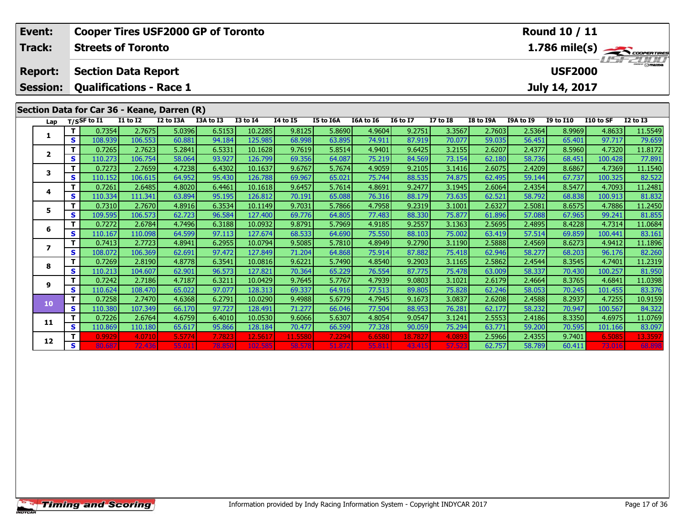|                                                                                                                                                                                                                                                                                                | Event:                            | <b>Cooper Tires USF2000 GP of Toronto</b> |                                                              |                   |                  |                  |                    |                  |                  |                  |                  |                  |                  | Round 10 / 11    |                                 |                         |                   |
|------------------------------------------------------------------------------------------------------------------------------------------------------------------------------------------------------------------------------------------------------------------------------------------------|-----------------------------------|-------------------------------------------|--------------------------------------------------------------|-------------------|------------------|------------------|--------------------|------------------|------------------|------------------|------------------|------------------|------------------|------------------|---------------------------------|-------------------------|-------------------|
| Track:                                                                                                                                                                                                                                                                                         |                                   |                                           | <b>Streets of Toronto</b>                                    |                   |                  |                  |                    |                  |                  |                  |                  |                  |                  |                  |                                 | $1.786 \text{ mile(s)}$ |                   |
|                                                                                                                                                                                                                                                                                                | <b>Report:</b><br><b>Session:</b> |                                           | <b>Section Data Report</b><br><b>Qualifications - Race 1</b> |                   |                  |                  |                    |                  |                  |                  |                  |                  |                  |                  | <b>USF2000</b><br>July 14, 2017 |                         | <b>ISF 2000</b>   |
| Section Data for Car 36 - Keane, Darren (R)<br>$T/S$ SF to I1<br><b>I1 to I2</b><br>I2 to I3A<br><b>I3 to I4</b><br><b>I4 to I5</b><br>I3A to I3<br>I5 to I6A<br>I6A to I6<br><b>I6 to I7</b><br><b>I7 to I8</b><br><b>I8 to I9A</b><br>I9A to I9<br>I9 to I10<br>I10 to SF<br><b>I2 to I3</b> |                                   |                                           |                                                              |                   |                  |                  |                    |                  |                  |                  |                  |                  |                  |                  |                                 |                         |                   |
|                                                                                                                                                                                                                                                                                                | Lap                               |                                           |                                                              |                   |                  |                  |                    |                  |                  |                  |                  |                  |                  |                  |                                 |                         |                   |
|                                                                                                                                                                                                                                                                                                | 1                                 |                                           | 0.7354                                                       | 2.7675            | 5.0396           | 6.5153           | 10.2285            | 9.8125           | 5.8690           | 4.9604           | 9.2751           | 3.3567           | 2.7603           | 2.5364           | 8.9969                          | 4.8633                  | 11.5549           |
|                                                                                                                                                                                                                                                                                                |                                   | S                                         | 108.939                                                      | 106.553           | 60.881           | 94.184           | 125.985            | 68.998           | 63.895           | 74.911           | 87.919           | 70.077           | 59.035           | 56.451           | 65.401                          | 97.717                  | 79.659            |
|                                                                                                                                                                                                                                                                                                | $\mathbf{2}$                      | т<br>S                                    | 0.7265<br>110.273                                            | 2.7623            | 5.2841<br>58.064 | 6.5331<br>93.927 | 10.1628            | 9.7619           | 5.8514<br>64.087 | 4.9401<br>75.219 | 9.6425           | 3.2155           | 2.6207           | 2.4377           | 8.5960                          | 4.7320                  | 11.8172           |
|                                                                                                                                                                                                                                                                                                |                                   | т                                         | 0.7273                                                       | 106.754<br>2.7659 | 4.7238           | 6.4302           | 126.799<br>10.1637 | 69.356<br>9.6767 | 5.7674           | 4.9059           | 84.569<br>9.2105 | 73.154<br>3.1416 | 62.180<br>2.6075 | 58.736<br>2.4209 | 68.451<br>8.6867                | 100.428<br>4.7369       | 77.891<br>11.1540 |
|                                                                                                                                                                                                                                                                                                | 3                                 | S                                         | 110.152                                                      | 106.615           | 64.952           | 95.430           | 126.788            | 69.967           | 65.021           | 75.744           | 88.535           | 74.875           | 62.495           | 59.144           | 67.737                          | 100.325                 | 82.522            |
|                                                                                                                                                                                                                                                                                                |                                   | T                                         | 0.7261                                                       | 2.6485            | 4.8020           | 6.4461           | 10.1618            | 9.6457           | 5.7614           | 4.8691           | 9.2477           | 3.1945           | 2.6064           | 2.4354           | 8.5477                          | 4.7093                  | 11.2481           |
|                                                                                                                                                                                                                                                                                                | 4                                 | S                                         | 110.334                                                      | 111.341           | 63.894           | 95.195           | 126.812            | 70.191           | 65.088           | 76.316           | 88.179           | 73.635           | 62.521           | 58.792           | 68.838                          | 100.913                 | 81.832            |
|                                                                                                                                                                                                                                                                                                |                                   | т                                         | 0.7310                                                       | 2.7670            | 4.8916           | 6.3534           | 10.1149            | 9.7031           | 5.7866           | 4.7958           | 9.2319           | 3.1001           | 2.6327           | 2.5081           | 8.6575                          | 4.7886                  | 11.2450           |
|                                                                                                                                                                                                                                                                                                | 5.                                | S                                         | 109.595                                                      | 106.573           | 62.723           | 96.584           | 127.400            | 69.776           | 64.805           | 77.483           | 88.330           | 75.877           | 61.896           | 57.088           | 67.965                          | 99.241                  | 81.855            |
|                                                                                                                                                                                                                                                                                                | 6                                 | т                                         | 0.7272                                                       | 2.6784            | 4.7496           | 6.3188           | 10.0932            | 9.8791           | 5.7969           | 4.9185           | 9.2557           | 3.1363           | 2.5695           | 2.4895           | 8.4228                          | 4.7314                  | 11.0684           |
|                                                                                                                                                                                                                                                                                                |                                   | S                                         | 110.167                                                      | 110.098           | 64.599           | 97.113           | 127.674            | 68.533           | 64.690           | 75.550           | 88.103           | 75.002           | 63.419           | 57.514           | 69.859                          | 100.441                 | 83.161            |
|                                                                                                                                                                                                                                                                                                | $\overline{\mathbf{z}}$           | т                                         | 0.7413                                                       | 2.7723            | 4.8941           | 6.2955           | 10.0794            | 9.5085           | 5.7810           | 4.8949           | 9.2790           | 3.1190           | 2.5888           | 2.4569           | 8.6273                          | 4.9412                  | 11.1896           |
|                                                                                                                                                                                                                                                                                                |                                   | S                                         | 108.072                                                      | 106.369           | 62.691           | 97.472           | 127.849            | 71.204           | 64.868           | 75.914           | 87.882           | 75.418           | 62.946           | 58.277           | 68.203                          | 96.176                  | 82.260            |
|                                                                                                                                                                                                                                                                                                | 8                                 | т                                         | 0.7269                                                       | 2.8190            | 4.8778           | 6.3541           | 10.0816            | 9.6221           | 5.7490           | 4.8540           | 9.2903           | 3.1165           | 2.5862           | 2.4544           | 8.3545                          | 4.7401                  | 11.2319           |
|                                                                                                                                                                                                                                                                                                |                                   | $\mathbf{s}$                              | 110.213                                                      | 104.607           | 62.901           | 96.573           | 127.821            | 70.364           | 65.229           | 76.554           | 87.775           | 75.478           | 63.009           | 58.337           | 70.430                          | 100.257                 | 81.950            |
|                                                                                                                                                                                                                                                                                                | 9                                 | T                                         | 0.7242                                                       | 2.7186            | 4.7187           | 6.3211           | 10.0429            | 9.7645           | 5.7767           | 4.7939           | 9.0803           | 3.1021           | 2.6179           | 2.4664           | 8.3765                          | 4.6841                  | 11.0398           |
|                                                                                                                                                                                                                                                                                                |                                   | S                                         | 110.624                                                      | 108.470           | 65.022<br>4.6368 | 97.077           | 128.313            | 69.337           | 64.916           | 77.513           | 89.805           | 75.828           | 62.246           | 58.053           | 70.245                          | 101.455                 | 83.376            |
|                                                                                                                                                                                                                                                                                                | 10                                | $\mathbf T$<br>S                          | 0.7258<br>110.380                                            | 2.7470<br>107.349 | 66.170           | 6.2791<br>97.727 | 10.0290<br>128.491 | 9.4988<br>71.277 | 5.6779<br>66.046 | 4.7945<br>77.504 | 9.1673<br>88.953 | 3.0837<br>76.281 | 2.6208<br>62.177 | 2.4588<br>58.232 | 8.2937<br>70.947                | 4.7255<br>100.567       | 10.9159<br>84.322 |
|                                                                                                                                                                                                                                                                                                |                                   | т                                         | 0.7226                                                       | 2.6764            | 4.6759           | 6.4010           | 10.0530            | 9.6066           | 5.6307           | 4.8054           | 9.0547           | 3.1241           | 2.5553           | 2.4186           | 8.3350                          | 4.6975                  | 11.0769           |
|                                                                                                                                                                                                                                                                                                | 11                                | $\mathbf{s}$                              | 110.869                                                      | 110.180           | 65.617           | 95.866           | 128.184            | 70.477           | 66.599           | 77.328           | 90.059           | 75.294           | 63.771           | 59.200           | 70.595                          | 101.166                 | 83.097            |
|                                                                                                                                                                                                                                                                                                |                                   | т                                         | 0.9929                                                       | 4.0710            | 5.5774           | 7.7823           | 12.5617            | 11.5580          | 7.2294           | 6.6580           | 18.7827          | 4.089            | 2.5966           | 2.4355           | 9.7401                          | 6.5085                  | 13.3597           |
|                                                                                                                                                                                                                                                                                                | 12                                | S.                                        | 80.687                                                       | 72.436            | 55.011           | 78.850           | 102.585            | 58.578           | 51.872           | 55.811           | 43.415           | 57.52            | 62.757           | 58.789           | 60.411                          | 73.016                  | 68.898            |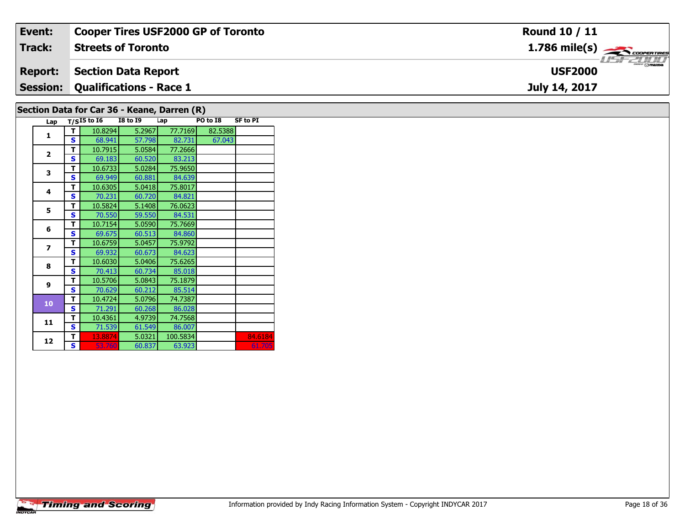| Event:                                      | <b>Cooper Tires USF2000 GP of Toronto</b> | <b>Round 10 / 11</b> |  |  |  |  |  |  |  |  |
|---------------------------------------------|-------------------------------------------|----------------------|--|--|--|--|--|--|--|--|
| Track:                                      | <b>Streets of Toronto</b>                 |                      |  |  |  |  |  |  |  |  |
| <b>Report:</b>                              | Section Data Report                       | <b>USF2000</b>       |  |  |  |  |  |  |  |  |
|                                             | <b>Session: Qualifications - Race 1</b>   | July 14, 2017        |  |  |  |  |  |  |  |  |
| Section Data for Car 36 - Keane, Darren (R) |                                           |                      |  |  |  |  |  |  |  |  |

| Lap            |   | $T/SI5$ to $I6$ | <b>I8 to 19</b> | Lap      | PO to I8 | <b>SF to PI</b> |
|----------------|---|-----------------|-----------------|----------|----------|-----------------|
| $\mathbf{1}$   | т | 10.8294         | 5.2967          | 77.7169  | 82.5388  |                 |
|                | s | 68.941          | 57.798          | 82.731   | 67.043   |                 |
| $\overline{2}$ | т | 10.7915         | 5.0584          | 77.2666  |          |                 |
|                | S | 69.183          | 60.520          | 83.213   |          |                 |
| 3              | т | 10.6733         | 5.0284          | 75.9650  |          |                 |
|                | S | 69.949          | 60.881          | 84.639   |          |                 |
| 4              | т | 10.6305         | 5.0418          | 75.8017  |          |                 |
|                | S | 70.231          | 60.720          | 84.821   |          |                 |
| 5              | т | 10.5824         | 5.1408          | 76.0623  |          |                 |
|                | S | 70.550          | 59.550          | 84.531   |          |                 |
| 6              | т | 10.7154         | 5.0590          | 75.7669  |          |                 |
|                | S | 69.675          | 60.513          | 84.860   |          |                 |
| 7              | т | 10.6759         | 5.0457          | 75.9792  |          |                 |
|                | S | 69.932          | 60.673          | 84.623   |          |                 |
| 8              | т | 10.6030         | 5.0406          | 75.6265  |          |                 |
|                | S | 70.413          | 60.734          | 85.018   |          |                 |
| $\mathbf{9}$   | т | 10.5706         | 5.0843          | 75.1879  |          |                 |
|                | S | 70.629          | 60.212          | 85.514   |          |                 |
| 10             | т | 10.4724         | 5.0796          | 74.7387  |          |                 |
|                | S | 71.291          | 60.268          | 86.028   |          |                 |
| 11             | т | 10.4361         | 4.9739          | 74.7568  |          |                 |
|                | S | 71.539          | 61.549          | 86.007   |          |                 |
| 12             | т | 13.8874         | 5.0321          | 100.5834 |          | 84.6184         |
|                | S | 53.760          | 60.837          | 63.923   |          | 61.705          |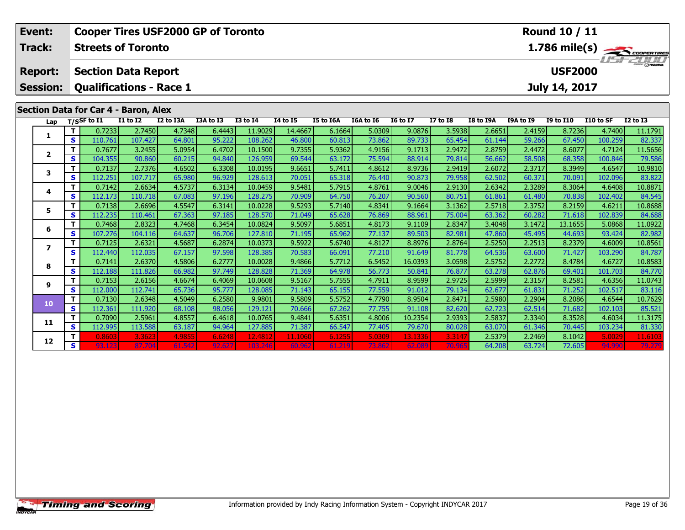| Event:                            | <b>Cooper Tires USF2000 GP of Toronto</b> |                                                                                                      |                   |                  |                  |                    |                  |                  |                  |                  |                  |                  | <b>Round 10 / 11</b> |                                 |                   |                                                          |  |  |
|-----------------------------------|-------------------------------------------|------------------------------------------------------------------------------------------------------|-------------------|------------------|------------------|--------------------|------------------|------------------|------------------|------------------|------------------|------------------|----------------------|---------------------------------|-------------------|----------------------------------------------------------|--|--|
| <b>Track:</b>                     |                                           | <b>Streets of Toronto</b>                                                                            |                   |                  |                  |                    |                  |                  |                  |                  |                  |                  |                      |                                 |                   | $\frac{1.786 \text{ mile(s)}}{1157 - 200 \text{ rad/s}}$ |  |  |
| <b>Report:</b><br><b>Session:</b> |                                           | <b>Section Data Report</b><br><b>Qualifications - Race 1</b><br>Section Data for Car 4 - Baron, Alex |                   |                  |                  |                    |                  |                  |                  |                  |                  |                  |                      | <b>USF2000</b><br>July 14, 2017 |                   |                                                          |  |  |
| Lap                               |                                           | $T/S$ SF to I1                                                                                       | $I1$ to $I2$      | I2 to I3A        | I3A to I3        | <b>I3 to I4</b>    | <b>I4 to I5</b>  | <b>I5 to I6A</b> | I6A to I6        | <b>I6 to I7</b>  | $I7$ to $I8$     | <b>I8 to I9A</b> | I9A to I9            | <b>I9 to I10</b>                | I10 to SF         | <b>I2 to I3</b>                                          |  |  |
| 1                                 | т                                         | 0.7233                                                                                               | 2.7450            | 4.7348           | 6.4443           | 11.9029            | 14.4667          | 6.1664           | 5.0309           | 9.0876           | 3.5938           | 2.6651           | 2.4159               | 8.7236                          | 4.7400            | 11.1791                                                  |  |  |
|                                   | $\mathbf{s}$<br>T                         | 110.761<br>0.7677                                                                                    | 107.427           | 64.801           | 95.222           | 108.262            | 46,800           | 60.813           | 73.862           | 89.733           | 65.454           | 61.144           | 59.266               | 67.450                          | 100.259<br>4.7124 | 82.337                                                   |  |  |
| $\mathbf{2}$                      | S                                         | 104.355                                                                                              | 3.2455<br>90.860  | 5.0954<br>60.215 | 6.4702<br>94.840 | 10.1500<br>126.959 | 9.7355<br>69.544 | 5.9362<br>63.172 | 4.9156<br>75.594 | 9.1713<br>88.914 | 2.9472<br>79.814 | 2.8759<br>56.662 | 2.4472<br>58.508     | 8.6077<br>68.358                | 100.846           | 11.5656<br>79.586                                        |  |  |
|                                   | T.                                        | 0.7137                                                                                               | 2.7376            | 4.6502           | 6.3308           | 10.0195            | 9.6651           | 5.7411           | 4.8612           | 8.9736           | 2.9419           | 2.6072           | 2.3717               | 8.3949                          | 4.6547            | 10.9810                                                  |  |  |
| 3                                 | <b>S</b>                                  | 112.251                                                                                              | 107.717           | 65.980           | 96.929           | 128.613            | 70.051           | 65.318           | 76.440           | 90.873           | 79.958           | 62.502           | 60.371               | 70.091                          | 102.096           | 83.822                                                   |  |  |
|                                   | Т                                         | 0.7142                                                                                               | 2.6634            | 4.5737           | 6.3134           | 10.0459            | 9.5481           | 5.7915           | 4.8761           | 9.0046           | 2.9130           | 2.6342           | 2.3289               | 8.3064                          | 4.6408            | 10.8871                                                  |  |  |
| 4                                 | S                                         | 112.173                                                                                              | 110.718           | 67.083           | 97.196           | 128.275            | 70.909           | 64.750           | 76.207           | 90.560           | 80.751           | 61.861           | 61.480               | 70.838                          | 102.402           | 84.545                                                   |  |  |
|                                   | T                                         | 0.7138                                                                                               | 2.6696            | 4.5547           | 6.3141           | 10.0228            | 9.5293           | 5.7140           | 4.8341           | 9.1664           | 3.1362           | 2.5718           | 2.3752               | 8.2159                          | 4.6211            | 10.8688                                                  |  |  |
| 5                                 | $\mathbf{s}$                              | 112.235                                                                                              | 110.461           | 67.363           | 97.185           | 128.570            | 71.049           | 65.628           | 76.869           | 88.961           | 75.004           | 63.362           | 60.282               | 71.618                          | 102.839           | 84.688                                                   |  |  |
| 6                                 | Т                                         | 0.7468                                                                                               | 2.8323            | 4.7468           | 6.3454           | 10.0824            | 9.5097           | 5.6851           | 4.8173           | 9.1109           | 2.8347           | 3.4048           | 3.1472               | 13.1655                         | 5.0868            | 11.0922                                                  |  |  |
|                                   | S                                         | 107.276                                                                                              | 104.116           | 64.637           | 96.706           | 127.810            | 71.195           | 65.962           | 77.137           | 89.503           | 82.981           | 47.860           | 45.495               | 44.693                          | 93.424            | 82.982                                                   |  |  |
| 7                                 | T.                                        | 0.7125                                                                                               | 2.6321            | 4.5687           | 6.2874           | 10.0373            | 9.5922           | 5.6740           | 4.8127           | 8.8976           | 2.8764           | 2.5250           | 2.2513               | 8.2379                          | 4.6009            | 10.8561                                                  |  |  |
|                                   | $\mathbf{s}$                              | 112.440                                                                                              | 112.035           | 67.157           | 97.598           | 128.385            | 70.583           | 66.091           | 77.210           | 91.649           | 81.778           | 64.536           | 63.600               | 71.427                          | 103.290           | 84.787                                                   |  |  |
| 8                                 | T                                         | 0.7141                                                                                               | 2.6370            | 4.5806           | 6.2777           | 10.0028            | 9.4866           | 5.7712           | 6.5452           | 16.0393          | 3.0598           | 2.5752           | 2.2772               | 8.4784                          | 4.6727            | 10.8583                                                  |  |  |
|                                   | $\mathbf{s}$<br>T.                        | 112.188<br>0.7153                                                                                    | 111.826           | 66.982           | 97.749           | 128.828            | 71.369           | 64.978           | 56.773           | 50.841           | 76.877           | 63.278           | 62.876               | 69.401                          | 101.703           | 84.770                                                   |  |  |
| 9                                 | $\mathbf{s}$                              | 112.000                                                                                              | 2.6156<br>112.741 | 4.6674<br>65.736 | 6.4069<br>95.777 | 10.0608<br>128.085 | 9.5167<br>71.143 | 5.7555<br>65.155 | 4.7911<br>77.559 | 8.9599<br>91.012 | 2.9725<br>79.134 | 2.5999<br>62.677 | 2.3157<br>61.831     | 8.2581<br>71.252                | 4.6356<br>102.517 | 11.0743<br>83.116                                        |  |  |
|                                   | T.                                        | 0.7130                                                                                               | 2.6348            | 4.5049           | 6.2580           | 9.9801             | 9.5809           | 5.5752           | 4.7790           | 8.9504           | 2.8471           | 2.5980           | 2.2904               | 8.2086                          | 4.6544            | 10.7629                                                  |  |  |
| 10                                | $\mathbf{s}$                              | 112.361                                                                                              | 111.920           | 68.108           | 98.056           | 129.121            | 70.666           | 67.262           | 77.755           | 91.108           | 82.620           | 62.723           | 62.514               | 71.682                          | 102.103           | 85.521                                                   |  |  |
|                                   | т                                         | 0.7090                                                                                               | 2.5961            | 4.8557           | 6.4618           | 10.0765            | 9.4841           | 5.6351           | 4.8006           | 10.2354          | 2.9393           | 2.5837           | 2.3340               | 8.3528                          | 4.6034            | 11.3175                                                  |  |  |
| 11                                | $\mathbf{s}$                              | 112.995                                                                                              | 113.588           | 63.187           | 94.964           | 127.885            | 71.387           | 66.547           | 77.405           | 79.670           | 80.028           | 63.070           | 61.346               | 70.445                          | 103.234           | 81.330                                                   |  |  |
|                                   |                                           | 0.8603                                                                                               | 3.3623            | 4.9855           | 6.6248           | 12.481             | 11.1060          | 6.1255           | 5.0309           | 13.1336          | 3.3147           | 2.5379           | 2.2469               | 8.1042                          | 5.0029            | 11.6103                                                  |  |  |
| 12                                | S.                                        | 93.123                                                                                               | 87.704            | 61.542           | 92.627           | 103.246            | 60.962           | 61.219           | 73.862           | 62.089           | 70.96            | 64.208           | 63.724               | 72.605                          | 94.990            | 79.279                                                   |  |  |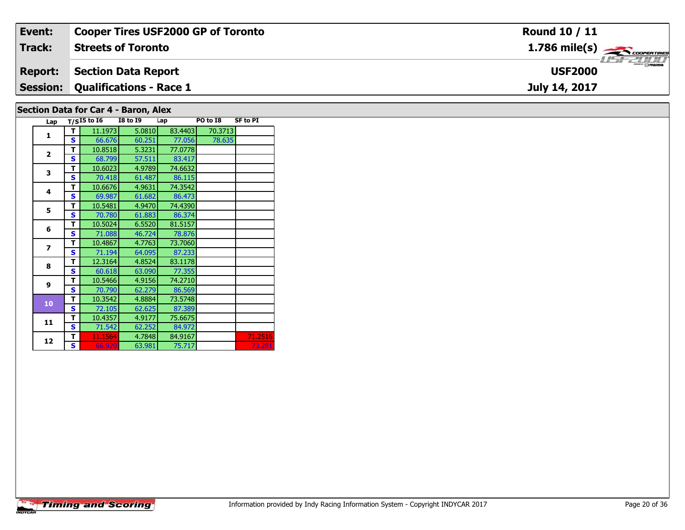| Event:                               | Cooper Tires USF2000 GP of Toronto      | Round 10 / 11                   |  |  |  |  |  |  |  |  |
|--------------------------------------|-----------------------------------------|---------------------------------|--|--|--|--|--|--|--|--|
| <b>Track:</b>                        | <b>Streets of Toronto</b>               |                                 |  |  |  |  |  |  |  |  |
| <b>Report:</b>                       | Section Data Report                     | $\frac{1}{2}$<br><b>USF2000</b> |  |  |  |  |  |  |  |  |
|                                      | <b>Session: Qualifications - Race 1</b> | July 14, 2017                   |  |  |  |  |  |  |  |  |
| Section Data for Car 4 - Baron, Alex |                                         |                                 |  |  |  |  |  |  |  |  |

| Lap                     |   | $T/SI5$ to $I6$ | <b>I8 to 19</b> | Lap     | PO to I8 | <b>SF to PI</b> |
|-------------------------|---|-----------------|-----------------|---------|----------|-----------------|
| $\mathbf{1}$            | т | 11.1973         | 5.0810          | 83.4403 | 70.3713  |                 |
|                         | S | 66.676          | 60.251          | 77.056  | 78.635   |                 |
| $\overline{2}$          | T | 10.8518         | 5.3231          | 77.0778 |          |                 |
|                         | S | 68.799          | 57.511          | 83.417  |          |                 |
| 3                       | T | 10.6023         | 4.9789          | 74.6632 |          |                 |
|                         | S | 70.418          | 61.487          | 86.115  |          |                 |
| 4                       | т | 10.6676         | 4.9631          | 74.3542 |          |                 |
|                         | S | 69.987          | 61.682          | 86.473  |          |                 |
| 5                       | T | 10.5481         | 4.9470          | 74.4390 |          |                 |
|                         | S | 70.780          | 61.883          | 86.374  |          |                 |
| 6                       | т | 10.5024         | 6.5520          | 81.5157 |          |                 |
|                         | S | 71.088          | 46.724          | 78.876  |          |                 |
| $\overline{\mathbf{z}}$ | т | 10.4867         | 4.7763          | 73.7060 |          |                 |
|                         | S | 71.194          | 64.095          | 87.233  |          |                 |
| 8                       | т | 12.3164         | 4.8524          | 83.1178 |          |                 |
|                         | S | 60.618          | 63.090          | 77.355  |          |                 |
| 9                       | т | 10.5466         | 4.9156          | 74.2710 |          |                 |
|                         | S | 70.790          | 62.279          | 86.569  |          |                 |
| 10                      | т | 10.3542         | 4.8884          | 73.5748 |          |                 |
|                         | S | 72.105          | 62.625          | 87.389  |          |                 |
| 11                      | т | 10.4357         | 4.9177          | 75.6675 |          |                 |
|                         | S | 71.542          | 62.252          | 84.972  |          |                 |
| 12                      | T | 11.1564         | 4.7848          | 84.9167 |          | 71.2516         |
|                         | S | 66.920          | 63.981          | 75.717  |          | 73.281          |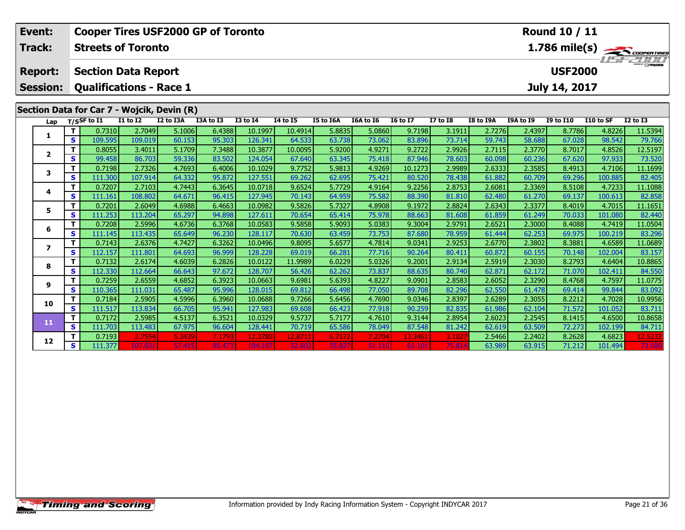|                                                                                                                                                                                                                                                                                                          | Event:                            | Round 10 / 11<br><b>Cooper Tires USF2000 GP of Toronto</b> |                                                              |                   |                  |                  |                    |                   |                  |                  |                  |                  |                  |                  |                                 |                   |                         |
|----------------------------------------------------------------------------------------------------------------------------------------------------------------------------------------------------------------------------------------------------------------------------------------------------------|-----------------------------------|------------------------------------------------------------|--------------------------------------------------------------|-------------------|------------------|------------------|--------------------|-------------------|------------------|------------------|------------------|------------------|------------------|------------------|---------------------------------|-------------------|-------------------------|
|                                                                                                                                                                                                                                                                                                          | Track:                            |                                                            | <b>Streets of Toronto</b>                                    |                   |                  |                  |                    |                   |                  |                  |                  |                  |                  |                  |                                 |                   | $1.786 \text{ mile(s)}$ |
|                                                                                                                                                                                                                                                                                                          | <b>Report:</b><br><b>Session:</b> |                                                            | <b>Section Data Report</b><br><b>Qualifications - Race 1</b> |                   |                  |                  |                    |                   |                  |                  |                  |                  |                  |                  | <b>USF2000</b><br>July 14, 2017 |                   | 151 2000                |
| Section Data for Car 7 - Wojcik, Devin (R)<br>$I1$ to $I2$<br>$T/S$ SF to I1<br>I2 to I3A<br>I3A to I3<br><b>I3 to I4</b><br><b>I4 to I5</b><br>I5 to I6A<br>I6A to I6<br><b>I7 to I8</b><br><b>I8 to I9A</b><br><b>I9A to I9</b><br>I9 to I10<br>I10 to SF<br><b>I2 to I3</b><br><b>16 to 17</b><br>Lap |                                   |                                                            |                                                              |                   |                  |                  |                    |                   |                  |                  |                  |                  |                  |                  |                                 |                   |                         |
|                                                                                                                                                                                                                                                                                                          |                                   |                                                            |                                                              |                   |                  |                  |                    |                   |                  |                  |                  |                  |                  |                  |                                 |                   |                         |
|                                                                                                                                                                                                                                                                                                          | 1                                 | т<br>S                                                     | 0.7310<br>109.595                                            | 2.7049<br>109.019 | 5.1006<br>60.153 | 6.4388<br>95.303 | 10.1997<br>126.341 | 10.4914<br>64.533 | 5.8835<br>63.738 | 5.0860<br>73.062 | 9.7198<br>83.896 | 3.1911<br>73.714 | 2.7276<br>59.743 | 2.4397<br>58.688 | 8.7786<br>67.028                | 4.8226<br>98.542  | 11.5394<br>79.766       |
|                                                                                                                                                                                                                                                                                                          |                                   | т                                                          | 0.8055                                                       | 3.4011            | 5.1709           | 7.3488           | 10.3877            | 10.0095           | 5.9200           | 4.9271           | 9.2722           | 2.9926           | 2.7115           | 2.3770           | 8.7017                          | 4.8526            | 12.5197                 |
|                                                                                                                                                                                                                                                                                                          | $\mathbf{2}$                      | S                                                          | 99.458                                                       | 86.703            | 59.336           | 83.502           | 124.054            | 67.640            | 63.345           | 75.418           | 87.946           | 78.603           | 60.098           | 60.236           | 67.620                          | 97.933            | 73.520                  |
|                                                                                                                                                                                                                                                                                                          |                                   | т                                                          | 0.7198                                                       | 2.7326            | 4.7693           | 6.4006           | 10.1029            | 9.7752            | 5.9813           | 4.9269           | 10.1273          | 2.9989           | 2.6333           | 2.3585           | 8.4913                          | 4.7106            | 11.1699                 |
|                                                                                                                                                                                                                                                                                                          | 3                                 | $\mathbf{s}$                                               | 111.300                                                      | 107.914           | 64.332           | 95.872           | 127.551            | 69.262            | 62.695           | 75.421           | 80.520           | 78.438           | 61.882           | 60.709           | 69.296                          | 100.885           | 82.405                  |
|                                                                                                                                                                                                                                                                                                          | 4                                 | T                                                          | 0.7207                                                       | 2.7103            | 4.7443           | 6.3645           | 10.0718            | 9.6524            | 5.7729           | 4.9164           | 9.2256           | 2.8753           | 2.6081           | 2.3369           | 8.5108                          | 4.7233            | 11.1088                 |
|                                                                                                                                                                                                                                                                                                          |                                   | S                                                          | 111.161                                                      | 108.802           | 64.671           | 96.415           | 127.945            | 70.143            | 64.959           | 75.582           | 88.390           | 81.810           | 62.480           | 61.270           | 69.137                          | 100.613           | 82.858                  |
|                                                                                                                                                                                                                                                                                                          | 5.                                | т                                                          | 0.7201                                                       | 2.6049            | 4.6988           | 6.4663           | 10.0982            | 9.5826            | 5.7327           | 4.8908           | 9.1972           | 2.8824           | 2.6343           | 2.3377           | 8.4019                          | 4.7015            | 11.1651                 |
|                                                                                                                                                                                                                                                                                                          |                                   | $\mathbf{s}$                                               | 111.253                                                      | 113.204           | 65.297           | 94.898           | 127.611            | 70.654            | 65.414           | 75.978           | 88.663           | 81.608           | 61.859           | 61.249           | 70.033                          | 101.080           | 82.440                  |
|                                                                                                                                                                                                                                                                                                          | 6                                 | т                                                          | 0.7208                                                       | 2.5996            | 4.6736           | 6.3768           | 10.0583            | 9.5858            | 5.9093           | 5.0383           | 9.3004           | 2.9791           | 2.6521           | 2.3000           | 8.4088                          | 4.7419            | 11.0504                 |
|                                                                                                                                                                                                                                                                                                          |                                   | S                                                          | 111.145                                                      | 113.435           | 65.649           | 96.230           | 128.117            | 70.630            | 63.459           | 73.753           | 87.680           | 78.959           | 61.444           | 62.253           | 69.975                          | 100.219           | 83.296                  |
|                                                                                                                                                                                                                                                                                                          | $\overline{\mathbf{z}}$           | т<br>S                                                     | 0.7143<br>112.157                                            | 2.6376<br>111.801 | 4.7427<br>64.693 | 6.3262<br>96.999 | 10.0496<br>128.228 | 9.8095<br>69.019  | 5.6577<br>66.281 | 4.7814<br>77.716 | 9.0341<br>90.264 | 2.9253<br>80.411 | 2.6770<br>60.872 | 2.3802<br>60.155 | 8.3881                          | 4.6589<br>102.004 | 11.0689<br>83.157       |
|                                                                                                                                                                                                                                                                                                          |                                   | т                                                          | 0.7132                                                       | 2.6174            | 4.6039           | 6.2826           | 10.0122            | 11.9989           | 6.0229           | 5.0326           | 9.2001           | 2.9134           | 2.5919           | 2.3030           | 70.148<br>8.2793                | 4.6404            | 10.8865                 |
|                                                                                                                                                                                                                                                                                                          | 8                                 | $\mathbf{s}$                                               | 112.330                                                      | 112.664           | 66.643           | 97.672           | 128.707            | 56.426            | 62.262           | 73.837           | 88.635           | 80.740           | 62.871           | 62.172           | 71.070                          | 102.411           | 84.550                  |
|                                                                                                                                                                                                                                                                                                          |                                   | T                                                          | 0.7259                                                       | 2.6559            | 4.6852           | 6.3923           | 10.0663            | 9.6981            | 5.6393           | 4.8227           | 9.0901           | 2.8583           | 2.6052           | 2.3290           | 8.4768                          | 4.7597            | 11.0775                 |
|                                                                                                                                                                                                                                                                                                          | 9                                 | S                                                          | 110.365                                                      | 111.031           | 65.487           | 95.996           | 128.015            | 69.812            | 66.498           | 77.050           | 89.708           | 82.296           | 62.550           | 61.478           | 69.414                          | 99.844            | 83.092                  |
|                                                                                                                                                                                                                                                                                                          |                                   | т                                                          | 0.7184                                                       | 2.5905            | 4.5996           | 6.3960           | 10.0688            | 9.7266            | 5.6456           | 4.7690           | 9.0346           | 2.8397           | 2.6289           | 2.3055           | 8.2212                          | 4.7028            | 10.9956                 |
|                                                                                                                                                                                                                                                                                                          | 10                                | S                                                          | 111.517                                                      | 113.834           | 66.705           | 95.941           | 127.983            | 69.608            | 66.423           | 77.918           | 90.259           | 82.835           | 61.986           | 62.104           | 71.572                          | 101.052           | 83.711                  |
|                                                                                                                                                                                                                                                                                                          | 11                                | $\mathbf T$                                                | 0.7172                                                       | 2.5985            | 4.5137           | 6.3521           | 10.0329            | 9.5737            | 5.7177           | 4.7610           | 9.3144           | 2.8954           | 2.6023           | 2.2545           | 8.1415                          | 4.6500            | 10.8658                 |
|                                                                                                                                                                                                                                                                                                          |                                   | $\mathbf{s}$                                               | 111.703                                                      | 113.483           | 67.975           | 96.604           | 128.441            | 70.719            | 65.586           | 78.049           | 87.548           | 81.242           | 62.619           | 63.509           | 72.273                          | 102.199           | 84.711                  |
|                                                                                                                                                                                                                                                                                                          | 12                                | т                                                          | 0.7193                                                       | 2.7554            | 5.3439           | 7.1793           | 12.3780            | 12.8711           | 6.7172           | 7.2704           | 13.3461          | 3.102            | 2.5466           | 2.2402           | 8.2628                          | 4.6823            | 12.5232                 |
|                                                                                                                                                                                                                                                                                                          |                                   | S                                                          | 111.377                                                      | 107.021           | 57.415           | 85.473           | 104.107            | 52.602            | 55.827           | 51.110           | 61.101           | 75.814           | 63.989           | 63.915           | 71.212                          | 101.494           | 73.500                  |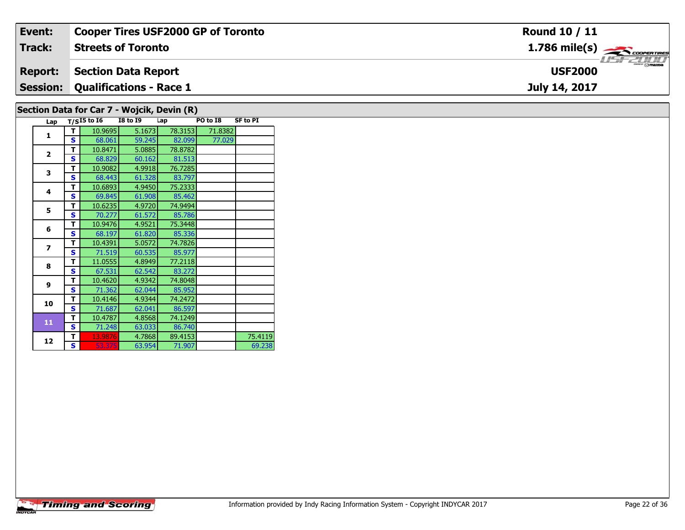| Event:                                        | <b>Cooper Tires USF2000 GP of Toronto</b> | Round 10 / 11                                             |  |  |  |  |  |  |  |  |
|-----------------------------------------------|-------------------------------------------|-----------------------------------------------------------|--|--|--|--|--|--|--|--|
| Track:                                        | <b>Streets of Toronto</b>                 | $1.786$ mile(s) $\overbrace{\hspace{2.5cm}}$ coorer TIRES |  |  |  |  |  |  |  |  |
| <b>Report:</b>                                | Section Data Report                       | <b>LISF 2000</b><br><b>USF2000</b>                        |  |  |  |  |  |  |  |  |
|                                               | <b>Session: Qualifications - Race 1</b>   | July 14, 2017                                             |  |  |  |  |  |  |  |  |
| Section Data for Car $7$ - Wojcik Devin $(D)$ |                                           |                                                           |  |  |  |  |  |  |  |  |

## **Section Data for Car 7 - Wojcik, Devin (R)**

| Lap            |   | $T/SI5$ to $I6$ | <b>I8 to 19</b> | Lap     | PO to I8 | <b>SF to PI</b> |
|----------------|---|-----------------|-----------------|---------|----------|-----------------|
| $\mathbf{1}$   | т | 10.9695         | 5.1673          | 78.3153 | 71.8382  |                 |
|                | Ś | 68.061          | 59.245          | 82.099  | 77.029   |                 |
| $\overline{2}$ | т | 10.8471         | 5.0885          | 78.8782 |          |                 |
|                | s | 68.829          | 60.162          | 81.513  |          |                 |
| 3              | т | 10.9082         | 4.9918          | 76.7285 |          |                 |
|                | S | 68.443          | 61.328          | 83.797  |          |                 |
| 4              | т | 10.6893         | 4.9450          | 75.2333 |          |                 |
|                | S | 69.845          | 61.908          | 85.462  |          |                 |
| 5              | т | 10.6235         | 4.9720          | 74.9494 |          |                 |
|                | S | 70.277          | 61.572          | 85.786  |          |                 |
| 6              | т | 10.9476         | 4.9521          | 75.3448 |          |                 |
|                | S | 68.197          | 61.820          | 85.336  |          |                 |
| $\overline{z}$ | т | 10.4391         | 5.0572          | 74.7826 |          |                 |
|                | S | 71.519          | 60.535          | 85.977  |          |                 |
| 8              | т | 11.0555         | 4.8949          | 77.2118 |          |                 |
|                | S | 67.531          | 62.542          | 83.272  |          |                 |
| $\mathbf{9}$   | т | 10.4620         | 4.9342          | 74.8048 |          |                 |
|                | S | 71.362          | 62.044          | 85.952  |          |                 |
| 10             | т | 10.4146         | 4.9344          | 74.2472 |          |                 |
|                | S | 71.687          | 62.041          | 86.597  |          |                 |
| 11             | т | 10.4787         | 4.8568          | 74.1249 |          |                 |
|                | S | 71.248          | 63.033          | 86.740  |          |                 |
| 12             | т | 13.9876         | 4.7868          | 89.4153 |          | 75.4119         |
|                | S | 53.375          | 63.954          | 71.907  |          | 69.238          |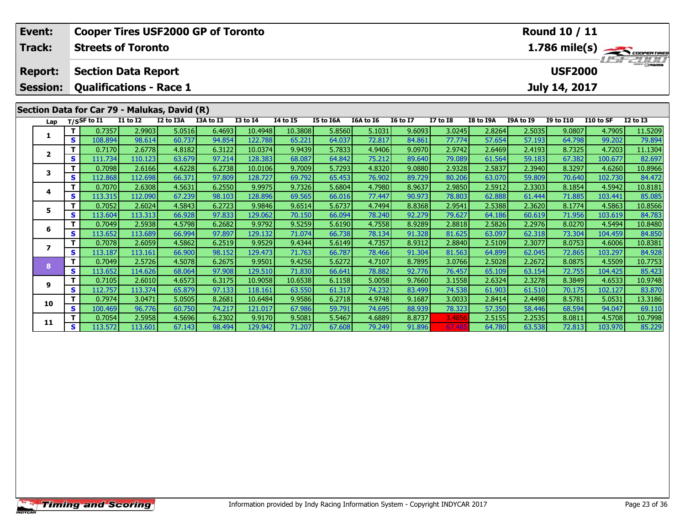| Event:                                                                                            |              |                           |                   |                  | <b>Cooper Tires USF2000 GP of Toronto</b> |                   |                  | <b>Round 10 / 11</b> |                  |                  |                  |                  |                  |                                 |                   |                                               |
|---------------------------------------------------------------------------------------------------|--------------|---------------------------|-------------------|------------------|-------------------------------------------|-------------------|------------------|----------------------|------------------|------------------|------------------|------------------|------------------|---------------------------------|-------------------|-----------------------------------------------|
| <b>Track:</b>                                                                                     |              | <b>Streets of Toronto</b> |                   |                  |                                           |                   |                  |                      |                  |                  |                  |                  |                  |                                 |                   | $\frac{1.786 \text{ mile(s)}}{1157 - 211111}$ |
| <b>Section Data Report</b><br><b>Report:</b><br><b>Qualifications - Race 1</b><br><b>Session:</b> |              |                           |                   |                  |                                           |                   |                  |                      |                  |                  |                  |                  |                  | <b>USF2000</b><br>July 14, 2017 |                   |                                               |
| Section Data for Car 79 - Malukas, David (R)                                                      |              |                           |                   |                  |                                           |                   |                  |                      |                  |                  |                  |                  |                  |                                 |                   |                                               |
| Lap                                                                                               |              | T/SSF to I1               | <b>I1 to I2</b>   | I2 to I3A        | I3A to I3                                 | <b>I3 to I4</b>   | <b>14 to 15</b>  | I5 to I6A            | <b>I6A to I6</b> | <b>16 to 17</b>  | <b>I7 to I8</b>  | I8 to I9A        | I9A to I9        | <b>I9 to I10</b>                | I10 to SF         | <b>I2 to I3</b>                               |
| 1                                                                                                 | T            | 0.7357                    | 2.9903            | 5.0516           | 6.4693                                    | 10.4948           | 10.3808          | 5.8560               | 5.1031           | 9.6093           | 3.0245           | 2.8264           | 2.5035           | 9.0807                          | 4.7905            | 11.5209                                       |
|                                                                                                   | S            | 108.894                   | 98.614            | 60.737           | 94.854                                    | 122.788           | 65.221           | 64.037               | 72.817           | 84.861           | 77.774           | 57.654           | 57.193           | 64.798                          | 99.202            | 79.894                                        |
| $\overline{2}$                                                                                    | т            | 0.7170                    | 2.6778            | 4.8182           | 6.3122                                    | 10.0374           | 9.9439           | 5.7833               | 4.9406           | 9.0970           | 2.9742           | 2.6469           | 2.4193           | 8.7325                          | 4.7203            | 11.1304                                       |
|                                                                                                   | $\mathbf{s}$ | 111.734                   | 110.123           | 63.679           | 97.214                                    | 128.383           | 68.087           | 64.842               | 75.212           | 89.640           | 79.089           | 61.564           | 59.183           | 67.382                          | 100.677           | 82.697                                        |
| 3                                                                                                 | т            | 0.7098                    | 2.6166            | 4.6228           | 6.2738                                    | 10.0106           | 9.7009           | 5.7293               | 4.8320           | 9.0880           | 2.9328           | 2.5837           | 2.3940           | 8.3297                          | 4.6260            | 10.8966                                       |
|                                                                                                   | S            | 112.868                   | 112.698           | 66.371           | 97.809                                    | 128.727           | 69.792           | 65.453               | 76.902           | 89.729           | 80.206           | 63.070           | 59.809           | 70.640                          | 102.730           | 84.472                                        |
| 4                                                                                                 | т            | 0.7070                    | 2.6308            | 4.5631           | 6.2550                                    | 9.9975            | 9.7326           | 5.6804               | 4.7980           | 8.9637           | 2.9850           | 2.5912           | 2.3303           | 8.1854                          | 4.5942            | 10.8181                                       |
|                                                                                                   | S            | 113.315                   | 112.090           | 67.239           | 98.103                                    | 128.896           | 69.565           | 66.016               | 77.447           | 90.973           | 78.803           | 62.888           | 61.444           | 71.885                          | 103.441           | 85.085                                        |
| 5.                                                                                                | т            | 0.7052                    | 2.6024            | 4.5843           | 6.2723                                    | 9.9846            | 9.6514           | 5.6737               | 4.7494           | 8.8368           | 2.9541           | 2.5388           | 2.3620           | 8.1774                          | 4.5863            | 10.8566                                       |
|                                                                                                   | S            | 113.604                   | 113.313           | 66.928           | 97.833                                    | 129.062           | 70.150           | 66.094               | 78.240           | 92.279           | 79.627           | 64.186           | 60.619           | 71.956                          | 103.619           | 84.783                                        |
| 6                                                                                                 | т            | 0.7049                    | 2.5938            | 4.5798           | 6.2682                                    | 9.9792            | 9.5259           | 5.6190               | 4.7558           | 8.9289           | 2.8818           | 2.5826           | 2.2976           | 8.0270                          | 4.5494            | 10.8480                                       |
|                                                                                                   | S            | 113.652                   | 113.689           | 66.994           | 97.897                                    | 129.132           | 71.074           | 66.738               | 78.134           | 91.328           | 81.625           | 63.097           | 62.318           | 73.304                          | 104.459           | 84.850                                        |
| $\overline{\mathbf{z}}$                                                                           | т<br>S       | 0.7078<br>113.187         | 2.6059<br>113.161 | 4.5862<br>66.900 | 6.2519<br>98.152                          | 9.9529<br>129.473 | 9.4344<br>71.763 | 5.6149<br>66.787     | 4.7357<br>78.466 | 8.9312<br>91.304 | 2.8840<br>81.563 | 2.5109<br>64.899 | 2.3077<br>62.045 | 8.0753<br>72.865                | 4.6006            | 10.8381<br>84.928                             |
|                                                                                                   | $\mathbf{T}$ | 0.7049                    | 2.5726            | 4.5078           | 6.2675                                    | 9.9501            | 9.4256           | 5.6272               | 4.7107           | 8.7895           | 3.0766           | 2.5028           | 2.2672           | 8.0875                          | 103.297<br>4.5509 | 10.7753                                       |
| 8                                                                                                 | S            | 113.652                   | 114.626           | 68.064           | 97.908                                    | 129.510           | 71.830           | 66.641               | 78.882           | 92.776           | 76.457           | 65.109           | 63.154           | 72.755                          | 104.425           | 85.423                                        |
|                                                                                                   | т            | 0.7105                    | 2.6010            | 4.6573           | 6.3175                                    | 10.9058           | 10.6538          | 6.1158               | 5.0058           | 9.7660           | 3.1558           | 2.6324           | 2.3278           | 8.3849                          | 4.6533            | 10.9748                                       |
| 9                                                                                                 | S            | 112.757                   | 113.374           | 65.879           | 97.133                                    | 118.161           | 63.550           | 61.317               | 74.232           | 83.499           | 74.538           | 61.903           | 61.510           | 70.175                          | 102.127           | 83.870                                        |
|                                                                                                   | T            | 0.7974                    | 3.0471            | 5.0505           | 8.2681                                    | 10.6484           | 9.9586           | 6.2718               | 4.9748           | 9.1687           | 3.0033           | 2.8414           | 2.4498           | 8.5781                          | 5.0531            | 13.3186                                       |
| 10                                                                                                | S            | 100.469                   | 96.776            | 60.750           | 74.217                                    | 121.017           | 67.986           | 59.791               | 74.695           | 88.939           | 78.323           | 57.350           | 58.446           | 68.594                          | 94.047            | 69.110                                        |
|                                                                                                   | т            | 0.7054                    | 2.5958            | 4.5696           | 6.2302                                    | 9.9170            | 9.5081           | 5.5467               | 4.6889           | 8.8737           | 3.4856           | 2.5155           | 2.2535           | 8.0811                          | 4.5708            | 10.7998                                       |
| 11                                                                                                | S            | 113.572                   | 113.601           | 67.143           | 98.494                                    | 129.942           | 71.207           | 67.608               | 79.249           | 91.896           | 67.48            | 64.780           | 63.538           | 72.813                          | 103.970           | 85.229                                        |
|                                                                                                   |              |                           |                   |                  |                                           |                   |                  |                      |                  |                  |                  |                  |                  |                                 |                   |                                               |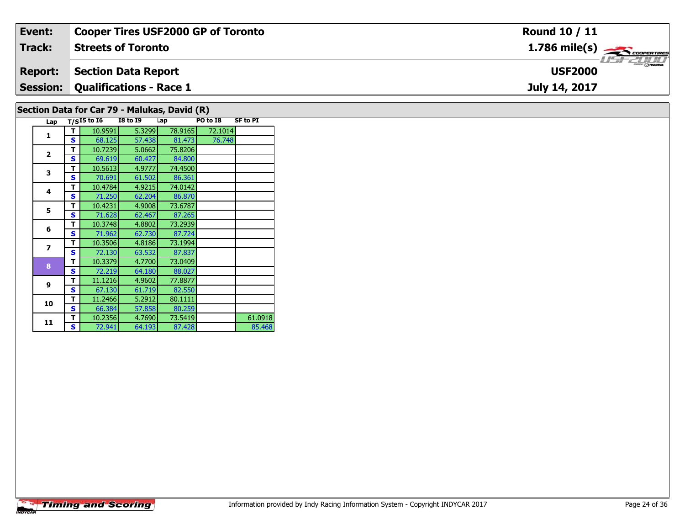| Event:                                      | <b>Cooper Tires USF2000 GP of Toronto</b> | Round 10 / 11                                           |  |  |  |  |  |  |
|---------------------------------------------|-------------------------------------------|---------------------------------------------------------|--|--|--|--|--|--|
| Track:                                      | <b>Streets of Toronto</b>                 | $1.786$ mile(s) $\overbrace{\hspace{2cm}}$ coorer TIRES |  |  |  |  |  |  |
| <b>Report:</b>                              | Section Data Report                       | <b>LISE 2000</b><br><b>USF2000</b>                      |  |  |  |  |  |  |
|                                             | <b>Session: Qualifications - Race 1</b>   | July 14, 2017                                           |  |  |  |  |  |  |
| Section Data for Car 79 - Malukas David (P) |                                           |                                                         |  |  |  |  |  |  |

#### **Lap T/SI5 to I6 I8 to I9 Lap PO to I8 SF to PI 1 <sup>T</sup>** 10.9591 5.3299 78.9165 72.1014 **<sup>S</sup>** 68.125 57.438 81.473 76.748**2T** 10.7239 5.0662 75.8206<br>**S** 69.619 60.427 84.800 84.800 **3 <sup>T</sup>** 10.5613 4.9777 74.4500 **<sup>S</sup>** 70.691 61.502 86.36186.361 **4 <sup>T</sup>** 10.4784 4.9215 74.0142 **<sup>S</sup>** 71.250 62.204 86.87086.870 **5 <sup>T</sup>** 10.4231 4.9008 73.6787 **<sup>S</sup>** 71.628 62.467 87.265**66 T** 10.3748 4.8802 73.2939<br>**S** 71.962 62.730 87.724 87.724<br>73.1994 **7T** 10.3506 4.8186 73.1994<br>**S** 72.130 63.532 87.837 87.837 **8 <sup>T</sup>** 10.3379 4.7700 73.0409 **<sup>S</sup>** 72.219 64.180 88.02788.027 **9 <sup>T</sup>** 11.1216 4.9602 77.8877 **<sup>S</sup>** 67.130 61.719 82.55082.550 **10d T** 11.2466 5.2912 80.1111<br>**S** 66.384 57.858 80.259 **11 <sup>T</sup>** 10.2356 4.7690 73.5419 61.0918 **<sup>S</sup>** 72.941 64.193 87.428 85.46885.468 **Section Data for Car 79 - Malukas, David (R)**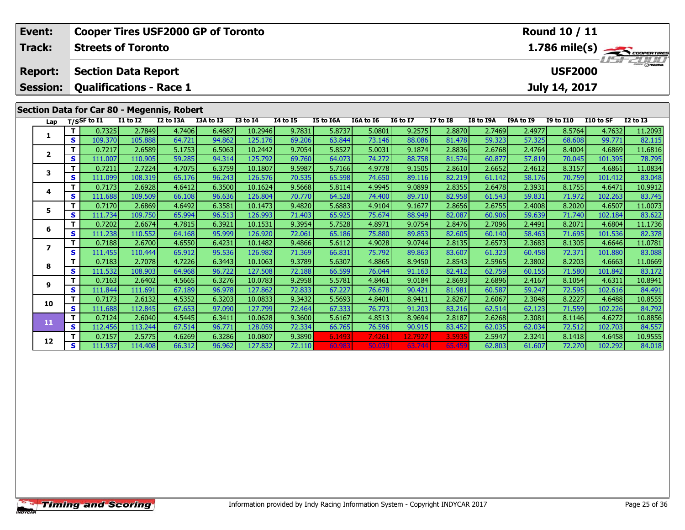|                                                                                                                                                                                                                                     | Event:                  | <b>Round 10 / 11</b><br><b>Cooper Tires USF2000 GP of Toronto</b> |                           |                   |                  |                  |                    |                  |                  |                  |                  |                  |                  |                  |                  |                   |                   |
|-------------------------------------------------------------------------------------------------------------------------------------------------------------------------------------------------------------------------------------|-------------------------|-------------------------------------------------------------------|---------------------------|-------------------|------------------|------------------|--------------------|------------------|------------------|------------------|------------------|------------------|------------------|------------------|------------------|-------------------|-------------------|
|                                                                                                                                                                                                                                     | Track:                  |                                                                   | <b>Streets of Toronto</b> |                   |                  |                  |                    |                  |                  |                  |                  |                  |                  |                  |                  |                   |                   |
| $\frac{1.786 \text{ mile(s)}}{1.157 - 21111}$<br><b>USF2000</b><br><b>Section Data Report</b><br><b>Report:</b><br>July 14, 2017<br><b>Session:</b><br><b>Qualifications - Race 1</b><br>Section Data for Car 80 - Megennis, Robert |                         |                                                                   |                           |                   |                  |                  |                    |                  |                  |                  |                  |                  |                  |                  |                  |                   |                   |
|                                                                                                                                                                                                                                     |                         |                                                                   |                           |                   |                  |                  |                    |                  |                  |                  |                  |                  |                  |                  |                  |                   |                   |
|                                                                                                                                                                                                                                     | Lap                     |                                                                   | $T/S$ SF to I1            | <b>I1 to I2</b>   | I2 to I3A        | I3A to I3        | <b>I3 to 14</b>    | <b>I4 to I5</b>  | I5 to I6A        | I6A to I6        | <b>I6 to I7</b>  | <b>I7 to I8</b>  | I8 to I9A        | I9A to I9        | I9 to I10        | I10 to SF         | <b>I2 to I3</b>   |
|                                                                                                                                                                                                                                     | 1                       | т                                                                 | 0.7325                    | 2.7849            | 4.7406           | 6.4687           | 10.2946            | 9.7831           | 5.8737           | 5.0801           | 9.2575           | 2.8870           | 2.7469           | 2.4977           | 8.5764           | 4.7632            | 11.2093           |
|                                                                                                                                                                                                                                     |                         | $\mathbf{s}$                                                      | 109.370                   | 105.888           | 64.721           | 94.862           | 125.176            | 69.206           | 63.844           | 73.146           | 88.086           | 81.478           | 59.323           | 57.325           | 68.608           | 99.771            | 82.115            |
|                                                                                                                                                                                                                                     | 2                       | т                                                                 | 0.7217                    | 2.6589            | 5.1753           | 6.5063           | 10.2442            | 9.7054           | 5.8527           | 5.0031           | 9.1874           | 2.8836           | 2.6768           | 2.4764           | 8.4004           | 4.6869            | 11.6816           |
|                                                                                                                                                                                                                                     |                         | $\mathbf{s}$<br>т                                                 | 111.007<br>0.7211         | 110.905<br>2.7224 | 59.285<br>4.7075 | 94.314<br>6.3759 | 125.792<br>10.1807 | 69.760           | 64.073           | 74.272           | 88.758<br>9.1505 | 81.574           | 60.877<br>2.6652 | 57.819<br>2.4612 | 70.045<br>8.3157 | 101.395           | 78.795<br>11.0834 |
|                                                                                                                                                                                                                                     | 3                       | $\mathbf{s}$                                                      | 111.099                   | 108.319           | 65.176           | 96.243           | 126.576            | 9.5987<br>70.535 | 5.7166<br>65.598 | 4.9778<br>74.650 | 89.116           | 2.8610<br>82.219 | 61.142           | 58.176           | 70.759           | 4.6861<br>101.412 | 83.048            |
|                                                                                                                                                                                                                                     |                         | T                                                                 | 0.7173                    | 2.6928            | 4.6412           | 6.3500           | 10.1624            | 9.5668           | 5.8114           | 4.9945           | 9.0899           | 2.8355           | 2.6478           | 2.3931           | 8.1755           | 4.6471            | 10.9912           |
|                                                                                                                                                                                                                                     | 4                       | $\mathbf{s}$                                                      | 111.688                   | 109.509           | 66.108           | 96.636           | 126.804            | 70.770           | 64.528           | 74.400           | 89.710           | 82.958           | 61.543           | 59.831           | 71.972           | 102.263           | 83.745            |
|                                                                                                                                                                                                                                     |                         | T                                                                 | 0.7170                    | 2.6869            | 4.6492           | 6.3581           | 10.1473            | 9.4820           | 5.6883           | 4.9104           | 9.1677           | 2.8656           | 2.6755           | 2.4008           | 8.2020           | 4.6507            | 11.0073           |
|                                                                                                                                                                                                                                     | 5                       | $\mathbf{s}$                                                      | 111.734                   | 109.750           | 65.994           | 96.513           | 126.993            | 71.403           | 65.925           | 75.674           | 88.949           | 82.087           | 60.906           | 59.639           | 71.740           | 102.184           | 83.622            |
|                                                                                                                                                                                                                                     |                         | т                                                                 | 0.7202                    | 2.6674            | 4.7815           | 6.3921           | 10.1531            | 9.3954           | 5.7528           | 4.8971           | 9.0754           | 2.8476           | 2.7096           | 2.4491           | 8.2071           | 4.6804            | 11.1736           |
|                                                                                                                                                                                                                                     | 6                       | $\mathbf{s}$                                                      | 111.238                   | 110.552           | 64.168           | 95.999           | 126.920            | 72.061           | 65.186           | 75.880           | 89.853           | 82.605           | 60.140           | 58.463           | 71.695           | 101.536           | 82.378            |
|                                                                                                                                                                                                                                     | $\overline{\mathbf{z}}$ | т                                                                 | 0.7188                    | 2.6700            | 4.6550           | 6.4231           | 10.1482            | 9.4866           | 5.6112           | 4.9028           | 9.0744           | 2.8135           | 2.6573           | 2.3683           | 8.1305           | 4.6646            | 11.0781           |
|                                                                                                                                                                                                                                     |                         | S                                                                 | 111.455                   | 110.444           | 65.912           | 95.536           | 126.982            | 71.369           | 66.831           | 75.792           | 89.863           | 83.607           | 61.323           | 60.458           | 72.371           | 101.880           | 83.088            |
|                                                                                                                                                                                                                                     | 8                       | т                                                                 | 0.7183                    | 2.7078            | 4.7226           | 6.3443           | 10.1063            | 9.3789           | 5.6307           | 4.8865           | 8.9450           | 2.8543           | 2.5965           | 2.3802           | 8.2203           | 4.6663            | 11.0669           |
|                                                                                                                                                                                                                                     |                         | $\mathbf{s}$                                                      | 111.532                   | 108.903           | 64.968           | 96.722           | 127.508            | 72.188           | 66.599           | 76.044           | 91.163           | 82.412           | 62.759           | 60.155           | 71.580           | 101.842           | 83.172            |
|                                                                                                                                                                                                                                     | 9                       | т                                                                 | 0.7163                    | 2.6402            | 4.5665           | 6.3276           | 10.0783            | 9.2958           | 5.5781           | 4.8461           | 9.0184           | 2.8693           | 2.6896           | 2.4167           | 8.1054           | 4.6311            | 10.8941           |
|                                                                                                                                                                                                                                     |                         | $\mathbf{s}$                                                      | 111.844                   | 111.691           | 67.189           | 96.978           | 127.862            | 72.833           | 67.227           | 76.678           | 90.421           | 81.981           | 60.587           | 59.247           | 72.595           | 102.616           | 84.491            |
|                                                                                                                                                                                                                                     | 10                      | T<br>$\mathbf{s}$                                                 | 0.7173                    | 2.6132            | 4.5352           | 6.3203           | 10.0833            | 9.3432           | 5.5693           | 4.8401           | 8.9411<br>91.203 | 2.8267           | 2.6067           | 2.3048           | 8.2227           | 4.6488            | 10.8555           |
|                                                                                                                                                                                                                                     |                         | $\mathbf T$                                                       | 111.688<br>0.7124         | 112.845<br>2.6040 | 67.653<br>4.5445 | 97.090<br>6.3411 | 127.799<br>10.0628 | 72.464<br>9.3600 | 67.333<br>5.6167 | 76.773<br>4.8513 | 8.9694           | 83.216<br>2.8187 | 62.514<br>2.6268 | 62.123<br>2.3081 | 71.559<br>8.1146 | 102.226<br>4.6272 | 84.792<br>10.8856 |
|                                                                                                                                                                                                                                     | 11                      | $\mathbf{s}$                                                      | 112.456                   | 113.244           | 67.514           | 96.771           | 128.059            | 72.334           | 66.765           | 76.596           | 90.915           | 83.452           | 62.035           | 62.034           | 72.512           | 102.703           | 84.557            |
|                                                                                                                                                                                                                                     |                         | т                                                                 | 0.7157                    | 2.5775            | 4.6269           | 6.3286           | 10.0807            | 9.3890           | 6.1493           | 7.4261           | 12.7927          | 3.5935           | 2.5947           | 2.3241           | 8.1418           | 4.6458            | 10.9555           |
|                                                                                                                                                                                                                                     | 12                      | S                                                                 | 111.937                   | 114.408           | 66.312           | 96.962           | 127.832            | 72.110           | 60.98            | 50.039           | 63.744           | 65.45            | 62.803           | 61.607           | 72.270           | 102.292           | 84.018            |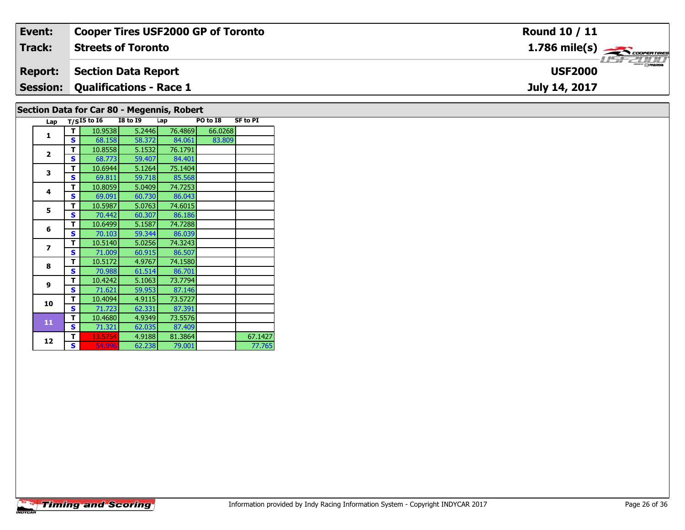| Event:                                     | Cooper Tires USF2000 GP of Toronto      | Round 10 / 11  |  |  |  |  |  |  |
|--------------------------------------------|-----------------------------------------|----------------|--|--|--|--|--|--|
| <b>Track:</b>                              | <b>Streets of Toronto</b>               |                |  |  |  |  |  |  |
| <b>Report:</b>                             | Section Data Report                     | <b>USF2000</b> |  |  |  |  |  |  |
|                                            | <b>Session: Qualifications - Race 1</b> | July 14, 2017  |  |  |  |  |  |  |
| Section Data for Car 80 - Megennis, Robert |                                         |                |  |  |  |  |  |  |

| Lap            |   | $T/SI5$ to $\overline{16}$ | <b>I8 to I9</b> | Lap     | PO to I8 | <b>SF to PI</b> |
|----------------|---|----------------------------|-----------------|---------|----------|-----------------|
| $\mathbf{1}$   | т | 10.9538                    | 5.2446          | 76.4869 | 66.0268  |                 |
|                | S | 68.158                     | 58.372          | 84.061  | 83.809   |                 |
|                | т | 10.8558                    | 5.1532          | 76.1791 |          |                 |
| $\overline{2}$ | S | 68.773                     | 59.407          | 84.401  |          |                 |
| 3              | т | 10.6944                    | 5.1264          | 75.1404 |          |                 |
|                | S | 69.811                     | 59.718          | 85.568  |          |                 |
| 4              | т | 10.8059                    | 5.0409          | 74.7253 |          |                 |
|                | S | 69.091                     | 60.730          | 86.043  |          |                 |
| 5              | т | 10.5987                    | 5.0763          | 74.6015 |          |                 |
|                | S | 70.442                     | 60.307          | 86.186  |          |                 |
| 6              | т | 10.6499                    | 5.1587          | 74.7288 |          |                 |
|                | S | 70.103                     | 59.344          | 86.039  |          |                 |
| $\overline{z}$ | т | 10.5140                    | 5.0256          | 74.3243 |          |                 |
|                | S | 71.009                     | 60.915          | 86.507  |          |                 |
| 8              | T | 10.5172                    | 4.9767          | 74.1580 |          |                 |
|                | S | 70.988                     | 61.514          | 86.701  |          |                 |
| 9              | T | 10.4242                    | 5.1063          | 73.7794 |          |                 |
|                | S | 71.621                     | 59.953          | 87.146  |          |                 |
| 10             | т | 10.4094                    | 4.9115          | 73.5727 |          |                 |
|                | S | 71.723                     | 62.331          | 87.391  |          |                 |
| 11             | т | 10.4680                    | 4.9349          | 73.5576 |          |                 |
|                | S | 71.321                     | 62.035          | 87.409  |          |                 |
| 12             | т | 13.5754                    | 4.9188          | 81.3864 |          | 67.1427         |
|                | s | 54.996                     | 62.238          | 79.001  |          | 77.765          |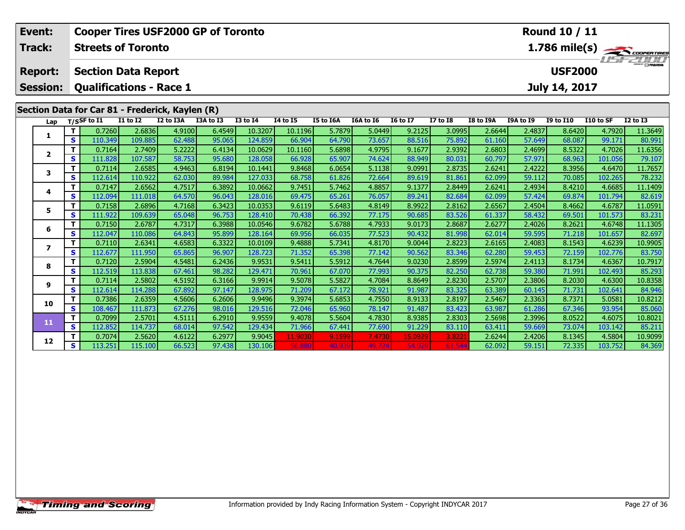|        | Event:                                                                    | <b>Cooper Tires USF2000 GP of Toronto</b><br><b>Round 10 / 11</b> |                                                 |                   |                  |                  |                   |                  |                  |                  |                  |                  |                  |                  |                  |                   |                                               |
|--------|---------------------------------------------------------------------------|-------------------------------------------------------------------|-------------------------------------------------|-------------------|------------------|------------------|-------------------|------------------|------------------|------------------|------------------|------------------|------------------|------------------|------------------|-------------------|-----------------------------------------------|
| Track: |                                                                           |                                                                   | <b>Streets of Toronto</b>                       |                   |                  |                  |                   |                  |                  |                  |                  |                  |                  |                  |                  |                   | $\frac{1.786 \text{ mile(s)}}{1.157 - 21111}$ |
|        | <b>Report:</b>                                                            |                                                                   | <b>Section Data Report</b>                      |                   |                  |                  |                   |                  |                  |                  |                  |                  |                  |                  | <b>USF2000</b>   |                   |                                               |
|        | <b>Qualifications - Race 1</b><br><b>July 14, 2017</b><br><b>Session:</b> |                                                                   |                                                 |                   |                  |                  |                   |                  |                  |                  |                  |                  |                  |                  |                  |                   |                                               |
|        |                                                                           |                                                                   | Section Data for Car 81 - Frederick, Kaylen (R) |                   |                  |                  |                   |                  |                  |                  |                  |                  |                  |                  |                  |                   |                                               |
|        | Lap                                                                       |                                                                   | $T/S$ SF to I1                                  | <b>I1 to I2</b>   | I2 to I3A        | I3A to I3        | <b>I3 to 14</b>   | <b>14 to 15</b>  | I5 to I6A        | I6A to I6        | <b>I6 to I7</b>  | <b>I7 to I8</b>  | I8 to I9A        | I9A to I9        | <b>I9 to I10</b> | I10 to SF         | <b>I2 to I3</b>                               |
|        | 1                                                                         | T.                                                                | 0.7260                                          | 2.6836            | 4.9100           | 6.4549           | 10.3207           | 10.1196          | 5.7879           | 5.0449           | 9.2125           | 3.0995           | 2.6644           | 2.4837           | 8.6420           | 4.7920            | 11.3649                                       |
|        |                                                                           | $\mathbf{s}$                                                      | 110.349                                         | 109.885           | 62.488           | 95.065           | 124.859           | 66.904           | 64.790           | 73.657           | 88.516           | 75.892           | 61.160           | 57.649           | 68.087           | 99.171            | 80.991                                        |
|        | $\overline{2}$                                                            | T                                                                 | 0.7164                                          | 2.7409            | 5.2222           | 6.4134           | 10.0629           | 10.1160          | 5.6898           | 4.9795           | 9.1677           | 2.9392           | 2.6803           | 2.4699           | 8.5322           | 4.7026            | 11.6356                                       |
|        |                                                                           | $\mathbf{s}$                                                      | 111.828                                         | 107.587           | 58.753           | 95.680           | 128.058           | 66.928           | 65.907           | 74.624           | 88.949           | 80.031           | 60.797           | 57.971           | 68.963           | 101.056           | 79.107                                        |
|        | 3                                                                         | T                                                                 | 0.7114                                          | 2.6585            | 4.9463           | 6.8194           | 10.1441           | 9.8468           | 6.0654           | 5.1138           | 9.0991           | 2.8735           | 2.6241           | 2.4222           | 8.3956           | 4.6470            | 11.7657                                       |
|        |                                                                           | $\mathbf{s}$                                                      | 112.614                                         | 110.922           | 62.030           | 89.984           | 127.033           | 68.758           | 61.826           | 72.664           | 89.619           | 81.861           | 62.099           | 59.112           | 70.085           | 102.265           | 78.232                                        |
|        | 4                                                                         | T                                                                 | 0.7147                                          | 2.6562            | 4.7517           | 6.3892           | 10.0662           | 9.7451           | 5.7462           | 4.8857           | 9.1377           | 2.8449           | 2.6241           | 2.4934           | 8.4210           | 4.6685            | 11.1409                                       |
|        |                                                                           | S                                                                 | 112.094                                         | 111.018           | 64.570           | 96.043           | 128.016           | 69.475           | 65.261           | 76.057           | 89.241           | 82.684           | 62.099           | 57.424           | 69.874           | 101.794           | 82.619                                        |
|        | 5                                                                         | T                                                                 | 0.7158                                          | 2.6896            | 4.7168           | 6.3423           | 10.0353           | 9.6119           | 5.6483           | 4.8149           | 8.9922           | 2.8162           | 2.6567           | 2.4504           | 8.4662           | 4.6787            | 11.0591                                       |
|        |                                                                           | $\mathbf s$                                                       | 111.922                                         | 109.639           | 65.048           | 96.753           | 128.410           | 70.438           | 66.392           | 77.175           | 90.685           | 83.526           | 61.337           | 58.432           | 69.501           | 101.573           | 83.231                                        |
|        | 6                                                                         | T                                                                 | 0.7150                                          | 2.6787            | 4.7317           | 6.3988           | 10.0546           | 9.6782           | 5.6788           | 4.7933           | 9.0173           | 2.8687           | 2.6277           | 2.4026           | 8.2621           | 4.6748            | 11.1305                                       |
|        |                                                                           | S                                                                 | 112.047                                         | 110.086           | 64.843           | 95.899           | 128.164           | 69.956           | 66.035           | 77.523           | 90.432           | 81.998           | 62.014           | 59.595           | 71.218           | 101.657           | 82.697                                        |
|        | $\overline{\mathbf{z}}$                                                   | T                                                                 | 0.7110                                          | 2.6341            | 4.6583           | 6.3322           | 10.0109           | 9.4888           | 5.7341           | 4.8170           | 9.0044           | 2.8223           | 2.6165           | 2.4083           | 8.1543           | 4.6239            | 10.9905                                       |
|        |                                                                           | S                                                                 | 112.677                                         | 111.950           | 65.865           | 96.907           | 128.723           | 71.352           | 65.398           | 77.142           | 90.562           | 83.346           | 62.280           | 59.453           | 72.159           | 102.776           | 83.750                                        |
|        | 8                                                                         | T<br>$\mathbf{s}$                                                 | 0.7120<br>112.519                               | 2.5904<br>113.838 | 4.5481<br>67.461 | 6.2436<br>98.282 | 9.9531<br>129.471 | 9.5411           | 5.5912<br>67.070 | 4.7644<br>77.993 | 9.0230<br>90.375 | 2.8599<br>82.250 | 2.5974<br>62.738 | 2.4113<br>59.380 | 8.1734<br>71.991 | 4.6367<br>102.493 | 10.7917                                       |
|        |                                                                           | T.                                                                | 0.7114                                          | 2.5802            | 4.5192           | 6.3166           | 9.9914            | 70.961<br>9.5078 | 5.5827           | 4.7084           | 8.8649           | 2.8230           | 2.5707           | 2.3806           | 8.2030           | 4.6300            | 85.293<br>10.8358                             |
|        | 9                                                                         | S                                                                 | 112.614                                         | 114.288           | 67.892           | 97.147           | 128.975           | 71.209           | 67.172           | 78.921           | 91.987           | 83.325           | 63.389           | 60.145           | 71.731           | 102.641           | 84.946                                        |
|        |                                                                           | T                                                                 | 0.7386                                          | 2.6359            | 4.5606           | 6.2606           | 9.9496            | 9.3974           | 5.6853           | 4.7550           | 8.9133           | 2.8197           | 2.5467           | 2.3363           | 8.7371           | 5.0581            | 10.8212                                       |
|        | 10                                                                        | $\mathbf{s}$                                                      | 108.467                                         | 111.873           | 67.276           | 98.016           | 129.516           | 72.046           | 65.960           | 78.147           | 91.487           | 83.423           | 63.987           | 61.286           | 67.346           | 93.954            | 85.060                                        |
|        |                                                                           | $\mathbf{T}$                                                      | 0.7099                                          | 2.5701            | 4.5111           | 6.2910           | 9.9559            | 9.4078           | 5.5604           | 4.7830           | 8.9385           | 2.8303           | 2.5698           | 2.3996           | 8.0522           | 4.6075            | 10.8021                                       |
|        | 11                                                                        | $\mathbf{s}$                                                      | 112.852                                         | 114.737           | 68.014           | 97.542           | 129.434           | 71.966           | 67.441           | 77.690           | 91.229           | 83.110           | 63.411           | 59.669           | 73.074           | 103.142           | 85.211                                        |
|        |                                                                           | T.                                                                | 0.7074                                          | 2.5620            | 4.6122           | 6.2977           | 9.9045            | 11.9030          | 9.1599           | 7.4730           | 15.0929          | 3.822            | 2.6244           | 2.4206           | 8.1345           | 4.5804            | 10.9099                                       |
|        | 12                                                                        | S                                                                 | 113.251                                         | 115.100           | 66.523           | 97.438           | 130.106           | 56.880           | 40.939           | 49.724           | 54.029           | 61.544           | 62.092           | 59.151           | 72.335           | 103.752           | 84.369                                        |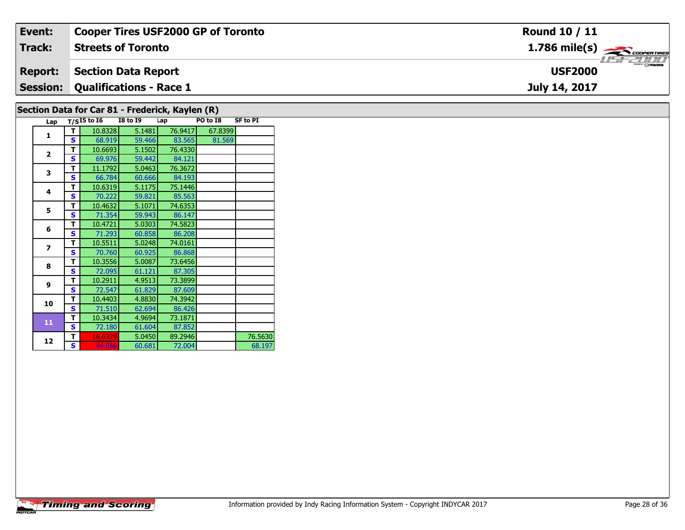| Event:                                           | <b>Cooper Tires USF2000 GP of Toronto</b> | <b>Round 10 / 11</b>                       |  |  |  |  |  |  |
|--------------------------------------------------|-------------------------------------------|--------------------------------------------|--|--|--|--|--|--|
| Track:                                           | <b>Streets of Toronto</b>                 | $1.786$ mile(s) $\frac{1.786}{\sqrt{2.00}$ |  |  |  |  |  |  |
| <b>Report:</b>                                   | Section Data Report                       | <b>USF2000</b>                             |  |  |  |  |  |  |
|                                                  | <b>Session: Qualifications - Race 1</b>   | July 14, 2017                              |  |  |  |  |  |  |
| $Condition Det for Cont 01 Euodouial Volume (D)$ |                                           |                                            |  |  |  |  |  |  |

# **Section Data for Car 81 - Frederick, Kaylen (R)**

| Lap                      |              | $T/SI5$ to $I6$ | <b>I8 to 19</b> | Lap     | PO to I8 | <b>SF to PI</b> |
|--------------------------|--------------|-----------------|-----------------|---------|----------|-----------------|
| $\mathbf{1}$             | т            | 10.8328         | 5.1481          | 76.9417 | 67.8399  |                 |
|                          | $\mathbf{s}$ | 68.919          | 59.466          | 83.565  | 81.569   |                 |
| $\mathbf{2}$             | т            | 10.6693         | 5.1502          | 76.4330 |          |                 |
|                          | S            | 69.976          | 59.442          | 84.121  |          |                 |
| 3                        | т            | 11.1792         | 5.0463          | 76.3672 |          |                 |
|                          | S            | 66.784          | 60.666          | 84.193  |          |                 |
| 4                        | т            | 10.6319         | 5.1175          | 75.1446 |          |                 |
|                          | $\mathbf{s}$ | 70.222          | 59.821          | 85.563  |          |                 |
| 5                        | т            | 10.4632         | 5.1071          | 74.6353 |          |                 |
|                          | S            | 71.354          | 59.943          | 86.147  |          |                 |
| 6                        | т            | 10.4721         | 5.0303          | 74.5823 |          |                 |
|                          | S            | 71.293          | 60.858          | 86.208  |          |                 |
| $\overline{\phantom{a}}$ | т            | 10.5511         | 5.0248          | 74.0161 |          |                 |
|                          | S            | 70.760          | 60.925          | 86.868  |          |                 |
| 8                        | т            | 10.3556         | 5.0087          | 73.6456 |          |                 |
|                          | S            | 72.095          | 61.121          | 87.305  |          |                 |
| 9                        | т            | 10.2911         | 4.9513          | 73.3899 |          |                 |
|                          | S            | 72.547          | 61.829          | 87.609  |          |                 |
| 10                       | т            | 10.4403         | 4.8830          | 74.3942 |          |                 |
|                          | S            | 71.510          | 62.694          | 86.426  |          |                 |
| 11                       | т            | 10.3434         | 4.9694          | 73.1871 |          |                 |
|                          | S            | 72.180          | 61.604          | 87.852  |          |                 |
| 12                       | т            | 16.6329         | 5.0450          | 89.2946 |          | 76.5630         |
|                          | S            | 44.886          | 60.681          | 72.004  |          | 68.197          |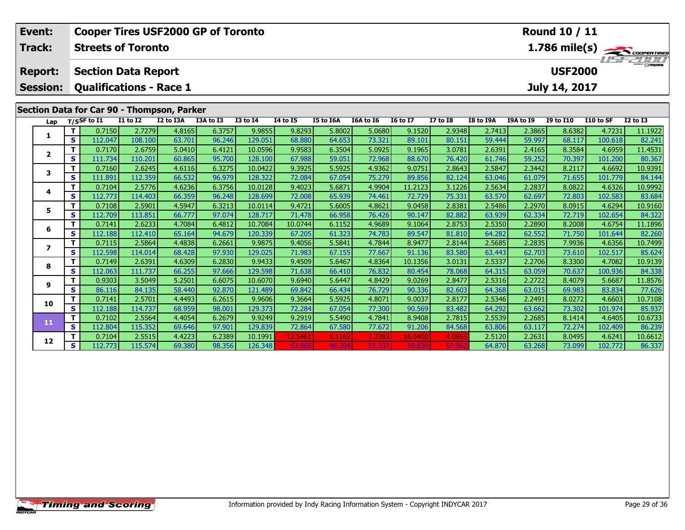| Event:                                                                                                                                                                                                  |              |                                            |                   |                  | <b>Cooper Tires USF2000 GP of Toronto</b> | Round 10 / 11     |                  |                  |                  |                  |                  |                  |                  |                  |                   |                   |
|---------------------------------------------------------------------------------------------------------------------------------------------------------------------------------------------------------|--------------|--------------------------------------------|-------------------|------------------|-------------------------------------------|-------------------|------------------|------------------|------------------|------------------|------------------|------------------|------------------|------------------|-------------------|-------------------|
| Track:                                                                                                                                                                                                  |              | <b>Streets of Toronto</b>                  |                   |                  |                                           |                   |                  |                  |                  |                  |                  |                  |                  |                  |                   |                   |
| $\frac{1.786 \text{ mile(s)}}{1157 - 200 \text{ rad/s}}$<br><b>USF2000</b><br><b>Section Data Report</b><br><b>Report:</b><br><b>Qualifications - Race 1</b><br><b>Session:</b><br><b>July 14, 2017</b> |              |                                            |                   |                  |                                           |                   |                  |                  |                  |                  |                  |                  |                  |                  |                   |                   |
|                                                                                                                                                                                                         |              | Section Data for Car 90 - Thompson, Parker |                   |                  |                                           |                   |                  |                  |                  |                  |                  |                  |                  |                  |                   |                   |
| Lap                                                                                                                                                                                                     |              | T/SSF to I1                                | <b>I1 to I2</b>   | I2 to I3A        | I3A to I3                                 | <b>I3 to I4</b>   | 14 to 15         | I5 to I6A        | I6A to I6        | <b>16 to 17</b>  | <b>I7 to I8</b>  | I8 to I9A        | I9A to I9        | <b>I9 to I10</b> | I10 to SF         | <b>I2 to I3</b>   |
|                                                                                                                                                                                                         |              | 0.7150                                     | 2.7279            | 4.8165           | 6.3757                                    | 9.9855            | 9.8293           | 5.8002           | 5.0680           | 9.1520           | 2.9348           | 2.7413           | 2.3865           | 8.6382           | 4.7231            | 11.1922           |
| 1                                                                                                                                                                                                       | S            | 112.047                                    | 108.100           | 63.701           | 96.246                                    | 129.051           | 68.880           | 64.653           | 73.321           | 89.101           | 80.151           | 59.444           | 59.997           | 68.117           | 100.618           | 82.241            |
| $\overline{2}$                                                                                                                                                                                          | т            | 0.7170                                     | 2.6759            | 5.0410           | 6.4121                                    | 10.0596           | 9.9583           | 6.3504           | 5.0925           | 9.1965           | 3.0781           | 2.6391           | 2.4165           | 8.3584           | 4.6959            | 11.4531           |
|                                                                                                                                                                                                         | $\mathbf{s}$ | 111.734                                    | 110.201           | 60.865           | 95.700                                    | 128.100           | 67.988           | 59.051           | 72.968           | 88.670           | 76.420           | 61.746           | 59.252           | 70.397           | 101.200           | 80.367            |
| 3                                                                                                                                                                                                       | T            | 0.7160                                     | 2.6245            | 4.6116           | 6.3275                                    | 10.0422           | 9.3925           | 5.5925           | 4.9362           | 9.0751           | 2.8643           | 2.5847           | 2.3442           | 8.2117           | 4.6692            | 10.9391           |
|                                                                                                                                                                                                         | $\mathbf{s}$ | 111.891                                    | 112.359           | 66.532           | 96.979                                    | 128.322           | 72.084           | 67.054           | 75.279           | 89.856           | 82.124           | 63.046           | 61.079           | 71.655           | 101.779           | 84.144            |
| 4                                                                                                                                                                                                       | T.           | 0.7104                                     | 2.5776            | 4.6236           | 6.3756                                    | 10.0128           | 9.4023           | 5.6871           | 4.9904           | 11.2123          | 3.1226           | 2.5634           | 2.2837           | 8.0822           | 4.6326            | 10.9992           |
|                                                                                                                                                                                                         | S            | 112.773                                    | 114.403           | 66.359           | 96.248                                    | 128.699           | 72.008           | 65.939           | 74.461           | 72.729           | 75.331           | 63.570           | 62.697           | 72.803           | 102.583           | 83.684            |
| 5.                                                                                                                                                                                                      | т            | 0.7108                                     | 2.5901            | 4.5947           | 6.3213                                    | 10.0114           | 9.4721           | 5.6005           | 4.8621           | 9.0458           | 2.8381           | 2.5486           | 2.2970           | 8.0915           | 4.6294            | 10.9160           |
|                                                                                                                                                                                                         | $\mathbf{s}$ | 112.709                                    | 113.851           | 66.777           | 97.074                                    | 128.717           | 71.478           | 66.958           | 76.426           | 90.147           | 82.882           | 63.939           | 62.334           | 72.719           | 102.654           | 84.322            |
| 6                                                                                                                                                                                                       | т            | 0.7141                                     | 2.6233            | 4.7084           | 6.4812                                    | 10.7084           | 10.0744          | 6.1152           | 4.9689           | 9.1064           | 2.8753           | 2.5350           | 2.2890           | 8.2008           | 4.6754            | 11.1896           |
|                                                                                                                                                                                                         | $\mathbf{s}$ | 112.188                                    | 112.410           | 65.164           | 94.679                                    | 120.339           | 67.205           | 61.323           | 74.783           | 89.547           | 81.810           | 64.282           | 62.552           | 71.750           | 101.644           | 82.260            |
| $\overline{\phantom{a}}$                                                                                                                                                                                | Т<br>S       | 0.7115<br>112.598                          | 2.5864<br>114.014 | 4.4838<br>68.428 | 6.2661<br>97.930                          | 9.9875<br>129.025 | 9.4056           | 5.5841<br>67.155 | 4.7844<br>77.667 | 8.9477<br>91.136 | 2.8144           | 2.5685           | 2.2835<br>62.703 | 7.9936<br>73.610 | 4.6356<br>102.517 | 10.7499           |
|                                                                                                                                                                                                         | т            | 0.7149                                     | 2.6391            | 4.6309           | 6.2830                                    | 9.9433            | 71.983<br>9.4509 | 5.6467           | 4.8364           | 10.1356          | 83.580<br>3.0131 | 63.443<br>2.5337 | 2.2706           | 8.3300           | 4.7082            | 85.624<br>10.9139 |
| 8                                                                                                                                                                                                       | $\mathbf{s}$ | 112.063                                    | 111.737           | 66.255           | 97.666                                    | 129.598           | 71.638           | 66.410           | 76.832           | 80.454           | 78.068           | 64.315           | 63.059           | 70.637           | 100.936           | 84.338            |
|                                                                                                                                                                                                         | т            | 0.9303                                     | 3.5049            | 5.2501           | 6.6075                                    | 10.6070           | 9.6940           | 5.6447           | 4.8429           | 9.0269           | 2.8477           | 2.5316           | 2.2722           | 8.4079           | 5.6687            | 11.8576           |
| 9                                                                                                                                                                                                       | $\mathbf{s}$ | 86.116                                     | 84.135            | 58.440           | 92.870                                    | 121.489           | 69.842           | 66.434           | 76.729           | 90.336           | 82.603           | 64.368           | 63.015           | 69.983           | 83.834            | 77.626            |
|                                                                                                                                                                                                         | T.           | 0.7141                                     | 2.5701            | 4.4493           | 6.2615                                    | 9.9606            | 9.3664           | 5.5925           | 4.8071           | 9.0037           | 2.8177           | 2.5346           | 2.2491           | 8.0272           | 4.6603            | 10.7108           |
| 10                                                                                                                                                                                                      | S            | 112.188                                    | 114.737           | 68.959           | 98.001                                    | 129.373           | 72.284           | 67.054           | 77.300           | 90.569           | 83.482           | 64.292           | 63.662           | 73.302           | 101.974           | 85.937            |
|                                                                                                                                                                                                         | Т            | 0.7102                                     | 2.5564            | 4.4054           | 6.2679                                    | 9.9249            | 9.2919           | 5.5490           | 4.7841           | 8.9408           | 2.7815           | 2.5539           | 2.2685           | 8.1414           | 4.6405            | 10.6733           |
| 11                                                                                                                                                                                                      | S            | 112.804                                    | 115.352           | 69.646           | 97.901                                    | 129.839           | 72.864           | 67.580           | 77.672           | 91.206           | 84.568           | 63.806           | 63.117           | 72.274           | 102.409           | 86.239            |
|                                                                                                                                                                                                         | т            | 0.7104                                     | 2.5515            | 4.4223           | 6.2389                                    | 10.1991           | 12.5461          | 8.1162           | 7.2383           | 16.0400          | 4.086            | 2.5120           | 2.2631           | 8.0495           | 4.6241            | 10.6612           |
| 12                                                                                                                                                                                                      | S            | 112.773                                    | 115.574           | 69.380           | 98.356                                    | 126.348           |                  | 46.20            | 51.337           | 50.8             | 57.56            | 64.870           | 63.268           | 73.099           | 102.772           | 86.337            |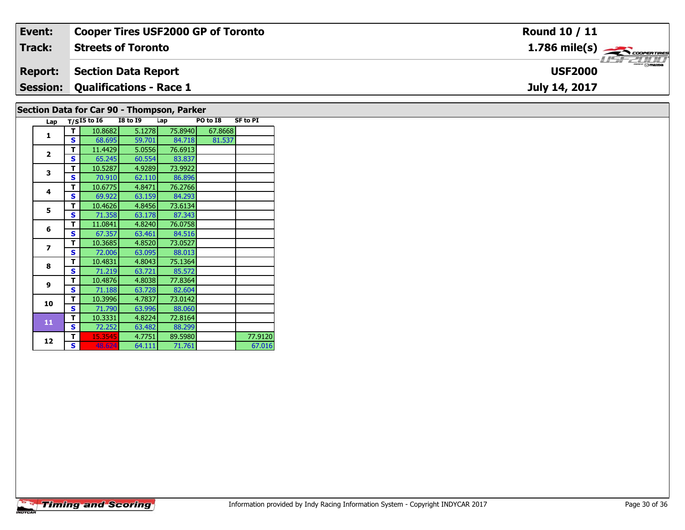| Event:         | <b>Cooper Tires USF2000 GP of Toronto</b> | Round 10 / 11                             |
|----------------|-------------------------------------------|-------------------------------------------|
| Track:         | <b>Streets of Toronto</b>                 | $1.786$ mile(s) $\rightarrow$ COOPERTIRES |
| <b>Report:</b> | Section Data Report                       | <i><b>LISF 2000</b></i><br><b>USF2000</b> |
|                | <b>Session: Qualifications - Race 1</b>   | July 14, 2017                             |
|                | .<br>- -                                  |                                           |

# **Section Data for Car 90 - Thompson, Parker**

| Lap            |   | $T/SI5$ to $I6$ | <b>I8 to 19</b> | Lap     | PO to I8 | <b>SF to PI</b> |
|----------------|---|-----------------|-----------------|---------|----------|-----------------|
| 1              | т | 10.8682         | 5.1278          | 75.8940 | 67.8668  |                 |
|                | S | 68.695          | 59.701          | 84.718  | 81.537   |                 |
| $\overline{2}$ | т | 11.4429         | 5.0556          | 76.6913 |          |                 |
|                | S | 65.245          | 60.554          | 83.837  |          |                 |
| 3              | т | 10.5287         | 4.9289          | 73.9922 |          |                 |
|                | S | 70.910          | 62.110          | 86.896  |          |                 |
| 4              | T | 10.6775         | 4.8471          | 76.2766 |          |                 |
|                | S | 69.922          | 63.159          | 84.293  |          |                 |
| 5              | т | 10.4626         | 4.8456          | 73.6134 |          |                 |
|                | S | 71.358          | 63.178          | 87.343  |          |                 |
| 6              | т | 11.0841         | 4.8240          | 76.0758 |          |                 |
|                | S | 67.357          | 63.461          | 84.516  |          |                 |
| 7              | т | 10.3685         | 4.8520          | 73.0527 |          |                 |
|                | S | 72.006          | 63.095          | 88.013  |          |                 |
| 8              | т | 10.4831         | 4.8043          | 75.1364 |          |                 |
|                | S | 71.219          | 63.721          | 85.572  |          |                 |
| 9              | т | 10.4876         | 4.8038          | 77.8364 |          |                 |
|                | S | 71.188          | 63.728          | 82.604  |          |                 |
| 10             | т | 10.3996         | 4.7837          | 73.0142 |          |                 |
|                | S | 71.790          | 63.996          | 88.060  |          |                 |
| 11             | т | 10.3331         | 4.8224          | 72.8164 |          |                 |
|                | S | 72.252          | 63.482          | 88.299  |          |                 |
| 12             | т | 15.3545         | 4.7751          | 89.5980 |          | 77.9120         |
|                | S | 48.624          | 64.111          | 71.761  |          | 67.016          |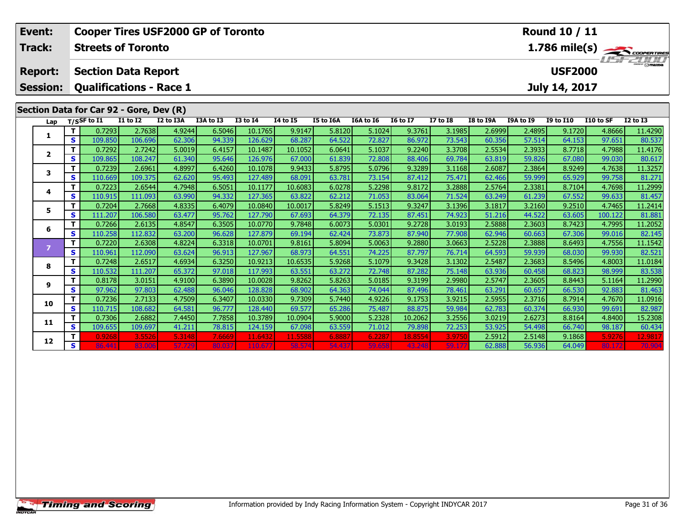| Event:          |                                                 | <b>Cooper Tires USF2000 GP of Toronto</b><br>Round 10 / 11 |                   |                  |                  |                    |                   |                  |                  |                  |                  |                  |                  |                  |                  |                   |
|-----------------|-------------------------------------------------|------------------------------------------------------------|-------------------|------------------|------------------|--------------------|-------------------|------------------|------------------|------------------|------------------|------------------|------------------|------------------|------------------|-------------------|
| Track:          |                                                 | <b>Streets of Toronto</b>                                  |                   |                  |                  |                    |                   |                  |                  |                  |                  |                  |                  |                  |                  | 1.786 mile(s)     |
| <b>Report:</b>  |                                                 | <b>Section Data Report</b>                                 |                   |                  |                  |                    |                   |                  |                  |                  |                  |                  |                  | <b>USF2000</b>   |                  | <b>ISF 2000</b>   |
| <b>Session:</b> | <b>Qualifications - Race 1</b><br>July 14, 2017 |                                                            |                   |                  |                  |                    |                   |                  |                  |                  |                  |                  |                  |                  |                  |                   |
|                 | Section Data for Car 92 - Gore, Dev (R)         |                                                            |                   |                  |                  |                    |                   |                  |                  |                  |                  |                  |                  |                  |                  |                   |
|                 |                                                 |                                                            |                   |                  |                  |                    |                   |                  |                  |                  |                  |                  |                  |                  |                  |                   |
| Lap             |                                                 | $T/S$ SF to I1                                             | <b>I1 to I2</b>   | I2 to I3A        | I3A to I3        | <b>I3 to I4</b>    | <b>14 to 15</b>   | I5 to I6A        | <b>I6A to 16</b> | <b>16 to 17</b>  | <b>I7 to I8</b>  | <b>I8 to I9A</b> | I9A to I9        | <b>I9 to I10</b> | I10 to SF        | <b>I2 to I3</b>   |
| 1               | т<br>$\mathbf{s}$                               | 0.7293<br>109.850                                          | 2.7638<br>106.696 | 4.9244<br>62.306 | 6.5046<br>94.339 | 10.1765<br>126.629 | 9.9147<br>68.287  | 5.8120<br>64.522 | 5.1024<br>72.827 | 9.3761<br>86.972 | 3.1985<br>73.543 | 2.6999<br>60.356 | 2.4895<br>57.514 | 9.1720<br>64.153 | 4.8666<br>97.651 | 11.4290<br>80.537 |
|                 | т                                               | 0.7292                                                     | 2.7242            | 5.0019           | 6.4157           | 10.1487            | 10.1052           | 6.0641           | 5.1037           | 9.2240           | 3.3708           | 2.5534           | 2.3933           | 8.7718           | 4.7988           | 11.4176           |
| $\overline{2}$  | $\mathbf{s}$                                    | 109.865                                                    | 108.247           | 61.340           | 95.646           | 126.976            | 67.000            | 61.839           | 72.808           | 88.406           | 69.784           | 63.819           | 59.826           | 67.080           | 99.030           | 80.617            |
|                 | T                                               | 0.7239                                                     | 2.6961            | 4.8997           | 6.4260           | 10.1078            | 9.9433            | 5.8795           | 5.0796           | 9.3289           | 3.1168           | 2.6087           | 2.3864           | 8.9249           | 4.7638           | 11.3257           |
| 3               | S                                               | 110.669                                                    | 109.375           | 62.620           | 95.493           | 127.489            | 68.091            | 63.781           | 73.154           | 87.412           | 75.471           | 62.466           | 59.999           | 65.929           | 99.758           | 81.271            |
|                 | т                                               | 0.7223                                                     | 2.6544            | 4.7948           | 6.5051           | 10.1177            | 10.6083           | 6.0278           | 5.2298           | 9.8172           | 3.2888           | 2.5764           | 2.3381           | 8.7104           | 4.7698           | 11.2999           |
| 4               | S                                               | 110.915                                                    | 111.093           | 63.990           | 94.332           | 127.365            | 63.822            | 62.212           | 71.053           | 83.064           | 71.524           | 63.249           | 61.239           | 67.552           | 99.633           | 81.457            |
| 5.              | T                                               | 0.7204                                                     | 2.7668            | 4.8335           | 6.4079           | 10.0840            | 10.0017           | 5.8249           | 5.1513           | 9.3247           | 3.1396           | 3.1817           | 3.2160           | 9.2510           | 4.7465           | 11.2414           |
|                 | S                                               | 111.207                                                    | 106.580           | 63.477           | 95.762           | 127.790            | 67.693            | 64.379           | 72.135           | 87.451           | 74.923           | 51.216           | 44.522           | 63.605           | 100.122          | 81.881            |
| 6               | т                                               | 0.7266                                                     | 2.6135            | 4.8547           | 6.3505           | 10.0770            | 9.7848            | 6.0073           | 5.0301           | 9.2728           | 3.0193           | 2.5888           | 2.3603           | 8.7423           | 4.7995           | 11.2052           |
|                 | $\mathbf{s}$                                    | 110.258                                                    | 112.832           | 63.200           | 96.628           | 127.879            | 69.194            | 62.424           | 73.873           | 87.940           | 77.908           | 62.946           | 60.663           | 67.306           | 99.016           | 82.145            |
| $\overline{7}$  | $\mathbf T$                                     | 0.7220                                                     | 2.6308            | 4.8224           | 6.3318           | 10.0701            | 9.8161            | 5.8094           | 5.0063           | 9.2880           | 3.0663           | 2.5228           | 2.3888           | 8.6493           | 4.7556           | 11.1542           |
|                 | $\mathbf{s}$                                    | 110.961                                                    | 112.090           | 63.624           | 96.913           | 127.967            | 68.973            | 64.551           | 74.225           | 87.797           | 76.714           | 64.593           | 59.939           | 68.030           | 99.930           | 82.521            |
| 8               | т<br>$\mathbf{s}$                               | 0.7248<br>110.532                                          | 2.6517<br>111.207 | 4.6934<br>65.372 | 6.3250<br>97.018 | 10.9213<br>117.993 | 10.6535<br>63.551 | 5.9268<br>63.272 | 5.1079<br>72.748 | 9.3428<br>87.282 | 3.1302<br>75.148 | 2.5487<br>63.936 | 2.3683<br>60.458 | 8.5496<br>68.823 | 4.8003<br>98.999 | 11.0184<br>83.538 |
|                 | т                                               | 0.8178                                                     | 3.0151            | 4.9100           | 6.3890           | 10.0028            | 9.8262            | 5.8263           | 5.0185           | 9.3199           | 2.9980           | 2.5747           | 2.3605           | 8.8443           | 5.1164           | 11.2990           |
| 9               | $\mathbf{s}$                                    | 97.962                                                     | 97.803            | 62.488           | 96.046           | 128.828            | 68.902            | 64.363           | 74.044           | 87.496           | 78.461           | 63.291           | 60.657           | 66.530           | 92.883           | 81.463            |
|                 | т                                               | 0.7236                                                     | 2.7133            | 4.7509           | 6.3407           | 10.0330            | 9.7309            | 5.7440           | 4.9226           | 9.1753           | 3.9215           | 2.5955           | 2.3716           | 8.7914           | 4.7670           | 11.0916           |
| 10              | $\mathbf{s}$                                    | 110.715                                                    | 108.682           | 64.581           | 96.777           | 128.440            | 69.577            | 65.286           | 75.487           | 88.875           | 59.984           | 62.783           | 60.374           | 66.930           | 99.691           | 82.987            |
|                 | т                                               | 0.7306                                                     | 2.6882            | 7.4450           | 7.7858           | 10.3789            | 10.0904           | 5.9000           | 5.2328           | 10.2062          | 3.2556           | 3.0219           | 2.6273           | 8.8164           | 4.8400           | 15.2308           |
| 11              | $\mathbf{s}$                                    | 109.655                                                    | 109.697           | 41.211           | 78.815           | 124.159            | 67.098            | 63.559           | 71.012           | 79.898           | 72.253           | 53.925           | 54.498           | 66.740           | 98.187           | 60.434            |
| 12              | Τ.                                              | 0.9268                                                     | 3.5526            | 5.3148           | 7.6669           | 11.6432            | 11.5588           | 6.8887           | 6.2287           | 18.8554          | 3.975            | 2.5912           | 2.5148           | 9.1868           | 5.9276           | 12.9817           |
|                 | S.                                              | 86.441                                                     | 83.006            | 57.729           | 80.037           | 110.677            | 58.574            | 54.437           | 59.658           | 43.248           | 59.17            | 62.888           | 56.936           | 64.049           | 80.172           | 70.904            |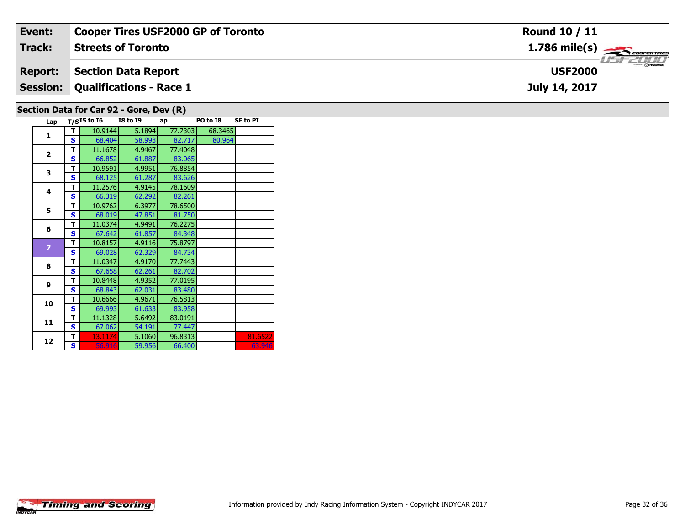| Event:                                  | <b>Cooper Tires USF2000 GP of Toronto</b> | Round 10 / 11                                             |  |  |  |  |  |  |
|-----------------------------------------|-------------------------------------------|-----------------------------------------------------------|--|--|--|--|--|--|
| Track:                                  | <b>Streets of Toronto</b>                 | $1.786$ mile(s) $\overbrace{\hspace{2.5cm}}$ cooren TIRES |  |  |  |  |  |  |
| <b>Report:</b>                          | Section Data Report                       | <b>USF2000</b>                                            |  |  |  |  |  |  |
|                                         | <b>Session: Qualifications - Race 1</b>   | July 14, 2017                                             |  |  |  |  |  |  |
| Section Data for Car 92 - Gore, Dev (R) |                                           |                                                           |  |  |  |  |  |  |

| Lap                     |   | $T/SI5$ to $I6$ | <b>I8 to I9</b> | Lap     | PO to I8 | <b>SF to PI</b> |
|-------------------------|---|-----------------|-----------------|---------|----------|-----------------|
| $\mathbf{1}$            | т | 10.9144         | 5.1894          | 77.7303 | 68.3465  |                 |
|                         | s | 68.404          | 58.993          | 82.717  | 80.964   |                 |
| $\overline{\mathbf{2}}$ | т | 11.1678         | 4.9467          | 77.4048 |          |                 |
|                         | S | 66.852          | 61.887          | 83.065  |          |                 |
| 3                       | т | 10.9591         | 4.9951          | 76.8854 |          |                 |
|                         | S | 68.125          | 61.287          | 83.626  |          |                 |
| 4                       | T | 11.2576         | 4.9145          | 78.1609 |          |                 |
|                         | S | 66.319          | 62.292          | 82.261  |          |                 |
| 5                       | т | 10.9762         | 6.3977          | 78.6500 |          |                 |
|                         | S | 68.019          | 47.851          | 81.750  |          |                 |
| 6                       | т | 11.0374         | 4.9491          | 76.2275 |          |                 |
|                         | S | 67.642          | 61.857          | 84.348  |          |                 |
| $\overline{7}$          | T | 10.8157         | 4.9116          | 75.8797 |          |                 |
|                         | S | 69.028          | 62.329          | 84.734  |          |                 |
| 8                       | T | 11.0347         | 4.9170          | 77.7443 |          |                 |
|                         | S | 67.658          | 62.261          | 82.702  |          |                 |
| $\mathbf{9}$            | т | 10.8448         | 4.9352          | 77.0195 |          |                 |
|                         | S | 68.843          | 62.031          | 83.480  |          |                 |
| 10                      | т | 10.6666         | 4.9671          | 76.5813 |          |                 |
|                         | S | 69.993          | 61.633          | 83.958  |          |                 |
| 11                      | т | 11.1328         | 5.6492          | 83.0191 |          |                 |
|                         | s | 67.062          | 54.191          | 77.447  |          |                 |
| 12                      | т | 13.1174         | 5.1060          | 96.8313 |          | 81.6522         |
|                         | S | 56.916          | 59.956          | 66.400  |          | 63.946          |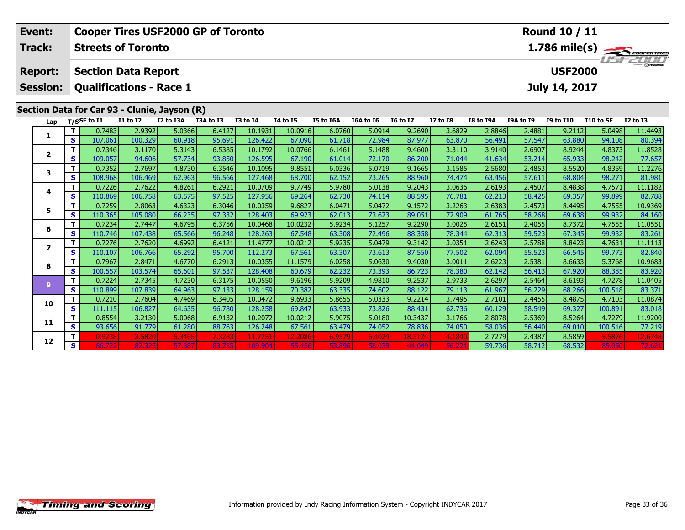| Event:                              | Round 10 / 11<br><b>Cooper Tires USF2000 GP of Toronto</b>                                      |                                                                |                   |                  |                  |                    |                   |                         |                  |                  |                  |                  |                  |                  |                  |                   |
|-------------------------------------|-------------------------------------------------------------------------------------------------|----------------------------------------------------------------|-------------------|------------------|------------------|--------------------|-------------------|-------------------------|------------------|------------------|------------------|------------------|------------------|------------------|------------------|-------------------|
| Track:<br><b>Streets of Toronto</b> |                                                                                                 |                                                                |                   |                  |                  |                    |                   | $1.786 \text{ mile(s)}$ |                  |                  |                  |                  |                  |                  |                  |                   |
| <b>Report:</b><br><b>Session:</b>   | <b>USF2000</b><br><b>Section Data Report</b><br><b>Qualifications - Race 1</b><br>July 14, 2017 |                                                                |                   |                  |                  |                    |                   |                         |                  |                  |                  | $T = T$          |                  |                  |                  |                   |
|                                     |                                                                                                 | Section Data for Car 93 - Clunie, Jayson (R)<br>$T/S$ SF to I1 | <b>I1 to I2</b>   | I2 to I3A        | I3A to I3        | <b>I3 to 14</b>    | <b>I4 to I5</b>   | I5 to I6A               | I6A to I6        | <b>16 to 17</b>  | <b>I7 to I8</b>  | I8 to I9A        | I9A to I9        | <b>I9 to I10</b> | I10 to SF        | <b>I2 to I3</b>   |
| Lap                                 | т                                                                                               | 0.7483                                                         | 2.9392            | 5.0366           | 6.4127           | 10.1931            | 10.0916           | 6.0760                  | 5.0914           | 9.2690           | 3.6829           | 2.8846           | 2.4881           | 9.2112           | 5.0498           | 11.4493           |
| 1                                   | $\mathbf{s}$                                                                                    | 107.061                                                        | 100.329           | 60.918           | 95.691           | 126.422            | 67.090            | 61.718                  | 72.984           | 87.977           | 63.870           | 56.491           | 57.547           | 63.880           | 94.108           | 80.394            |
|                                     | т                                                                                               | 0.7346                                                         | 3.1170            | 5.3143           | 6.5385           | 10.1792            | 10.0766           | 6.1461                  | 5.1488           | 9.4600           | 3.3110           | 3.9140           | 2.6907           | 8.9244           | 4.8373           | 11.8528           |
| $\mathbf{2}$                        | S                                                                                               | 109.057                                                        | 94.606            | 57.734           | 93.850           | 126.595            | 67.190            | 61.014                  | 72.170           | 86.200           | 71.044           | 41.634           | 53.214           | 65.933           | 98.242           | 77.657            |
|                                     | т                                                                                               | 0.7352                                                         | 2.7697            | 4.8730           | 6.3546           | 10.1095            | 9.8551            | 6.0336                  | 5.0719           | 9.1665           | 3.1585           | 2.5680           | 2.4853           | 8.5520           | 4.8359           | 11.2276           |
| 3                                   | $\mathbf{s}$                                                                                    | 108.968                                                        | 106.469           | 62.963           | 96.566           | 127.468            | 68.700            | 62.152                  | 73.265           | 88.960           | 74.474           | 63.456           | 57.611           | 68.804           | 98.271           | 81.981            |
|                                     | T                                                                                               | 0.7226                                                         | 2.7622            | 4.8261           | 6.2921           | 10.0709            | 9.7749            | 5.9780                  | 5.0138           | 9.2043           | 3.0636           | 2.6193           | 2.4507           | 8.4838           | 4.7571           | 11.1182           |
| 4                                   | $\mathbf{s}$                                                                                    | 110.869                                                        | 106.758           | 63.575           | 97.525           | 127.956            | 69.264            | 62.730                  | 74.114           | 88.595           | 76.781           | 62.213           | 58.425           | 69.357           | 99.899           | 82.788            |
| 5.                                  | т                                                                                               | 0.7259                                                         | 2.8063            | 4.6323           | 6.3046           | 10.0359            | 9.6827            | 6.0471                  | 5.0472           | 9.1572           | 3.2263           | 2.6383           | 2.4573           | 8.4495           | 4.7555           | 10.9369           |
|                                     | S                                                                                               | 110.365                                                        | 105.080           | 66.235           | 97.332           | 128.403            | 69.923            | 62.013                  | 73.623           | 89.051           | 72.909           | 61.765           | 58.268           | 69.638           | 99.932           | 84.160            |
| 6                                   | т                                                                                               | 0.7234                                                         | 2.7447            | 4.6795           | 6.3756           | 10.0468            | 10.0232           | 5.9234                  | 5.1257           | 9.2290           | 3.0025           | 2.6151           | 2.4055           | 8.7372           | 4.7555           | 11.0551           |
|                                     | S                                                                                               | 110.746                                                        | 107.438           | 65.566           | 96.248           | 128.263            | 67.548            | 63.308                  | 72.496           | 88.358           | 78.344           | 62.313           | 59.523           | 67.345           | 99.932           | 83.261            |
| $\overline{\mathbf{z}}$             | т                                                                                               | 0.7276                                                         | 2.7620            | 4.6992           | 6.4121           | 11.4777            | 10.0212           | 5.9235                  | 5.0479           | 9.3142           | 3.0351           | 2.6243           | 2.5788           | 8.8423           | 4.7631           | 11.1113           |
|                                     | S                                                                                               | 110.107                                                        | 106.766           | 65.292           | 95.700           | 112.273            | 67.561            | 63.307                  | 73.613           | 87.550           | 77.502           | 62.094           | 55.523           | 66.545           | 99.773           | 82.840            |
| 8                                   | т<br>$\mathbf{s}$                                                                               | 0.7967<br>100.557                                              | 2.8471<br>103.574 | 4.6770<br>65.601 | 6.2913<br>97.537 | 10.0355<br>128.408 | 11.1579<br>60.679 | 6.0258<br>62.232        | 5.0630<br>73.393 | 9.4030<br>86.723 | 3.0011<br>78.380 | 2.6223<br>62.142 | 2.5381<br>56.413 | 8.6633<br>67.920 | 5.3768<br>88.385 | 10.9683<br>83.920 |
|                                     | $\mathbf T$                                                                                     | 0.7224                                                         | 2.7345            | 4.7230           | 6.3175           | 10.0550            | 9.6196            | 5.9209                  | 4.9810           | 9.2537           | 2.9733           | 2.6297           | 2.5464           | 8.6193           | 4.7278           | 11.0405           |
| $\overline{9}$                      | S                                                                                               | 110.899                                                        | 107.839           | 64.963           | 97.133           | 128.159            | 70.382            | 63.335                  | 74.602           | 88.122           | 79.113           | 61.967           | 56.229           | 68.266           | 100.518          | 83.371            |
|                                     | т                                                                                               | 0.7210                                                         | 2.7604            | 4.7469           | 6.3405           | 10.0472            | 9.6933            | 5.8655                  | 5.0333           | 9.2214           | 3.7495           | 2.7101           | 2.4455           | 8.4875           | 4.7103           | 11.0874           |
| 10                                  | S                                                                                               | 111.115                                                        | 106.827           | 64.635           | 96.780           | 128.258            | 69.847            | 63.933                  | 73.826           | 88.431           | 62.736           | 60.129           | 58.549           | 69.327           | 100.891          | 83.018            |
|                                     | т                                                                                               | 0.8554                                                         | 3.2130            | 5.0068           | 6.9132           | 10.2072            | 10.0212           | 5.9075                  | 5.0180           | 10.3437          | 3.1766           | 2.8078           | 2.5369           | 8.5264           | 4.7279           | 11.9200           |
| 11                                  | S                                                                                               | 93.656                                                         | 91.779            | 61.280           | 88.763           | 126.248            | 67.561            | 63.479                  | 74.052           | 78.836           | 74.050           | 58.036           | 56.440           | 69.010           | 100.516          | 77.219            |
|                                     | т                                                                                               | 0.9238                                                         | 3.5820            | 5.3465           | 7.3283           | 11.7251            | 12.2086           | 6.9579                  | 6.4024           | 18.5124          | 4.1840           | 2.7279           | 2.4387           | 8.5859           | 5.5876           | 12.6748           |
| 12                                  | S                                                                                               | 86.722                                                         | 82.32             | 57.38            | 83.73            | 109.904            | 55.456            | 53.8                    | 58.0             | 44.049           | 56.22            | 59.736           | 58.712           | 68.532           | 85.050           | 72.621            |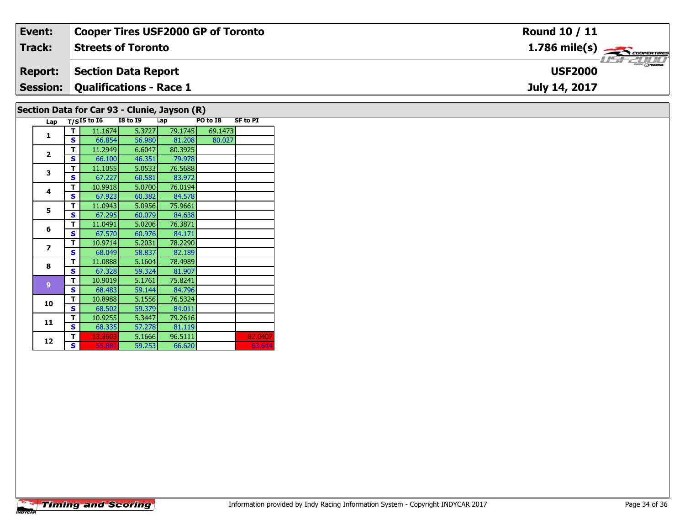| Event:         | <b>Cooper Tires USF2000 GP of Toronto</b> | <b>Round 10 / 11</b>                       |  |  |  |  |
|----------------|-------------------------------------------|--------------------------------------------|--|--|--|--|
| Track:         | <b>Streets of Toronto</b>                 | $1.786$ mile(s) $\frac{1.786}{\sqrt{2.00}$ |  |  |  |  |
| <b>Report:</b> | Section Data Report                       | <b>USF2000</b>                             |  |  |  |  |
|                | <b>Session: Qualifications - Race 1</b>   | July 14, 2017                              |  |  |  |  |
| $\Gamma$       |                                           |                                            |  |  |  |  |

# **Section Data for Car 93 - Clunie, Jayson (R)**

|  | Lap            |   | $T/SI5$ to $I6$ | <b>I8 to 19</b> | Lap     | PO to I8 | <b>SF to PI</b> |
|--|----------------|---|-----------------|-----------------|---------|----------|-----------------|
|  | $\mathbf{1}$   | т | 11.1674         | 5.3727          | 79.1745 | 69.1473  |                 |
|  |                | S | 66.854          | 56.980          | 81.208  | 80.027   |                 |
|  | $\overline{2}$ | т | 11.2949         | 6.6047          | 80.3925 |          |                 |
|  |                | S | 66.100          | 46.351          | 79.978  |          |                 |
|  | 3              | T | 11.1055         | 5.0533          | 76.5688 |          |                 |
|  |                | S | 67.227          | 60.581          | 83.972  |          |                 |
|  | 4              | т | 10.9918         | 5.0700          | 76.0194 |          |                 |
|  |                | S | 67.923          | 60.382          | 84.578  |          |                 |
|  | 5              | T | 11.0943         | 5.0956          | 75.9661 |          |                 |
|  |                | S | 67.295          | 60.079          | 84.638  |          |                 |
|  | 6              | T | 11.0491         | 5.0206          | 76.3871 |          |                 |
|  |                | S | 67.570          | 60.976          | 84.171  |          |                 |
|  | 7              | т | 10.9714         | 5.2031          | 78.2290 |          |                 |
|  |                | S | 68.049          | 58.837          | 82.189  |          |                 |
|  | 8              | т | 11.0888         | 5.1604          | 78.4989 |          |                 |
|  |                | S | 67.328          | 59.324          | 81.907  |          |                 |
|  | 9              | т | 10.9019         | 5.1761          | 75.8241 |          |                 |
|  |                | S | 68.483          | 59.144          | 84.796  |          |                 |
|  | 10             | т | 10.8988         | 5.1556          | 76.5324 |          |                 |
|  |                | S | 68.502          | 59.379          | 84.011  |          |                 |
|  | 11             | т | 10.9255         | 5.3447          | 79.2616 |          |                 |
|  |                | S | 68.335          | 57.278          | 81.119  |          |                 |
|  | 12             | т | 13.3603         | 5.1666          | 96.5111 |          | 82.0407         |
|  |                | S | 55.881          | 59.253          | 66.620  |          | 63.644          |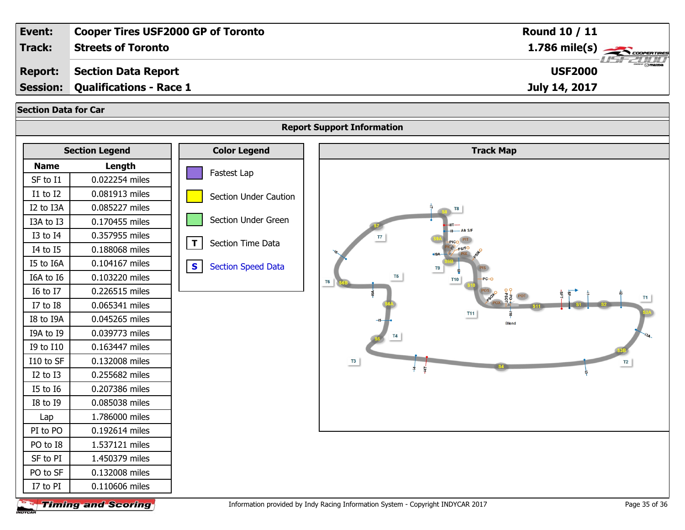